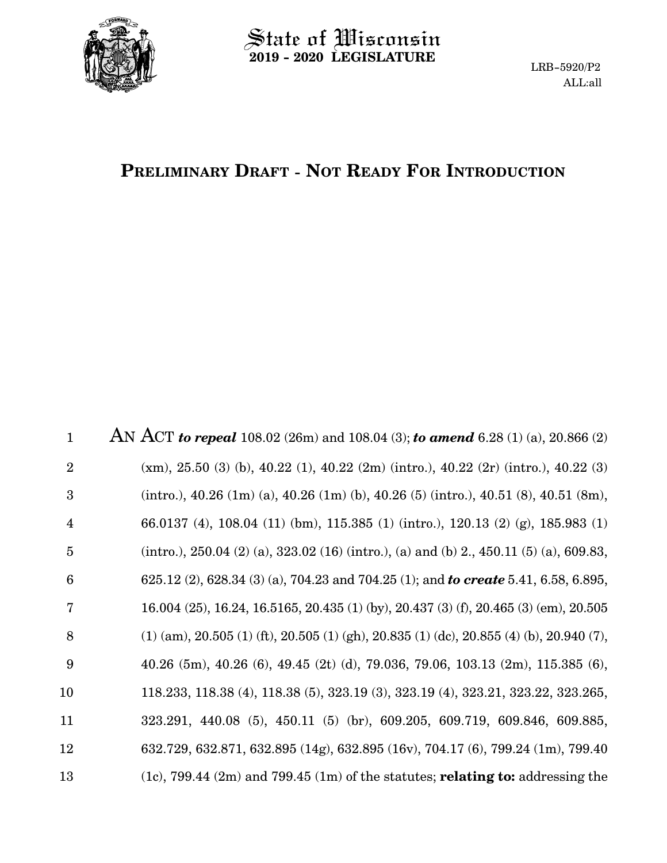

# $\operatorname{\mathsf{State}}$  of Wisconsin **2019 - 2020 LEGISLATURE**

# **PRELIMINARY DRAFT - NOT READY FOR INTRODUCTION**

AN ACT *to repeal* 108.02 (26m) and 108.04 (3); *to amend* 6.28 (1) (a), 20.866 (2) (xm), 25.50 (3) (b), 40.22 (1), 40.22 (2m) (intro.), 40.22 (2r) (intro.), 40.22 (3) (intro.), 40.26 (1m) (a), 40.26 (1m) (b), 40.26 (5) (intro.), 40.51 (8), 40.51 (8m), 66.0137 (4), 108.04 (11) (bm), 115.385 (1) (intro.), 120.13 (2) (g), 185.983 (1) (intro.),  $250.04$  (2) (a),  $323.02$  (16) (intro.), (a) and (b) 2.,  $450.11$  (5) (a),  $609.83$ , 625.12 (2), 628.34 (3) (a), 704.23 and 704.25 (1); and *to create* 5.41, 6.58, 6.895, 16.004 (25), 16.24, 16.5165, 20.435 (1) (by), 20.437 (3) (f), 20.465 (3) (em), 20.505  $(1)$  (am),  $20.505$  (1) (ft),  $20.505$  (1) (gh),  $20.835$  (1) (dc),  $20.855$  (4) (b),  $20.940$  (7), 40.26 (5m), 40.26 (6), 49.45 (2t) (d), 79.036, 79.06, 103.13 (2m), 115.385 (6), 118.233, 118.38 (4), 118.38 (5), 323.19 (3), 323.19 (4), 323.21, 323.22, 323.265, 323.291, 440.08 (5), 450.11 (5) (br), 609.205, 609.719, 609.846, 609.885, 632.729, 632.871, 632.895 (14g), 632.895 (16v), 704.17 (6), 799.24 (1m), 799.40 (1c), 799.44 (2m) and 799.45 (1m) of the statutes; **relating to:** addressing the 1 2 3 4 5 6 7 8 9 10 11 12 13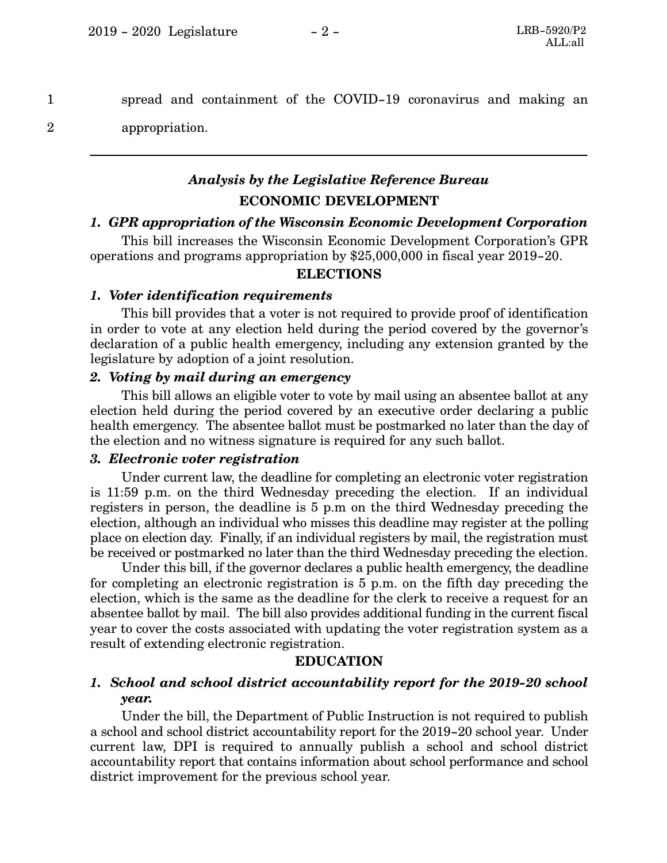spread and containment of the COVID-19 coronavirus and making an

2

1

appropriation.

# *Analysis by the Legislative Reference Bureau* **ECONOMIC DEVELOPMENT**

### *1. GPR appropriation of the Wisconsin Economic Development Corporation*

This bill increases the Wisconsin Economic Development Corporation's GPR operations and programs appropriation by \$25,000,000 in fiscal year 2019-20.

### **ELECTIONS**

### *1. Voter identification requirements*

This bill provides that a voter is not required to provide proof of identification in order to vote at any election held during the period covered by the governor's declaration of a public health emergency, including any extension granted by the legislature by adoption of a joint resolution.

### *2. Voting by mail during an emergency*

This bill allows an eligible voter to vote by mail using an absentee ballot at any election held during the period covered by an executive order declaring a public health emergency. The absentee ballot must be postmarked no later than the day of the election and no witness signature is required for any such ballot.

#### *3. Electronic voter registration*

Under current law, the deadline for completing an electronic voter registration is 11:59 p.m. on the third Wednesday preceding the election. If an individual registers in person, the deadline is 5 p.m on the third Wednesday preceding the election, although an individual who misses this deadline may register at the polling place on election day. Finally, if an individual registers by mail, the registration must be received or postmarked no later than the third Wednesday preceding the election.

Under this bill, if the governor declares a public health emergency, the deadline for completing an electronic registration is 5 p.m. on the fifth day preceding the election, which is the same as the deadline for the clerk to receive a request for an absentee ballot by mail. The bill also provides additional funding in the current fiscal year to cover the costs associated with updating the voter registration system as a result of extending electronic registration.

#### **EDUCATION**

### *1. School and school district accountability report for the 2019-20 school year.*

Under the bill, the Department of Public Instruction is not required to publish a school and school district accountability report for the 2019-20 school year. Under current law, DPI is required to annually publish a school and school district accountability report that contains information about school performance and school district improvement for the previous school year.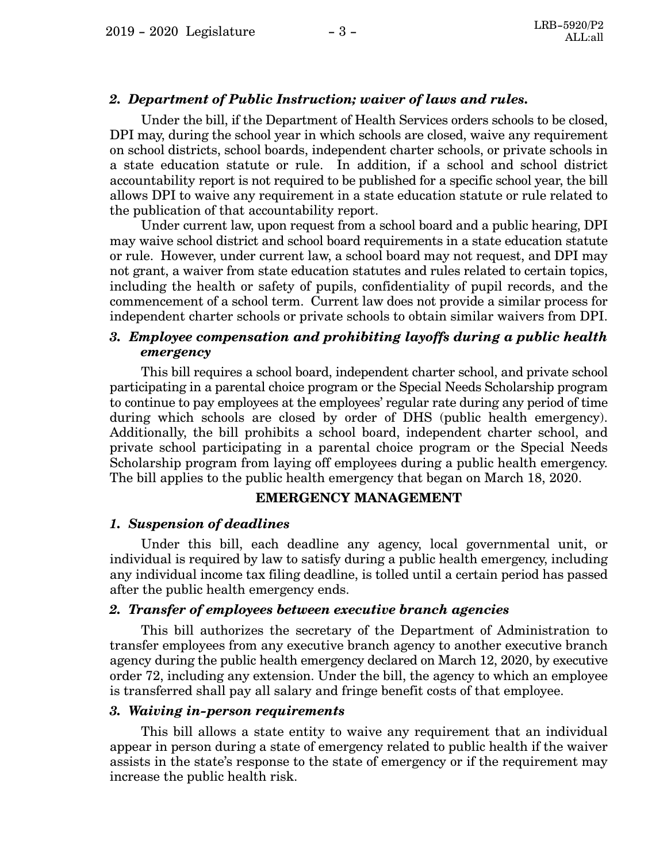### *2. Department of Public Instruction; waiver of laws and rules.*

Under the bill, if the Department of Health Services orders schools to be closed, DPI may, during the school year in which schools are closed, waive any requirement on school districts, school boards, independent charter schools, or private schools in a state education statute or rule. In addition, if a school and school district accountability report is not required to be published for a specific school year, the bill allows DPI to waive any requirement in a state education statute or rule related to the publication of that accountability report.

Under current law, upon request from a school board and a public hearing, DPI may waive school district and school board requirements in a state education statute or rule. However, under current law, a school board may not request, and DPI may not grant, a waiver from state education statutes and rules related to certain topics, including the health or safety of pupils, confidentiality of pupil records, and the commencement of a school term. Current law does not provide a similar process for independent charter schools or private schools to obtain similar waivers from DPI.

### *3. Employee compensation and prohibiting layoffs during a public health emergency*

This bill requires a school board, independent charter school, and private school participating in a parental choice program or the Special Needs Scholarship program to continue to pay employees at the employees' regular rate during any period of time during which schools are closed by order of DHS (public health emergency). Additionally, the bill prohibits a school board, independent charter school, and private school participating in a parental choice program or the Special Needs Scholarship program from laying off employees during a public health emergency. The bill applies to the public health emergency that began on March 18, 2020.

#### **EMERGENCY MANAGEMENT**

#### *1. Suspension of deadlines*

Under this bill, each deadline any agency, local governmental unit, or individual is required by law to satisfy during a public health emergency, including any individual income tax filing deadline, is tolled until a certain period has passed after the public health emergency ends.

#### *2. Transfer of employees between executive branch agencies*

This bill authorizes the secretary of the Department of Administration to transfer employees from any executive branch agency to another executive branch agency during the public health emergency declared on March 12, 2020, by executive order 72, including any extension. Under the bill, the agency to which an employee is transferred shall pay all salary and fringe benefit costs of that employee.

#### *3. Waiving in-person requirements*

This bill allows a state entity to waive any requirement that an individual appear in person during a state of emergency related to public health if the waiver assists in the state's response to the state of emergency or if the requirement may increase the public health risk.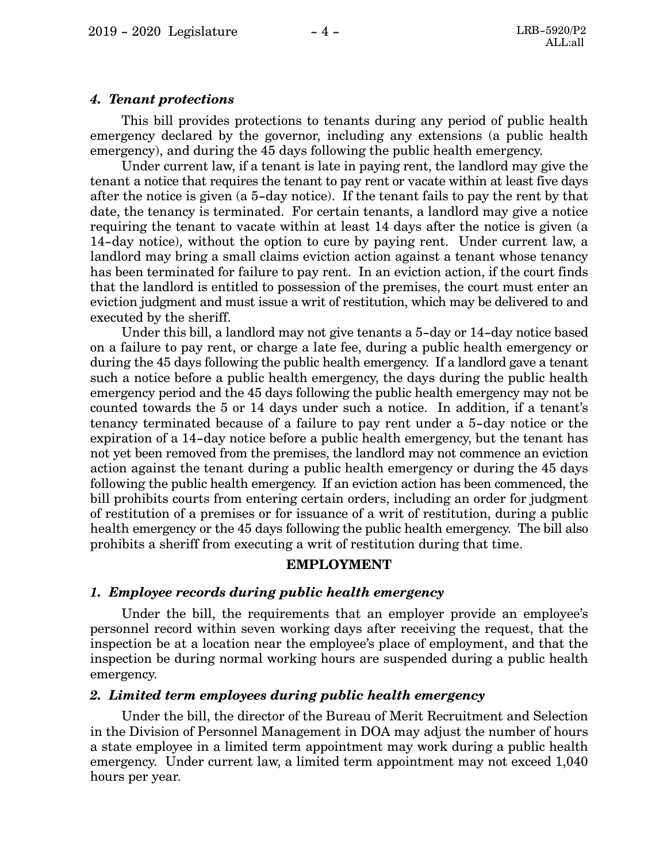#### *4. Tenant protections*

This bill provides protections to tenants during any period of public health emergency declared by the governor, including any extensions (a public health emergency), and during the 45 days following the public health emergency.

Under current law, if a tenant is late in paying rent, the landlord may give the tenant a notice that requires the tenant to pay rent or vacate within at least five days after the notice is given (a 5-day notice). If the tenant fails to pay the rent by that date, the tenancy is terminated. For certain tenants, a landlord may give a notice requiring the tenant to vacate within at least 14 days after the notice is given (a 14-day notice), without the option to cure by paying rent. Under current law, a landlord may bring a small claims eviction action against a tenant whose tenancy has been terminated for failure to pay rent. In an eviction action, if the court finds that the landlord is entitled to possession of the premises, the court must enter an eviction judgment and must issue a writ of restitution, which may be delivered to and executed by the sheriff.

Under this bill, a landlord may not give tenants a 5-day or 14-day notice based on a failure to pay rent, or charge a late fee, during a public health emergency or during the 45 days following the public health emergency. If a landlord gave a tenant such a notice before a public health emergency, the days during the public health emergency period and the 45 days following the public health emergency may not be counted towards the 5 or 14 days under such a notice. In addition, if a tenant's tenancy terminated because of a failure to pay rent under a 5-day notice or the expiration of a 14-day notice before a public health emergency, but the tenant has not yet been removed from the premises, the landlord may not commence an eviction action against the tenant during a public health emergency or during the 45 days following the public health emergency. If an eviction action has been commenced, the bill prohibits courts from entering certain orders, including an order for judgment of restitution of a premises or for issuance of a writ of restitution, during a public health emergency or the 45 days following the public health emergency. The bill also prohibits a sheriff from executing a writ of restitution during that time.

#### **EMPLOYMENT**

#### *1. Employee records during public health emergency*

Under the bill, the requirements that an employer provide an employee's personnel record within seven working days after receiving the request, that the inspection be at a location near the employee's place of employment, and that the inspection be during normal working hours are suspended during a public health emergency.

#### *2. Limited term employees during public health emergency*

Under the bill, the director of the Bureau of Merit Recruitment and Selection in the Division of Personnel Management in DOA may adjust the number of hours a state employee in a limited term appointment may work during a public health emergency. Under current law, a limited term appointment may not exceed 1,040 hours per year.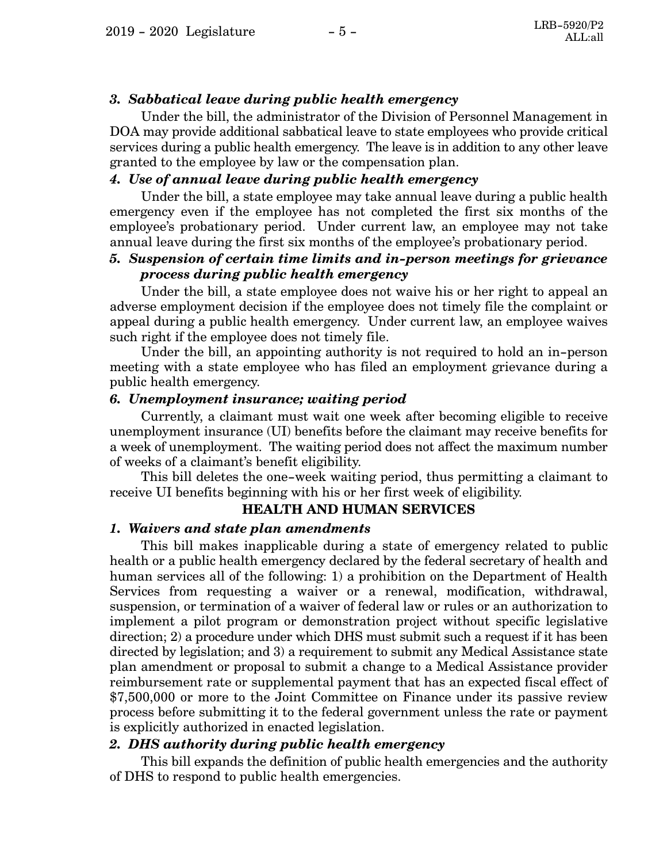### *3. Sabbatical leave during public health emergency*

Under the bill, the administrator of the Division of Personnel Management in DOA may provide additional sabbatical leave to state employees who provide critical services during a public health emergency. The leave is in addition to any other leave granted to the employee by law or the compensation plan.

### *4. Use of annual leave during public health emergency*

Under the bill, a state employee may take annual leave during a public health emergency even if the employee has not completed the first six months of the employee's probationary period. Under current law, an employee may not take annual leave during the first six months of the employee's probationary period.

### *5. Suspension of certain time limits and in-person meetings for grievance process during public health emergency*

Under the bill, a state employee does not waive his or her right to appeal an adverse employment decision if the employee does not timely file the complaint or appeal during a public health emergency. Under current law, an employee waives such right if the employee does not timely file.

Under the bill, an appointing authority is not required to hold an in-person meeting with a state employee who has filed an employment grievance during a public health emergency.

#### *6. Unemployment insurance; waiting period*

Currently, a claimant must wait one week after becoming eligible to receive unemployment insurance (UI) benefits before the claimant may receive benefits for a week of unemployment. The waiting period does not affect the maximum number of weeks of a claimant's benefit eligibility.

This bill deletes the one-week waiting period, thus permitting a claimant to receive UI benefits beginning with his or her first week of eligibility.

### **HEALTH AND HUMAN SERVICES**

### *1. Waivers and state plan amendments*

This bill makes inapplicable during a state of emergency related to public health or a public health emergency declared by the federal secretary of health and human services all of the following: 1) a prohibition on the Department of Health Services from requesting a waiver or a renewal, modification, withdrawal, suspension, or termination of a waiver of federal law or rules or an authorization to implement a pilot program or demonstration project without specific legislative direction; 2) a procedure under which DHS must submit such a request if it has been directed by legislation; and 3) a requirement to submit any Medical Assistance state plan amendment or proposal to submit a change to a Medical Assistance provider reimbursement rate or supplemental payment that has an expected fiscal effect of \$7,500,000 or more to the Joint Committee on Finance under its passive review process before submitting it to the federal government unless the rate or payment is explicitly authorized in enacted legislation.

### *2. DHS authority during public health emergency*

This bill expands the definition of public health emergencies and the authority of DHS to respond to public health emergencies.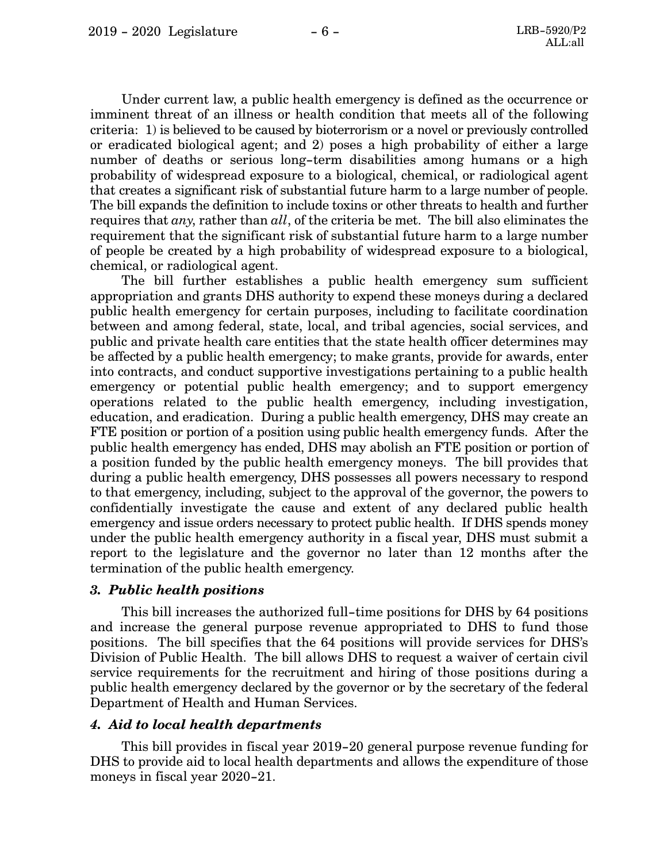Under current law, a public health emergency is defined as the occurrence or imminent threat of an illness or health condition that meets all of the following criteria: 1) is believed to be caused by bioterrorism or a novel or previously controlled or eradicated biological agent; and 2) poses a high probability of either a large number of deaths or serious long-term disabilities among humans or a high probability of widespread exposure to a biological, chemical, or radiological agent that creates a significant risk of substantial future harm to a large number of people. The bill expands the definition to include toxins or other threats to health and further requires that *any*, rather than *all*, of the criteria be met. The bill also eliminates the requirement that the significant risk of substantial future harm to a large number of people be created by a high probability of widespread exposure to a biological, chemical, or radiological agent.

The bill further establishes a public health emergency sum sufficient appropriation and grants DHS authority to expend these moneys during a declared public health emergency for certain purposes, including to facilitate coordination between and among federal, state, local, and tribal agencies, social services, and public and private health care entities that the state health officer determines may be affected by a public health emergency; to make grants, provide for awards, enter into contracts, and conduct supportive investigations pertaining to a public health emergency or potential public health emergency; and to support emergency operations related to the public health emergency, including investigation, education, and eradication. During a public health emergency, DHS may create an FTE position or portion of a position using public health emergency funds. After the public health emergency has ended, DHS may abolish an FTE position or portion of a position funded by the public health emergency moneys. The bill provides that during a public health emergency, DHS possesses all powers necessary to respond to that emergency, including, subject to the approval of the governor, the powers to confidentially investigate the cause and extent of any declared public health emergency and issue orders necessary to protect public health. If DHS spends money under the public health emergency authority in a fiscal year, DHS must submit a report to the legislature and the governor no later than 12 months after the termination of the public health emergency.

### *3. Public health positions*

This bill increases the authorized full-time positions for DHS by 64 positions and increase the general purpose revenue appropriated to DHS to fund those positions. The bill specifies that the 64 positions will provide services for DHS's Division of Public Health. The bill allows DHS to request a waiver of certain civil service requirements for the recruitment and hiring of those positions during a public health emergency declared by the governor or by the secretary of the federal Department of Health and Human Services.

#### *4. Aid to local health departments*

This bill provides in fiscal year 2019-20 general purpose revenue funding for DHS to provide aid to local health departments and allows the expenditure of those moneys in fiscal year 2020-21.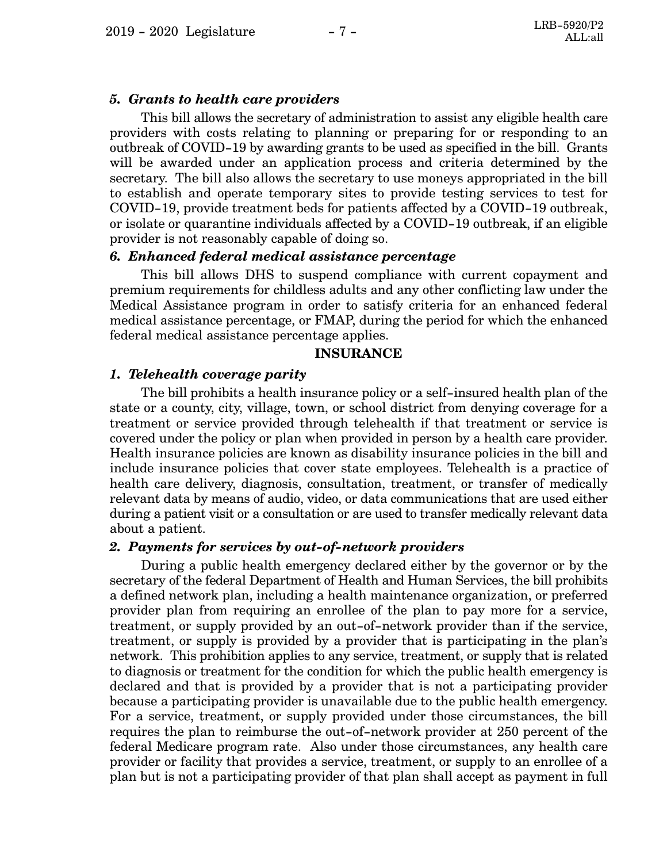#### *5. Grants to health care providers*

This bill allows the secretary of administration to assist any eligible health care providers with costs relating to planning or preparing for or responding to an outbreak of COVID-19 by awarding grants to be used as specified in the bill. Grants will be awarded under an application process and criteria determined by the secretary. The bill also allows the secretary to use moneys appropriated in the bill to establish and operate temporary sites to provide testing services to test for COVID-19, provide treatment beds for patients affected by a COVID-19 outbreak, or isolate or quarantine individuals affected by a COVID-19 outbreak, if an eligible provider is not reasonably capable of doing so.

#### *6. Enhanced federal medical assistance percentage*

This bill allows DHS to suspend compliance with current copayment and premium requirements for childless adults and any other conflicting law under the Medical Assistance program in order to satisfy criteria for an enhanced federal medical assistance percentage, or FMAP, during the period for which the enhanced federal medical assistance percentage applies.

### **INSURANCE**

#### *1. Telehealth coverage parity*

The bill prohibits a health insurance policy or a self-insured health plan of the state or a county, city, village, town, or school district from denying coverage for a treatment or service provided through telehealth if that treatment or service is covered under the policy or plan when provided in person by a health care provider. Health insurance policies are known as disability insurance policies in the bill and include insurance policies that cover state employees. Telehealth is a practice of health care delivery, diagnosis, consultation, treatment, or transfer of medically relevant data by means of audio, video, or data communications that are used either during a patient visit or a consultation or are used to transfer medically relevant data about a patient.

#### *2. Payments for services by out-of-network providers*

During a public health emergency declared either by the governor or by the secretary of the federal Department of Health and Human Services, the bill prohibits a defined network plan, including a health maintenance organization, or preferred provider plan from requiring an enrollee of the plan to pay more for a service, treatment, or supply provided by an out-of-network provider than if the service, treatment, or supply is provided by a provider that is participating in the plan's network. This prohibition applies to any service, treatment, or supply that is related to diagnosis or treatment for the condition for which the public health emergency is declared and that is provided by a provider that is not a participating provider because a participating provider is unavailable due to the public health emergency. For a service, treatment, or supply provided under those circumstances, the bill requires the plan to reimburse the out-of-network provider at 250 percent of the federal Medicare program rate. Also under those circumstances, any health care provider or facility that provides a service, treatment, or supply to an enrollee of a plan but is not a participating provider of that plan shall accept as payment in full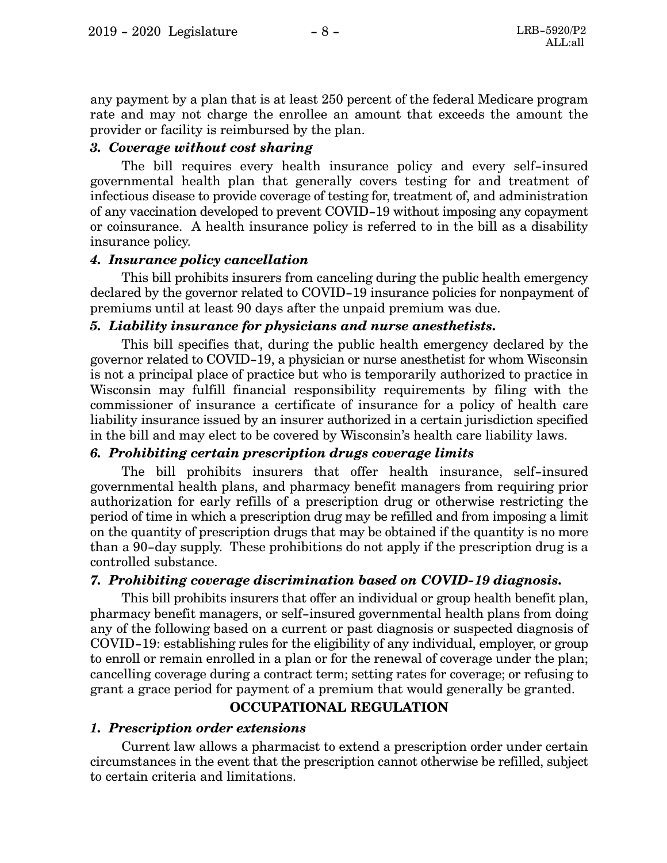any payment by a plan that is at least 250 percent of the federal Medicare program rate and may not charge the enrollee an amount that exceeds the amount the provider or facility is reimbursed by the plan.

### *3. Coverage without cost sharing*

The bill requires every health insurance policy and every self-insured governmental health plan that generally covers testing for and treatment of infectious disease to provide coverage of testing for, treatment of, and administration of any vaccination developed to prevent COVID-19 without imposing any copayment or coinsurance. A health insurance policy is referred to in the bill as a disability insurance policy.

### *4. Insurance policy cancellation*

This bill prohibits insurers from canceling during the public health emergency declared by the governor related to COVID-19 insurance policies for nonpayment of premiums until at least 90 days after the unpaid premium was due.

### *5. Liability insurance for physicians and nurse anesthetists.*

This bill specifies that, during the public health emergency declared by the governor related to COVID-19, a physician or nurse anesthetist for whom Wisconsin is not a principal place of practice but who is temporarily authorized to practice in Wisconsin may fulfill financial responsibility requirements by filing with the commissioner of insurance a certificate of insurance for a policy of health care liability insurance issued by an insurer authorized in a certain jurisdiction specified in the bill and may elect to be covered by Wisconsin's health care liability laws.

## *6. Prohibiting certain prescription drugs coverage limits*

The bill prohibits insurers that offer health insurance, self-insured governmental health plans, and pharmacy benefit managers from requiring prior authorization for early refills of a prescription drug or otherwise restricting the period of time in which a prescription drug may be refilled and from imposing a limit on the quantity of prescription drugs that may be obtained if the quantity is no more than a 90-day supply. These prohibitions do not apply if the prescription drug is a controlled substance.

## *7. Prohibiting coverage discrimination based on COVID-19 diagnosis.*

This bill prohibits insurers that offer an individual or group health benefit plan, pharmacy benefit managers, or self-insured governmental health plans from doing any of the following based on a current or past diagnosis or suspected diagnosis of COVID-19: establishing rules for the eligibility of any individual, employer, or group to enroll or remain enrolled in a plan or for the renewal of coverage under the plan; cancelling coverage during a contract term; setting rates for coverage; or refusing to grant a grace period for payment of a premium that would generally be granted.

## **OCCUPATIONAL REGULATION**

### *1. Prescription order extensions*

Current law allows a pharmacist to extend a prescription order under certain circumstances in the event that the prescription cannot otherwise be refilled, subject to certain criteria and limitations.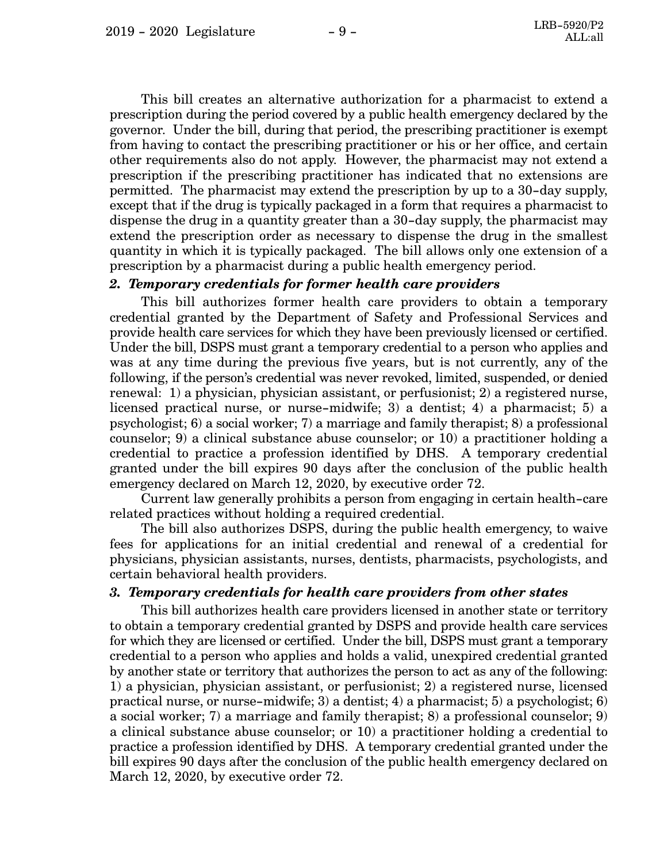This bill creates an alternative authorization for a pharmacist to extend a prescription during the period covered by a public health emergency declared by the governor. Under the bill, during that period, the prescribing practitioner is exempt from having to contact the prescribing practitioner or his or her office, and certain other requirements also do not apply. However, the pharmacist may not extend a prescription if the prescribing practitioner has indicated that no extensions are permitted. The pharmacist may extend the prescription by up to a 30-day supply, except that if the drug is typically packaged in a form that requires a pharmacist to dispense the drug in a quantity greater than a 30-day supply, the pharmacist may extend the prescription order as necessary to dispense the drug in the smallest quantity in which it is typically packaged. The bill allows only one extension of a prescription by a pharmacist during a public health emergency period.

### *2. Temporary credentials for former health care providers*

This bill authorizes former health care providers to obtain a temporary credential granted by the Department of Safety and Professional Services and provide health care services for which they have been previously licensed or certified. Under the bill, DSPS must grant a temporary credential to a person who applies and was at any time during the previous five years, but is not currently, any of the following, if the person's credential was never revoked, limited, suspended, or denied renewal: 1) a physician, physician assistant, or perfusionist; 2) a registered nurse, licensed practical nurse, or nurse-midwife; 3) a dentist; 4) a pharmacist; 5) a psychologist; 6) a social worker; 7) a marriage and family therapist; 8) a professional counselor; 9) a clinical substance abuse counselor; or 10) a practitioner holding a credential to practice a profession identified by DHS. A temporary credential granted under the bill expires 90 days after the conclusion of the public health emergency declared on March 12, 2020, by executive order 72.

Current law generally prohibits a person from engaging in certain health-care related practices without holding a required credential.

The bill also authorizes DSPS, during the public health emergency, to waive fees for applications for an initial credential and renewal of a credential for physicians, physician assistants, nurses, dentists, pharmacists, psychologists, and certain behavioral health providers.

#### *3. Temporary credentials for health care providers from other states*

This bill authorizes health care providers licensed in another state or territory to obtain a temporary credential granted by DSPS and provide health care services for which they are licensed or certified. Under the bill, DSPS must grant a temporary credential to a person who applies and holds a valid, unexpired credential granted by another state or territory that authorizes the person to act as any of the following: 1) a physician, physician assistant, or perfusionist; 2) a registered nurse, licensed practical nurse, or nurse-midwife; 3) a dentist; 4) a pharmacist; 5) a psychologist; 6) a social worker; 7) a marriage and family therapist; 8) a professional counselor; 9) a clinical substance abuse counselor; or 10) a practitioner holding a credential to practice a profession identified by DHS. A temporary credential granted under the bill expires 90 days after the conclusion of the public health emergency declared on March 12, 2020, by executive order 72.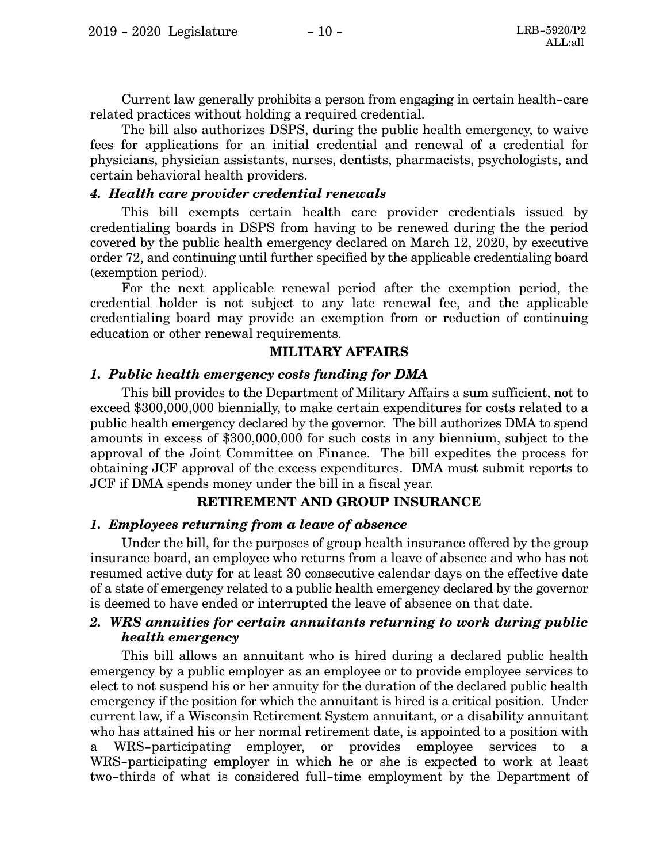Current law generally prohibits a person from engaging in certain health-care related practices without holding a required credential.

The bill also authorizes DSPS, during the public health emergency, to waive fees for applications for an initial credential and renewal of a credential for physicians, physician assistants, nurses, dentists, pharmacists, psychologists, and certain behavioral health providers.

#### *4. Health care provider credential renewals*

This bill exempts certain health care provider credentials issued by credentialing boards in DSPS from having to be renewed during the the period covered by the public health emergency declared on March 12, 2020, by executive order 72, and continuing until further specified by the applicable credentialing board (exemption period).

For the next applicable renewal period after the exemption period, the credential holder is not subject to any late renewal fee, and the applicable credentialing board may provide an exemption from or reduction of continuing education or other renewal requirements.

### **MILITARY AFFAIRS**

#### *1. Public health emergency costs funding for DMA*

This bill provides to the Department of Military Affairs a sum sufficient, not to exceed \$300,000,000 biennially, to make certain expenditures for costs related to a public health emergency declared by the governor. The bill authorizes DMA to spend amounts in excess of \$300,000,000 for such costs in any biennium, subject to the approval of the Joint Committee on Finance. The bill expedites the process for obtaining JCF approval of the excess expenditures. DMA must submit reports to JCF if DMA spends money under the bill in a fiscal year.

#### **RETIREMENT AND GROUP INSURANCE**

#### *1. Employees returning from a leave of absence*

Under the bill, for the purposes of group health insurance offered by the group insurance board, an employee who returns from a leave of absence and who has not resumed active duty for at least 30 consecutive calendar days on the effective date of a state of emergency related to a public health emergency declared by the governor is deemed to have ended or interrupted the leave of absence on that date.

### *2. WRS annuities for certain annuitants returning to work during public health emergency*

This bill allows an annuitant who is hired during a declared public health emergency by a public employer as an employee or to provide employee services to elect to not suspend his or her annuity for the duration of the declared public health emergency if the position for which the annuitant is hired is a critical position. Under current law, if a Wisconsin Retirement System annuitant, or a disability annuitant who has attained his or her normal retirement date, is appointed to a position with a WRS-participating employer, or provides employee services to a WRS-participating employer in which he or she is expected to work at least two-thirds of what is considered full-time employment by the Department of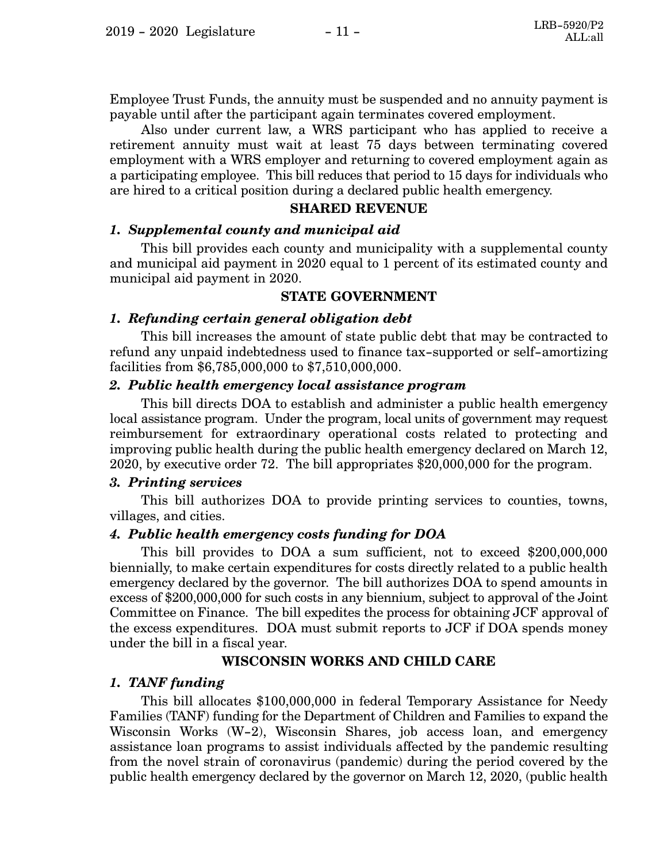Employee Trust Funds, the annuity must be suspended and no annuity payment is payable until after the participant again terminates covered employment.

Also under current law, a WRS participant who has applied to receive a retirement annuity must wait at least 75 days between terminating covered employment with a WRS employer and returning to covered employment again as a participating employee. This bill reduces that period to 15 days for individuals who are hired to a critical position during a declared public health emergency.

#### **SHARED REVENUE**

### *1. Supplemental county and municipal aid*

This bill provides each county and municipality with a supplemental county and municipal aid payment in 2020 equal to 1 percent of its estimated county and municipal aid payment in 2020.

### **STATE GOVERNMENT**

### *1. Refunding certain general obligation debt*

This bill increases the amount of state public debt that may be contracted to refund any unpaid indebtedness used to finance tax-supported or self-amortizing facilities from \$6,785,000,000 to \$7,510,000,000.

### *2. Public health emergency local assistance program*

This bill directs DOA to establish and administer a public health emergency local assistance program. Under the program, local units of government may request reimbursement for extraordinary operational costs related to protecting and improving public health during the public health emergency declared on March 12, 2020, by executive order 72. The bill appropriates \$20,000,000 for the program.

#### *3. Printing services*

This bill authorizes DOA to provide printing services to counties, towns, villages, and cities.

### *4. Public health emergency costs funding for DOA*

This bill provides to DOA a sum sufficient, not to exceed \$200,000,000 biennially, to make certain expenditures for costs directly related to a public health emergency declared by the governor. The bill authorizes DOA to spend amounts in excess of \$200,000,000 for such costs in any biennium, subject to approval of the Joint Committee on Finance. The bill expedites the process for obtaining JCF approval of the excess expenditures. DOA must submit reports to JCF if DOA spends money under the bill in a fiscal year.

### **WISCONSIN WORKS AND CHILD CARE**

### *1. TANF funding*

This bill allocates \$100,000,000 in federal Temporary Assistance for Needy Families (TANF) funding for the Department of Children and Families to expand the Wisconsin Works (W-2), Wisconsin Shares, job access loan, and emergency assistance loan programs to assist individuals affected by the pandemic resulting from the novel strain of coronavirus (pandemic) during the period covered by the public health emergency declared by the governor on March 12, 2020, (public health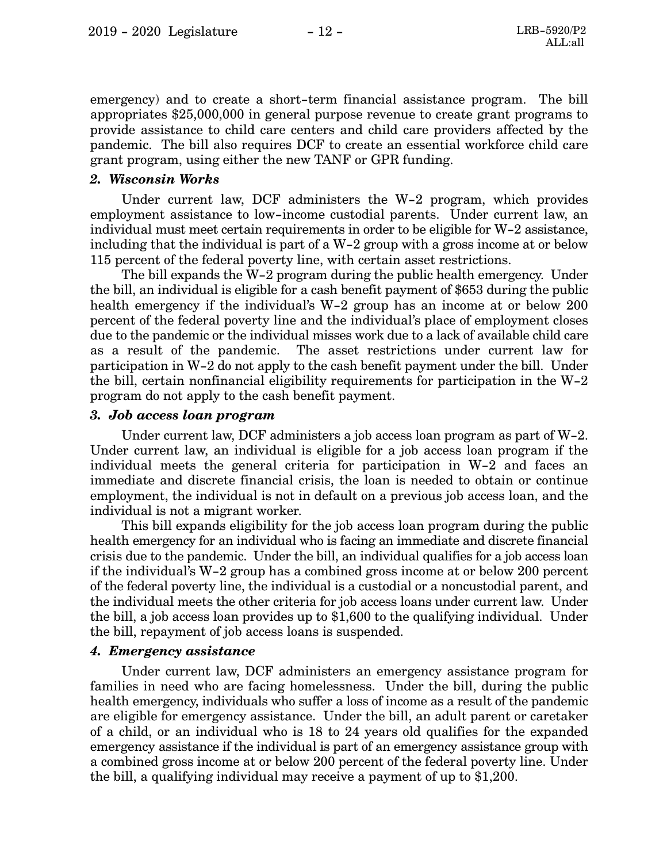emergency) and to create a short-term financial assistance program. The bill appropriates \$25,000,000 in general purpose revenue to create grant programs to provide assistance to child care centers and child care providers affected by the pandemic. The bill also requires DCF to create an essential workforce child care grant program, using either the new TANF or GPR funding.

### *2. Wisconsin Works*

Under current law, DCF administers the W-2 program, which provides employment assistance to low-income custodial parents. Under current law, an individual must meet certain requirements in order to be eligible for W-2 assistance, including that the individual is part of a W-2 group with a gross income at or below 115 percent of the federal poverty line, with certain asset restrictions.

The bill expands the W-2 program during the public health emergency. Under the bill, an individual is eligible for a cash benefit payment of \$653 during the public health emergency if the individual's W-2 group has an income at or below 200 percent of the federal poverty line and the individual's place of employment closes due to the pandemic or the individual misses work due to a lack of available child care as a result of the pandemic. The asset restrictions under current law for participation in W-2 do not apply to the cash benefit payment under the bill. Under the bill, certain nonfinancial eligibility requirements for participation in the W-2 program do not apply to the cash benefit payment.

#### *3. Job access loan program*

Under current law, DCF administers a job access loan program as part of W-2. Under current law, an individual is eligible for a job access loan program if the individual meets the general criteria for participation in W-2 and faces an immediate and discrete financial crisis, the loan is needed to obtain or continue employment, the individual is not in default on a previous job access loan, and the individual is not a migrant worker.

This bill expands eligibility for the job access loan program during the public health emergency for an individual who is facing an immediate and discrete financial crisis due to the pandemic. Under the bill, an individual qualifies for a job access loan if the individual's W-2 group has a combined gross income at or below 200 percent of the federal poverty line, the individual is a custodial or a noncustodial parent, and the individual meets the other criteria for job access loans under current law. Under the bill, a job access loan provides up to \$1,600 to the qualifying individual. Under the bill, repayment of job access loans is suspended.

#### *4. Emergency assistance*

Under current law, DCF administers an emergency assistance program for families in need who are facing homelessness. Under the bill, during the public health emergency, individuals who suffer a loss of income as a result of the pandemic are eligible for emergency assistance. Under the bill, an adult parent or caretaker of a child, or an individual who is 18 to 24 years old qualifies for the expanded emergency assistance if the individual is part of an emergency assistance group with a combined gross income at or below 200 percent of the federal poverty line. Under the bill, a qualifying individual may receive a payment of up to \$1,200.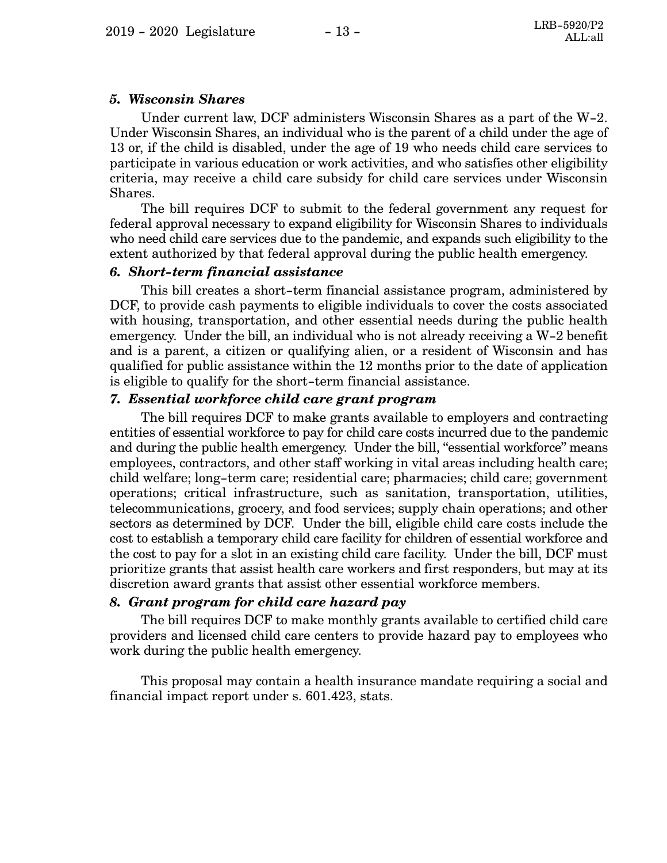### *5. Wisconsin Shares*

Under current law, DCF administers Wisconsin Shares as a part of the W-2. Under Wisconsin Shares, an individual who is the parent of a child under the age of 13 or, if the child is disabled, under the age of 19 who needs child care services to participate in various education or work activities, and who satisfies other eligibility criteria, may receive a child care subsidy for child care services under Wisconsin Shares.

The bill requires DCF to submit to the federal government any request for federal approval necessary to expand eligibility for Wisconsin Shares to individuals who need child care services due to the pandemic, and expands such eligibility to the extent authorized by that federal approval during the public health emergency.

### *6. Short-term financial assistance*

This bill creates a short-term financial assistance program, administered by DCF, to provide cash payments to eligible individuals to cover the costs associated with housing, transportation, and other essential needs during the public health emergency. Under the bill, an individual who is not already receiving a W-2 benefit and is a parent, a citizen or qualifying alien, or a resident of Wisconsin and has qualified for public assistance within the 12 months prior to the date of application is eligible to qualify for the short-term financial assistance.

### *7. Essential workforce child care grant program*

The bill requires DCF to make grants available to employers and contracting entities of essential workforce to pay for child care costs incurred due to the pandemic and during the public health emergency. Under the bill, "essential workforce" means employees, contractors, and other staff working in vital areas including health care; child welfare; long-term care; residential care; pharmacies; child care; government operations; critical infrastructure, such as sanitation, transportation, utilities, telecommunications, grocery, and food services; supply chain operations; and other sectors as determined by DCF. Under the bill, eligible child care costs include the cost to establish a temporary child care facility for children of essential workforce and the cost to pay for a slot in an existing child care facility. Under the bill, DCF must prioritize grants that assist health care workers and first responders, but may at its discretion award grants that assist other essential workforce members.

### *8. Grant program for child care hazard pay*

The bill requires DCF to make monthly grants available to certified child care providers and licensed child care centers to provide hazard pay to employees who work during the public health emergency.

This proposal may contain a health insurance mandate requiring a social and financial impact report under s. 601.423, stats.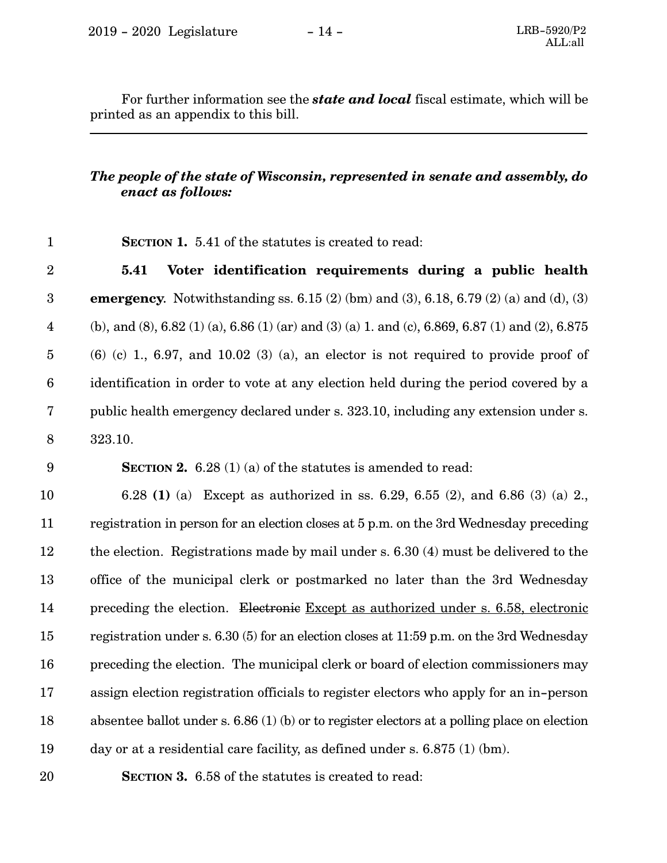For further information see the *state and local* fiscal estimate, which will be printed as an appendix to this bill.

### *The people of the state of Wisconsin, represented in senate and assembly, do enact as follows:*

**SECTION 1.** 5.41 of the statutes is created to read:

**5.41 Voter identification requirements during a public health emergency.** Notwithstanding ss. 6.15 (2) (bm) and (3), 6.18, 6.79 (2) (a) and (d), (3) (b), and (8), 6.82 (1) (a), 6.86 (1) (ar) and (3) (a) 1. and (c), 6.869, 6.87 (1) and (2), 6.875  $(6)$  (c) 1, 6.97, and 10.02 (3) (a), an elector is not required to provide proof of identification in order to vote at any election held during the period covered by a public health emergency declared under s. 323.10, including any extension under s. 323.10. 2 3 4 5 6 7 8

9

1

**SECTION 2.** 6.28 (1) (a) of the statutes is amended to read:

6.28 **(1)** (a) Except as authorized in ss. 6.29, 6.55 (2), and 6.86 (3) (a) 2., registration in person for an election closes at 5 p.m. on the 3rd Wednesday preceding the election. Registrations made by mail under s. 6.30 (4) must be delivered to the office of the municipal clerk or postmarked no later than the 3rd Wednesday preceding the election. Electronic Except as authorized under s. 6.58, electronic registration under s. 6.30 (5) for an election closes at 11:59 p.m. on the 3rd Wednesday preceding the election. The municipal clerk or board of election commissioners may assign election registration officials to register electors who apply for an in-person absentee ballot under s. 6.86 (1) (b) or to register electors at a polling place on election day or at a residential care facility, as defined under s. 6.875 (1) (bm). 10 11 12 13 14 15 16 17 18 19

20

**SECTION 3.** 6.58 of the statutes is created to read: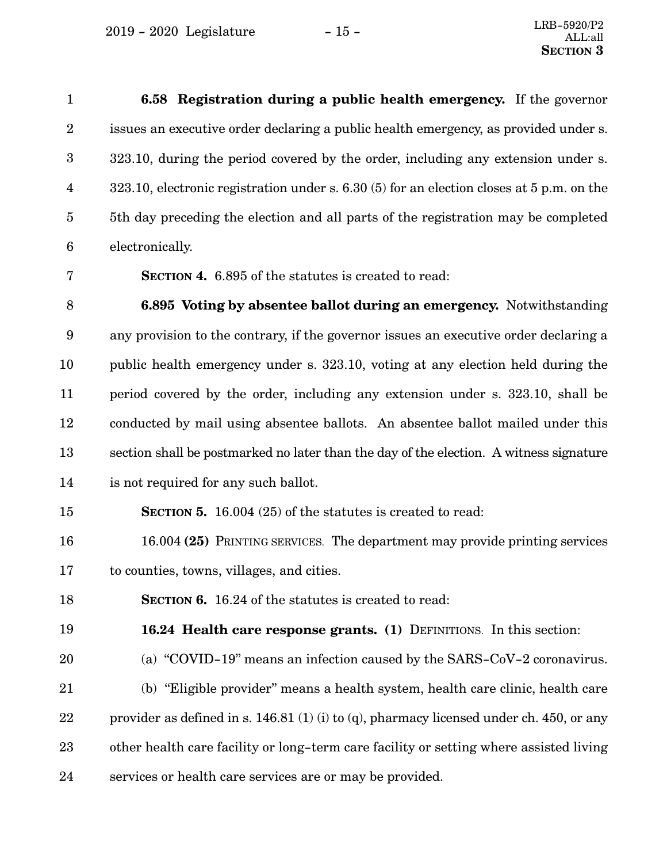$2019 - 2020$  Legislature  $-15 -$ 

**6.58 Registration during a public health emergency.** If the governor issues an executive order declaring a public health emergency, as provided under s. 323.10, during the period covered by the order, including any extension under s. 323.10, electronic registration under s. 6.30 (5) for an election closes at 5 p.m. on the 5th day preceding the election and all parts of the registration may be completed electronically. 1 2 3 4 5 6

7

**SECTION 4.** 6.895 of the statutes is created to read:

**6.895 Voting by absentee ballot during an emergency.** Notwithstanding any provision to the contrary, if the governor issues an executive order declaring a public health emergency under s. 323.10, voting at any election held during the period covered by the order, including any extension under s. 323.10, shall be conducted by mail using absentee ballots. An absentee ballot mailed under this section shall be postmarked no later than the day of the election. A witness signature is not required for any such ballot. 8 9 10 11 12 13 14

#### **SECTION 5.** 16.004 (25) of the statutes is created to read: 15

- 16.004 **(25)** PRINTING SERVICES. The department may provide printing services to counties, towns, villages, and cities. 16 17
- **SECTION 6.** 16.24 of the statutes is created to read: 18

**16.24 Health care response grants. (1)** DEFINITIONS. In this section: 19

(a) "COVID-19" means an infection caused by the SARS-CoV-2 coronavirus. 20

(b) "Eligible provider" means a health system, health care clinic, health care provider as defined in s. 146.81 (1) (i) to (q), pharmacy licensed under ch. 450, or any other health care facility or long-term care facility or setting where assisted living services or health care services are or may be provided. 21 22 23 24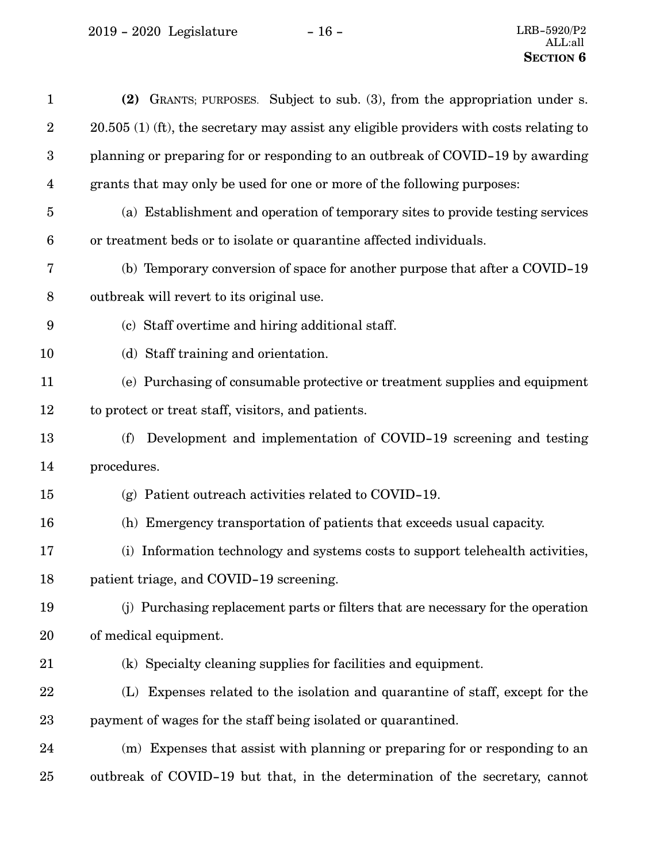2019 - 2020 Legislature - 16 - LRB-5920/P2

| $\mathbf{1}$            | (2) GRANTS; PURPOSES. Subject to sub. (3), from the appropriation under s.                |
|-------------------------|-------------------------------------------------------------------------------------------|
| $\boldsymbol{2}$        | $20.505$ (1) (ft), the secretary may assist any eligible providers with costs relating to |
| $\boldsymbol{3}$        | planning or preparing for or responding to an outbreak of COVID-19 by awarding            |
| $\overline{\mathbf{4}}$ | grants that may only be used for one or more of the following purposes:                   |
| $\overline{5}$          | (a) Establishment and operation of temporary sites to provide testing services            |
| $6\phantom{1}6$         | or treatment beds or to isolate or quarantine affected individuals.                       |
| 7                       | (b) Temporary conversion of space for another purpose that after a COVID-19               |
| $8\,$                   | outbreak will revert to its original use.                                                 |
| $\boldsymbol{9}$        | (c) Staff overtime and hiring additional staff.                                           |
| 10                      | (d) Staff training and orientation.                                                       |
| 11                      | (e) Purchasing of consumable protective or treatment supplies and equipment               |
| 12                      | to protect or treat staff, visitors, and patients.                                        |
| 13                      | Development and implementation of COVID-19 screening and testing<br>(f)                   |
| 14                      | procedures.                                                                               |
| 15                      | $(g)$ Patient outreach activities related to COVID-19.                                    |
| 16                      | (h) Emergency transportation of patients that exceeds usual capacity.                     |
| 17                      | (i) Information technology and systems costs to support telehealth activities,            |
| 18                      | patient triage, and COVID-19 screening.                                                   |
| 19                      | (j) Purchasing replacement parts or filters that are necessary for the operation          |
| 20                      | of medical equipment.                                                                     |
| 21                      | (k) Specialty cleaning supplies for facilities and equipment.                             |
| 22                      | (L) Expenses related to the isolation and quarantine of staff, except for the             |
| 23                      | payment of wages for the staff being isolated or quarantined.                             |
| 24                      | (m) Expenses that assist with planning or preparing for or responding to an               |
| 25                      | outbreak of COVID-19 but that, in the determination of the secretary, cannot              |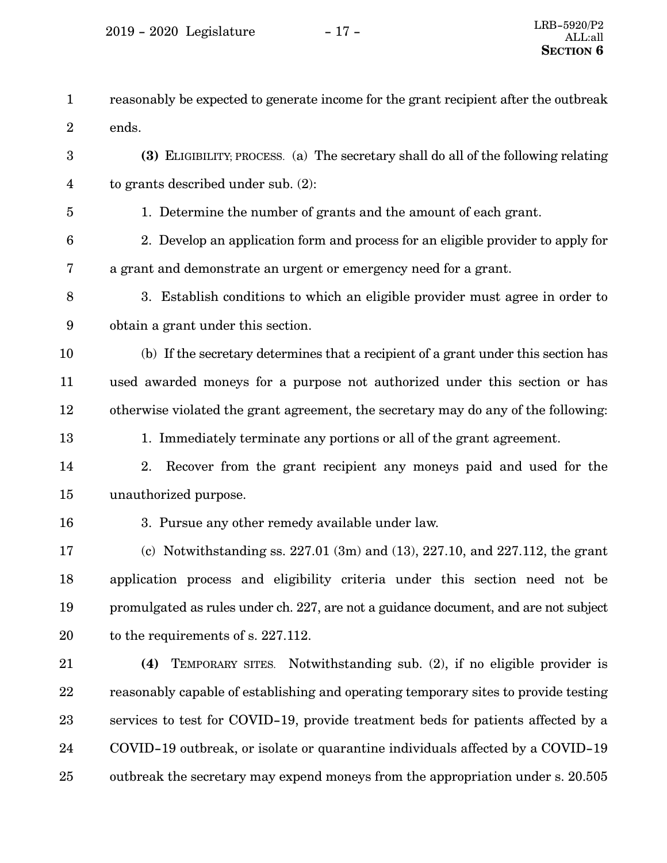| $\mathbf{1}$    | reasonably be expected to generate income for the grant recipient after the outbreak |
|-----------------|--------------------------------------------------------------------------------------|
| $\overline{2}$  | ends.                                                                                |
| 3               | (3) ELIGIBILITY; PROCESS. (a) The secretary shall do all of the following relating   |
| 4               | to grants described under sub. $(2)$ :                                               |
| $\overline{5}$  | 1. Determine the number of grants and the amount of each grant.                      |
| $6\phantom{1}6$ | 2. Develop an application form and process for an eligible provider to apply for     |
| 7               | a grant and demonstrate an urgent or emergency need for a grant.                     |
| 8               | 3. Establish conditions to which an eligible provider must agree in order to         |
| $9\phantom{.0}$ | obtain a grant under this section.                                                   |
| 10              | (b) If the secretary determines that a recipient of a grant under this section has   |
| 11              | used awarded moneys for a purpose not authorized under this section or has           |
| 12              | otherwise violated the grant agreement, the secretary may do any of the following:   |
| 13              | 1. Immediately terminate any portions or all of the grant agreement.                 |
| 14              | Recover from the grant recipient any moneys paid and used for the<br>2.              |
| 15              | unauthorized purpose.                                                                |
| 16              | 3. Pursue any other remedy available under law.                                      |
| 17              | (c) Notwithstanding ss. $227.01$ (3m) and (13), $227.10$ , and $227.112$ , the grant |
| 18              | application process and eligibility criteria under this section need not be          |
| 19              | promulgated as rules under ch. 227, are not a guidance document, and are not subject |
| 20              | to the requirements of s. 227.112.                                                   |
| 21              | Notwithstanding sub. (2), if no eligible provider is<br>(4)<br>TEMPORARY SITES.      |
| 22              | reasonably capable of establishing and operating temporary sites to provide testing  |
| 23              | services to test for COVID-19, provide treatment beds for patients affected by a     |
| 24              | COVID-19 outbreak, or isolate or quarantine individuals affected by a COVID-19       |
| 25              | outbreak the secretary may expend moneys from the appropriation under s. 20.505      |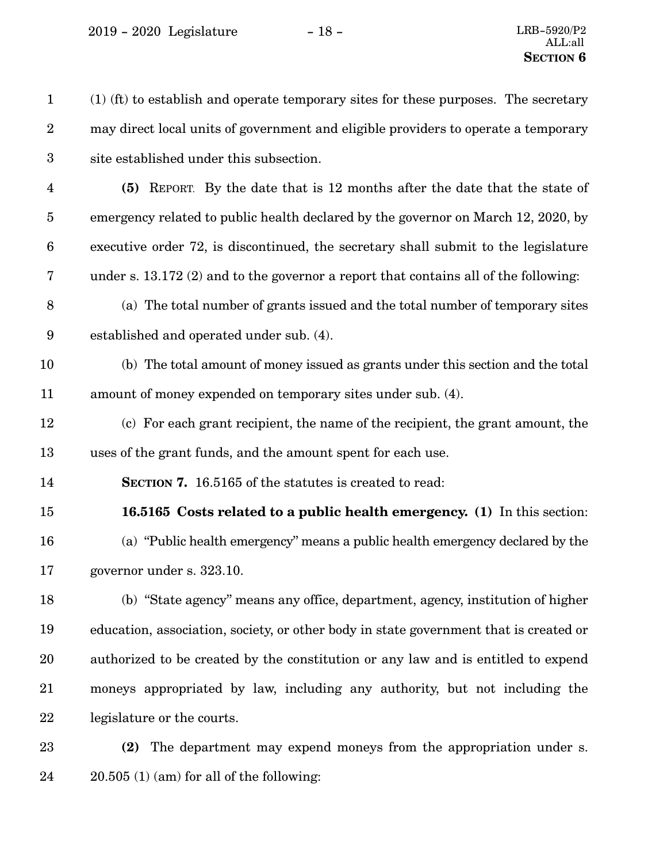2019 - 2020 Legislature - 18 - LRB-5920/P2

(1) (ft) to establish and operate temporary sites for these purposes. The secretary may direct local units of government and eligible providers to operate a temporary site established under this subsection. **(5)** REPORT. By the date that is 12 months after the date that the state of emergency related to public health declared by the governor on March 12, 2020, by executive order 72, is discontinued, the secretary shall submit to the legislature under s. 13.172 (2) and to the governor a report that contains all of the following: (a) The total number of grants issued and the total number of temporary sites established and operated under sub. (4). (b) The total amount of money issued as grants under this section and the total amount of money expended on temporary sites under sub. (4). (c) For each grant recipient, the name of the recipient, the grant amount, the uses of the grant funds, and the amount spent for each use. **SECTION 7.** 16.5165 of the statutes is created to read: **16.5165 Costs related to a public health emergency. (1)** In this section: (a) "Public health emergency" means a public health emergency declared by the governor under s. 323.10. (b) "State agency" means any office, department, agency, institution of higher education, association, society, or other body in state government that is created or authorized to be created by the constitution or any law and is entitled to expend moneys appropriated by law, including any authority, but not including the legislature or the courts. **(2)** The department may expend moneys from the appropriation under s. 1 2 3 4 5 6 7 8 9 10 11 12 13 14 15 16 17 18 19 20 21 22 23

20.505 (1) (am) for all of the following: 24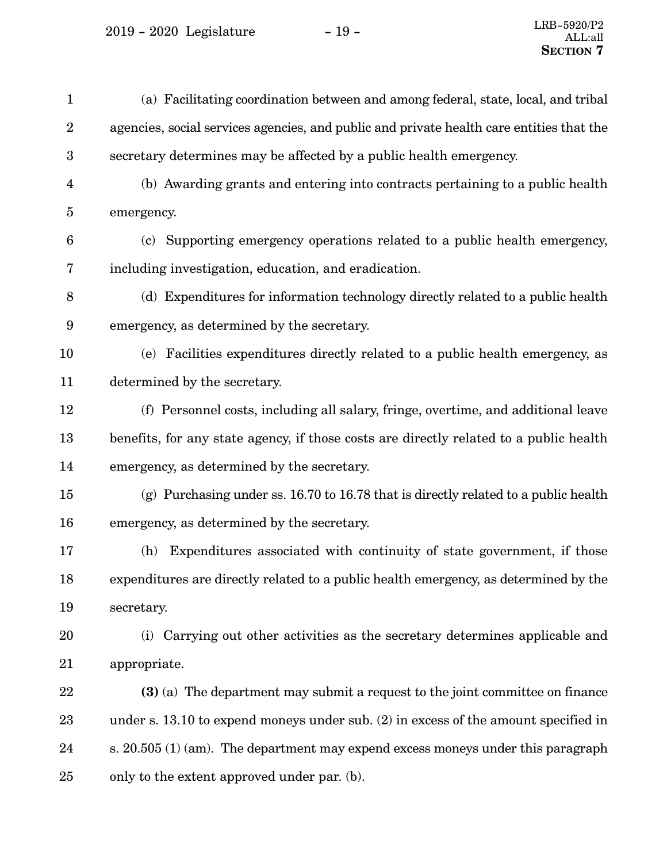$\,$  2019 - 2020  $\,$  Legislature  $\,$   $\,$   $\,$  –  $\,$  19 -  $\,$ 

| $\mathbf{1}$     | (a) Facilitating coordination between and among federal, state, local, and tribal        |
|------------------|------------------------------------------------------------------------------------------|
| $\boldsymbol{2}$ | agencies, social services agencies, and public and private health care entities that the |
| $\boldsymbol{3}$ | secretary determines may be affected by a public health emergency.                       |
| $\overline{4}$   | (b) Awarding grants and entering into contracts pertaining to a public health            |
| $\overline{5}$   | emergency.                                                                               |
| $\boldsymbol{6}$ | (c) Supporting emergency operations related to a public health emergency,                |
| 7                | including investigation, education, and eradication.                                     |
| $\, 8$           | (d) Expenditures for information technology directly related to a public health          |
| $\boldsymbol{9}$ | emergency, as determined by the secretary.                                               |
| 10               | (e) Facilities expenditures directly related to a public health emergency, as            |
| 11               | determined by the secretary.                                                             |
| 12               | (f) Personnel costs, including all salary, fringe, overtime, and additional leave        |
| 13               | benefits, for any state agency, if those costs are directly related to a public health   |
| 14               | emergency, as determined by the secretary.                                               |
| 15               | (g) Purchasing under ss. $16.70$ to $16.78$ that is directly related to a public health  |
| 16               | emergency, as determined by the secretary.                                               |
| 17               | Expenditures associated with continuity of state government, if those<br>(h)             |
| 18               | expenditures are directly related to a public health emergency, as determined by the     |
| 19               | secretary.                                                                               |
| 20               | (i) Carrying out other activities as the secretary determines applicable and             |
| 21               | appropriate.                                                                             |
| 22               | $(3)$ (a) The department may submit a request to the joint committee on finance          |
| 23               | under s. $13.10$ to expend moneys under sub. $(2)$ in excess of the amount specified in  |
| 24               | s. $20.505(1)$ (am). The department may expend excess moneys under this paragraph        |
| 25               | only to the extent approved under par. (b).                                              |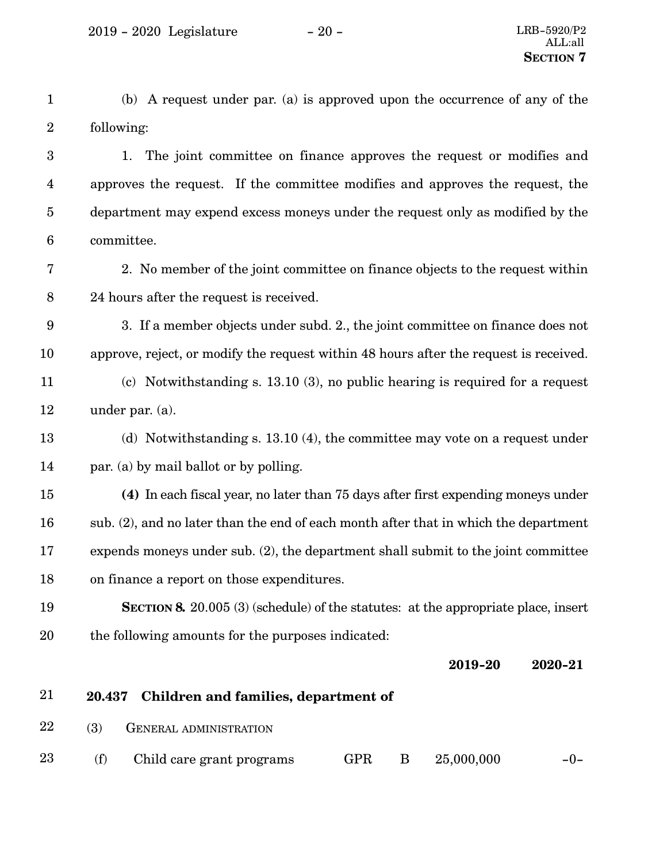|                | (b) A request under par. (a) is approved upon the occurrence of any of the    |
|----------------|-------------------------------------------------------------------------------|
| 2 <sup>1</sup> | following:                                                                    |
| $3 -$          | 1. The joint committee on finance approves the request or modifies and        |
| $\overline{4}$ | approves the request. If the committee modifies and approves the request, the |

department may expend excess moneys under the request only as modified by the committee. 5 6

2. No member of the joint committee on finance objects to the request within 24 hours after the request is received. 7 8

3. If a member objects under subd. 2., the joint committee on finance does not approve, reject, or modify the request within 48 hours after the request is received. 9 10

(c) Notwithstanding s. 13.10 (3), no public hearing is required for a request under par. (a). 11 12

- (d) Notwithstanding s. 13.10 (4), the committee may vote on a request under par. (a) by mail ballot or by polling. 13 14
- **(4)** In each fiscal year, no later than 75 days after first expending moneys under sub. (2), and no later than the end of each month after that in which the department expends moneys under sub. (2), the department shall submit to the joint committee on finance a report on those expenditures. 15 16 17 18
- **SECTION 8.** 20.005 (3) (schedule) of the statutes: at the appropriate place, insert the following amounts for the purposes indicated: 19 20

**2019-20 2020-21**

- **20.437 Children and families, department of** 21
- (3) GENERAL ADMINISTRATION 22
- (f) Child care grant programs  $GPR$  B  $25,000,000$  -0-23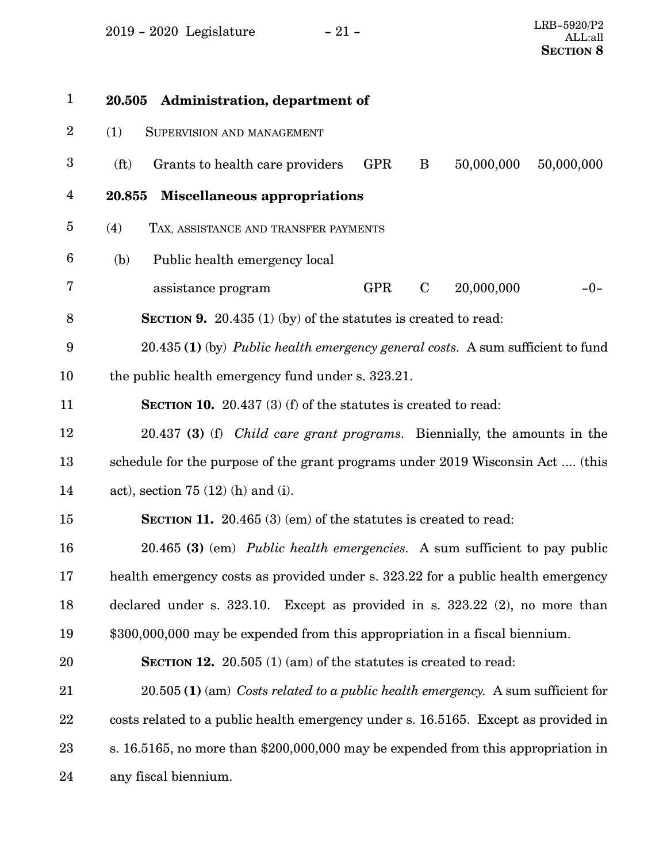2019 - 2020 Legislature - 21 -

| $\mathbf{1}$     | 20.505 Administration, department of                                                         |
|------------------|----------------------------------------------------------------------------------------------|
| $\overline{2}$   | (1)<br>SUPERVISION AND MANAGEMENT                                                            |
| $\boldsymbol{3}$ | 50,000,000<br>(f <sub>t</sub> )<br>GPR<br>B<br>50,000,000<br>Grants to health care providers |
| 4                | <b>Miscellaneous appropriations</b><br>20.855                                                |
| $\overline{5}$   | (4)<br>TAX, ASSISTANCE AND TRANSFER PAYMENTS                                                 |
| 6                | (b)<br>Public health emergency local                                                         |
| 7                | 20,000,000<br>assistance program<br><b>GPR</b><br>$\mathbf C$<br>$-0-$                       |
| 8                | <b>SECTION 9.</b> 20.435 (1) (by) of the statutes is created to read:                        |
| 9                | 20.435 (1) (by) <i>Public health emergency general costs.</i> A sum sufficient to fund       |
| 10               | the public health emergency fund under s. 323.21.                                            |
| 11               | <b>SECTION 10.</b> 20.437 (3) (f) of the statutes is created to read:                        |
| 12               | 20.437 (3) (f) <i>Child care grant programs</i> . Biennially, the amounts in the             |
| 13               | schedule for the purpose of the grant programs under 2019 Wisconsin Act  (this               |
| 14               | act), section $75(12)$ (h) and (i).                                                          |
| 15               | <b>SECTION 11.</b> 20.465 $(3)$ (em) of the statutes is created to read:                     |
| 16               | 20.465 (3) (em) Public health emergencies. A sum sufficient to pay public                    |
| 17               | health emergency costs as provided under s. 323.22 for a public health emergency             |
| 18               | declared under s. $323.10$ . Except as provided in s. $323.22$ (2), no more than             |
| 19               | \$300,000,000 may be expended from this appropriation in a fiscal biennium.                  |
| 20               | <b>SECTION 12.</b> 20.505 (1) (am) of the statutes is created to read:                       |
| 21               | $20.505$ (1) (am) Costs related to a public health emergency. A sum sufficient for           |
| 22               | costs related to a public health emergency under s. 16.5165. Except as provided in           |
| $23\,$           | s. 16.5165, no more than \$200,000,000 may be expended from this appropriation in            |
| 24               | any fiscal biennium.                                                                         |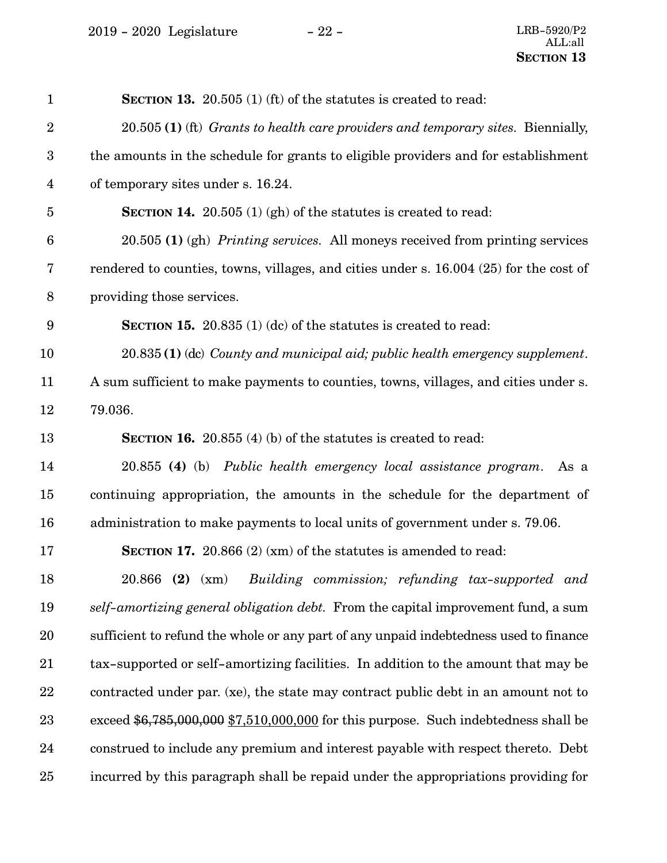2019 - 2020 Legislature - 22 - LRB-5920/P2

| $\mathbf{1}$            | <b>SECTION 13.</b> 20.505 (1) (ft) of the statures is created to read:                 |
|-------------------------|----------------------------------------------------------------------------------------|
| $\boldsymbol{2}$        | 20.505 (1) (ft) Grants to health care providers and temporary sites. Biennially,       |
| $\boldsymbol{3}$        | the amounts in the schedule for grants to eligible providers and for establishment     |
| $\overline{\mathbf{4}}$ | of temporary sites under s. 16.24.                                                     |
| $\overline{5}$          | <b>SECTION 14.</b> 20.505 (1) (gh) of the statures is created to read:                 |
| $\boldsymbol{6}$        | 20.505 (1) (gh) Printing services. All moneys received from printing services          |
| 7                       | rendered to counties, towns, villages, and cities under s. 16.004 (25) for the cost of |
| $8\,$                   | providing those services.                                                              |
| $\boldsymbol{9}$        | <b>SECTION 15.</b> 20.835 (1) (dc) of the statures is created to read:                 |
| 10                      | 20.835 (1) (dc) County and municipal aid; public health emergency supplement.          |
| 11                      | A sum sufficient to make payments to counties, towns, villages, and cities under s.    |
| 12                      | 79.036.                                                                                |
| 13                      | <b>SECTION 16.</b> 20.855 (4) (b) of the statutes is created to read:                  |
| 14                      | 20.855 (4) (b) Public health emergency local assistance program. As a                  |
| 15                      | continuing appropriation, the amounts in the schedule for the department of            |
| 16                      | administration to make payments to local units of government under s. 79.06.           |
| 17                      | <b>SECTION 17.</b> 20.866 $(2)$ (xm) of the statutes is amended to read:               |
| 18                      | 20.866 (2) (xm) Building commission; refunding tax-supported and                       |
| 19                      | self-amortizing general obligation debt. From the capital improvement fund, a sum      |
| 20                      | sufficient to refund the whole or any part of any unpaid indebtedness used to finance  |
| 21                      | tax-supported or self-amortizing facilities. In addition to the amount that may be     |
| 22                      | contracted under par. (xe), the state may contract public debt in an amount not to     |
| 23                      | exceed $$6,785,000,000$ $$7,510,000,000$ for this purpose. Such indebtedness shall be  |
| 24                      | construed to include any premium and interest payable with respect thereto. Debt       |
| 25                      | incurred by this paragraph shall be repaid under the appropriations providing for      |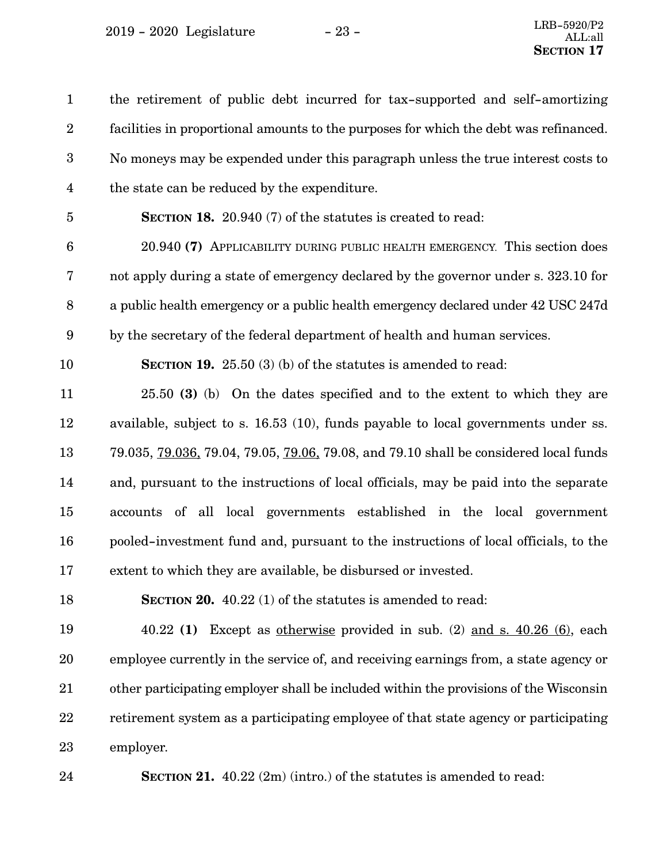the retirement of public debt incurred for tax-supported and self-amortizing facilities in proportional amounts to the purposes for which the debt was refinanced. No moneys may be expended under this paragraph unless the true interest costs to the state can be reduced by the expenditure. **SECTION 18.** 20.940 (7) of the statutes is created to read: 20.940 **(7)** APPLICABILITY DURING PUBLIC HEALTH EMERGENCY. This section does not apply during a state of emergency declared by the governor under s. 323.10 for a public health emergency or a public health emergency declared under 42 USC 247d by the secretary of the federal department of health and human services. **SECTION 19.** 25.50 (3) (b) of the statutes is amended to read: 25.50 **(3)** (b) On the dates specified and to the extent to which they are available, subject to s. 16.53 (10), funds payable to local governments under ss. 79.035, 79.036, 79.04, 79.05, 79.06, 79.08, and 79.10 shall be considered local funds and, pursuant to the instructions of local officials, may be paid into the separate accounts of all local governments established in the local government pooled-investment fund and, pursuant to the instructions of local officials, to the extent to which they are available, be disbursed or invested. **SECTION 20.** 40.22 (1) of the statutes is amended to read: 40.22 **(1)** Except as otherwise provided in sub. (2) and s. 40.26 (6), each employee currently in the service of, and receiving earnings from, a state agency or other participating employer shall be included within the provisions of the Wisconsin retirement system as a participating employee of that state agency or participating employer. 1 2 3 4 5 6 7 8 9 10 11 12 13 14 15 16 17 18 19 20 21 22 23

**SECTION 21.** 40.22 (2m) (intro.) of the statutes is amended to read: 24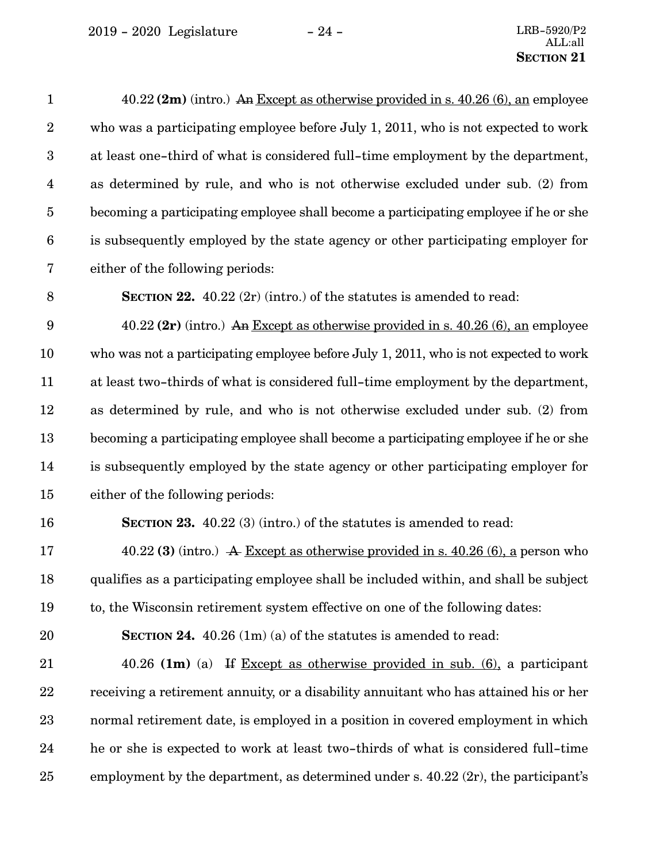| $\mathbf{1}$            | $40.22$ (2m) (intro.) An Except as otherwise provided in s. $40.26$ (6), an employee  |
|-------------------------|---------------------------------------------------------------------------------------|
| $\boldsymbol{2}$        | who was a participating employee before July 1, 2011, who is not expected to work     |
| $\boldsymbol{3}$        | at least one-third of what is considered full-time employment by the department,      |
| $\overline{\mathbf{4}}$ | as determined by rule, and who is not otherwise excluded under sub. (2) from          |
| $\overline{5}$          | becoming a participating employee shall become a participating employee if he or she  |
| $\boldsymbol{6}$        | is subsequently employed by the state agency or other participating employer for      |
| 7                       | either of the following periods:                                                      |
| $\, 8$                  | <b>SECTION 22.</b> 40.22 $(2r)$ (intro.) of the statutes is amended to read:          |
| $\boldsymbol{9}$        | 40.22 $(2r)$ (intro.) An Except as otherwise provided in s. 40.26 $(6)$ , an employee |
| 10                      | who was not a participating employee before July 1, 2011, who is not expected to work |
| 11                      | at least two-thirds of what is considered full-time employment by the department,     |
| 12                      | as determined by rule, and who is not otherwise excluded under sub. (2) from          |
| 13                      | becoming a participating employee shall become a participating employee if he or she  |
| 14                      | is subsequently employed by the state agency or other participating employer for      |
| 15                      | either of the following periods:                                                      |
| 16                      | <b>SECTION 23.</b> 40.22 (3) (intro.) of the statutes is amended to read:             |
| 17                      | 40.22 (3) (intro.) A Except as otherwise provided in s. 40.26 (6), a person who       |
| 18                      | qualifies as a participating employee shall be included within, and shall be subject  |
| 19                      | to, the Wisconsin retirement system effective on one of the following dates:          |
| 20                      | <b>SECTION 24.</b> 40.26 $(1m)(a)$ of the statutes is amended to read:                |
| 21                      | 40.26 (1m) (a) If Except as otherwise provided in sub. $(6)$ , a participant          |
| 22                      | receiving a retirement annuity, or a disability annuitant who has attained his or her |
| 23                      | normal retirement date, is employed in a position in covered employment in which      |
| 24                      | he or she is expected to work at least two-thirds of what is considered full-time     |
| 25                      | employment by the department, as determined under s. $40.22$ (2r), the participant's  |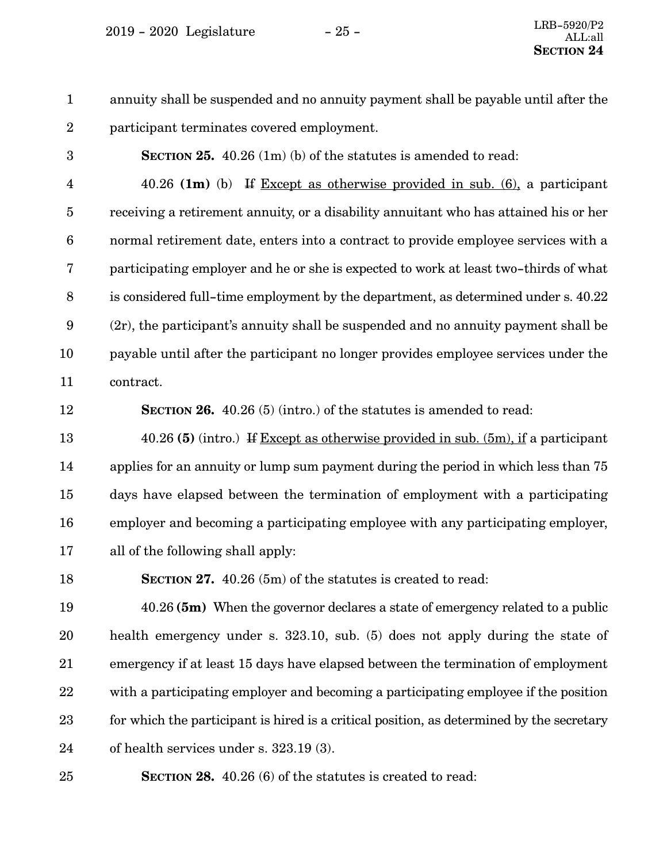$2019 - 2020$  Legislature  $-25 -$ 

annuity shall be suspended and no annuity payment shall be payable until after the participant terminates covered employment. 1 2

3

**SECTION 25.** 40.26 (1m) (b) of the statutes is amended to read:

40.26 **(1m)** (b) If Except as otherwise provided in sub. (6), a participant receiving a retirement annuity, or a disability annuitant who has attained his or her normal retirement date, enters into a contract to provide employee services with a participating employer and he or she is expected to work at least two-thirds of what is considered full-time employment by the department, as determined under s. 40.22 (2r), the participant's annuity shall be suspended and no annuity payment shall be payable until after the participant no longer provides employee services under the contract. 4 5 6 7 8 9 10 11

12

**SECTION 26.** 40.26 (5) (intro.) of the statutes is amended to read:

40.26 **(5)** (intro.) If Except as otherwise provided in sub. (5m), if a participant applies for an annuity or lump sum payment during the period in which less than 75 days have elapsed between the termination of employment with a participating employer and becoming a participating employee with any participating employer, all of the following shall apply: 13 14 15 16 17

**SECTION 27.** 40.26 (5m) of the statutes is created to read: 18

40.26 **(5m)** When the governor declares a state of emergency related to a public health emergency under s. 323.10, sub. (5) does not apply during the state of emergency if at least 15 days have elapsed between the termination of employment with a participating employer and becoming a participating employee if the position for which the participant is hired is a critical position, as determined by the secretary of health services under s. 323.19 (3). 19 20 21 22 23 24

**SECTION 28.** 40.26 (6) of the statutes is created to read: 25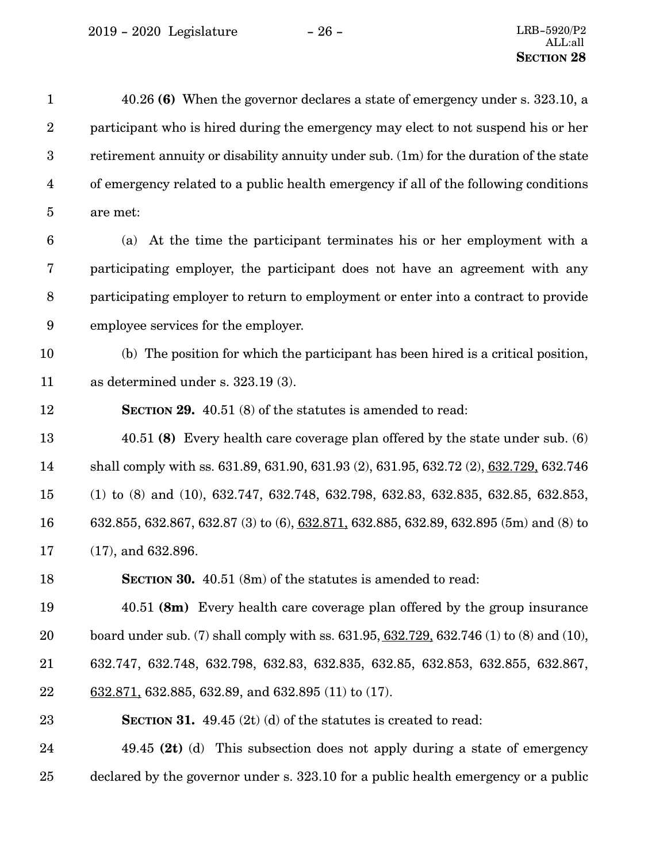2019 - 2020 Legislature - 26 - LRB-5920/P2

| $\mathbf{1}$            | 40.26 (6) When the governor declares a state of emergency under s. 323.10, a                                  |
|-------------------------|---------------------------------------------------------------------------------------------------------------|
| $\boldsymbol{2}$        | participant who is hired during the emergency may elect to not suspend his or her                             |
| $\boldsymbol{3}$        | retirement annuity or disability annuity under sub. (1m) for the duration of the state                        |
| $\overline{\mathbf{4}}$ | of emergency related to a public health emergency if all of the following conditions                          |
| $\overline{5}$          | are met:                                                                                                      |
| $6\phantom{.}6$         | (a) At the time the participant terminates his or her employment with a                                       |
| 7                       | participating employer, the participant does not have an agreement with any                                   |
| $8\,$                   | participating employer to return to employment or enter into a contract to provide                            |
| 9                       | employee services for the employer.                                                                           |
| 10                      | (b) The position for which the participant has been hired is a critical position,                             |
| 11                      | as determined under s. 323.19 (3).                                                                            |
| 12                      | <b>SECTION 29.</b> 40.51 (8) of the statutes is amended to read:                                              |
| 13                      | 40.51 (8) Every health care coverage plan offered by the state under sub. $(6)$                               |
| 14                      | shall comply with ss. 631.89, 631.90, 631.93 (2), 631.95, 632.72 (2), 632.729, 632.746                        |
| 15                      | $(1)$ to $(8)$ and $(10)$ , $632.747$ , $632.748$ , $632.798$ , $632.83$ , $632.835$ , $632.85$ , $632.853$ , |
| 16                      | 632.855, 632.867, 632.87 (3) to (6), 632.871, 632.885, 632.89, 632.895 (5m) and (8) to                        |
| 17                      | $(17)$ , and 632.896.                                                                                         |
| 18                      | SECTION 30. 40.51 (8m) of the statutes is amended to read:                                                    |
| 19                      | 40.51 (8m) Every health care coverage plan offered by the group insurance                                     |
| 20                      | board under sub. (7) shall comply with ss. $631.95, 632.729, 632.746$ (1) to (8) and (10),                    |
| 21                      | 632.747, 632.748, 632.798, 632.83, 632.835, 632.85, 632.853, 632.855, 632.867,                                |
| 22                      | $632.871$ , 632.885, 632.89, and 632.895 (11) to (17).                                                        |
| 23                      | <b>SECTION 31.</b> 49.45 (2t) (d) of the statutes is created to read:                                         |
| 24                      | 49.45 (2t) (d) This subsection does not apply during a state of emergency                                     |
| 25                      | declared by the governor under s. 323.10 for a public health emergency or a public                            |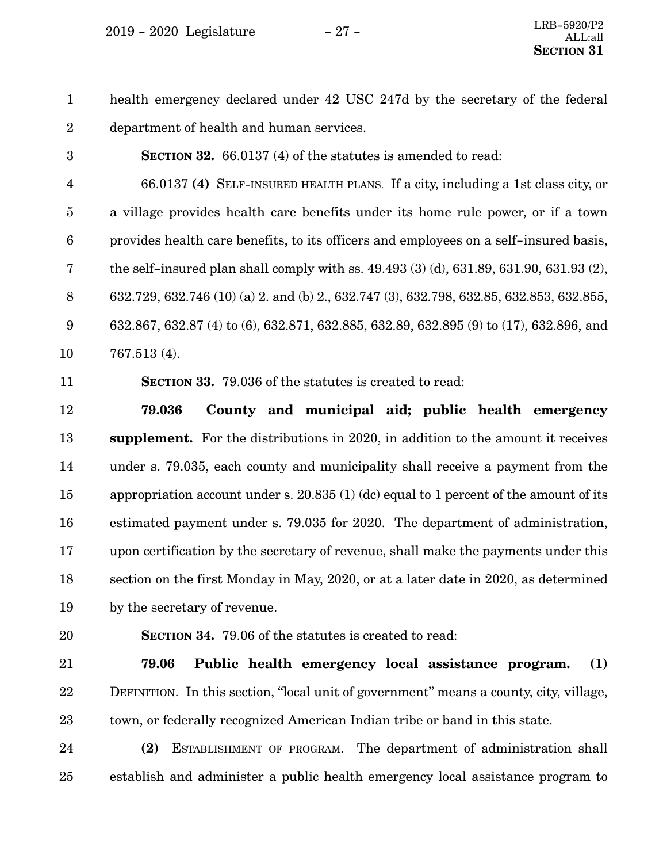$2019 - 2020$  Legislature  $-27 -$ 

health emergency declared under 42 USC 247d by the secretary of the federal department of health and human services. 1 2

3

**SECTION 32.** 66.0137 (4) of the statutes is amended to read:

66.0137 **(4)** SELF-INSURED HEALTH PLANS. If a city, including a 1st class city, or a village provides health care benefits under its home rule power, or if a town provides health care benefits, to its officers and employees on a self-insured basis, the self-insured plan shall comply with ss. 49.493 (3) (d), 631.89, 631.90, 631.93 (2), 632.729, 632.746 (10) (a) 2. and (b) 2., 632.747 (3), 632.798, 632.85, 632.853, 632.855, 632.867, 632.87 (4) to (6), 632.871, 632.885, 632.89, 632.895 (9) to (17), 632.896, and 767.513 (4). 4 5 6 7 8 9 10

11

**SECTION 33.** 79.036 of the statutes is created to read:

**79.036 County and municipal aid; public health emergency supplement.** For the distributions in 2020, in addition to the amount it receives under s. 79.035, each county and municipality shall receive a payment from the appropriation account under s. 20.835 (1) (dc) equal to 1 percent of the amount of its estimated payment under s. 79.035 for 2020. The department of administration, upon certification by the secretary of revenue, shall make the payments under this section on the first Monday in May, 2020, or at a later date in 2020, as determined by the secretary of revenue. 12 13 14 15 16 17 18 19

20

**SECTION 34.** 79.06 of the statutes is created to read:

**79.06 Public health emergency local assistance program. (1)** DEFINITION. In this section, "local unit of government" means a county, city, village, town, or federally recognized American Indian tribe or band in this state. 21 22 23

**(2)** ESTABLISHMENT OF PROGRAM. The department of administration shall establish and administer a public health emergency local assistance program to 24 25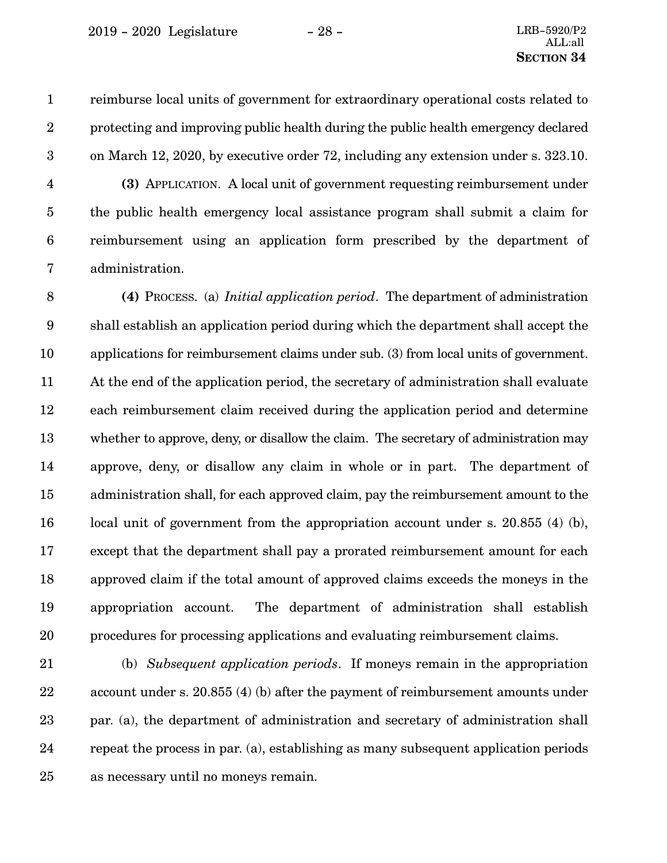reimburse local units of government for extraordinary operational costs related to protecting and improving public health during the public health emergency declared on March 12, 2020, by executive order 72, including any extension under s. 323.10. 1 2 3

**(3)** APPLICATION. A local unit of government requesting reimbursement under the public health emergency local assistance program shall submit a claim for reimbursement using an application form prescribed by the department of administration. 4 5 6 7

**(4)** PROCESS. (a) *Initial application period*. The department of administration shall establish an application period during which the department shall accept the applications for reimbursement claims under sub. (3) from local units of government. At the end of the application period, the secretary of administration shall evaluate each reimbursement claim received during the application period and determine whether to approve, deny, or disallow the claim. The secretary of administration may approve, deny, or disallow any claim in whole or in part. The department of administration shall, for each approved claim, pay the reimbursement amount to the local unit of government from the appropriation account under s. 20.855 (4) (b), except that the department shall pay a prorated reimbursement amount for each approved claim if the total amount of approved claims exceeds the moneys in the appropriation account. The department of administration shall establish procedures for processing applications and evaluating reimbursement claims. 8 9 10 11 12 13 14 15 16 17 18 19 20

(b) *Subsequent application periods*. If moneys remain in the appropriation account under s. 20.855 (4) (b) after the payment of reimbursement amounts under par. (a), the department of administration and secretary of administration shall repeat the process in par. (a), establishing as many subsequent application periods as necessary until no moneys remain. 21 22 23 24 25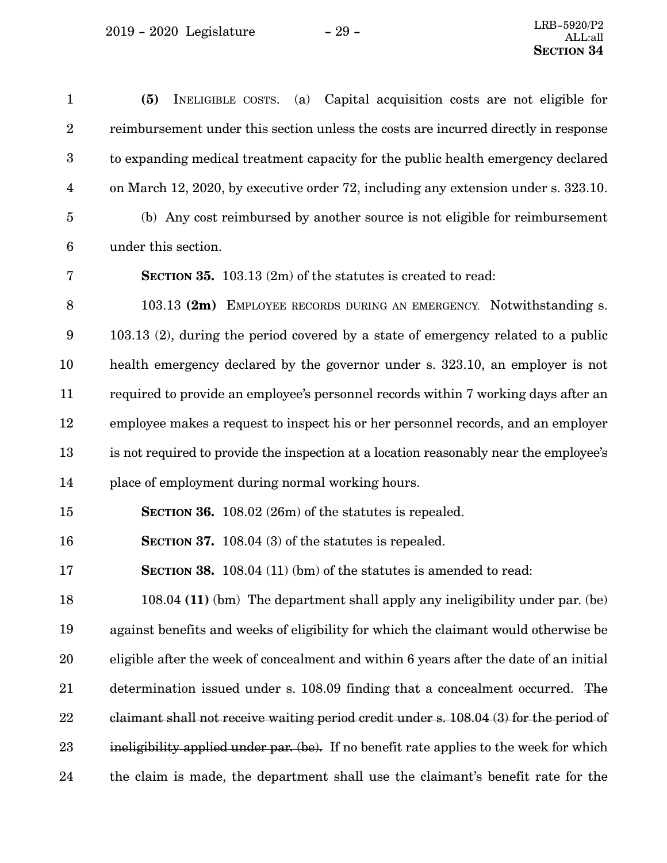$2019 - 2020$  Legislature  $-29$  -

| $\mathbf{1}$     | Capital acquisition costs are not eligible for<br>(5)<br>(a)<br>INELIGIBLE COSTS.       |
|------------------|-----------------------------------------------------------------------------------------|
| $\overline{2}$   | reimbursement under this section unless the costs are incurred directly in response     |
| $\boldsymbol{3}$ | to expanding medical treatment capacity for the public health emergency declared        |
| $\overline{4}$   | on March 12, 2020, by executive order 72, including any extension under s. 323.10.      |
| $\bf 5$          | (b) Any cost reimbursed by another source is not eligible for reimbursement             |
| $6\phantom{.}6$  | under this section.                                                                     |
| 7                | <b>SECTION 35.</b> 103.13 (2m) of the statutes is created to read:                      |
| 8                | 103.13 (2m) EMPLOYEE RECORDS DURING AN EMERGENCY. Notwithstanding s.                    |
| 9                | 103.13 (2), during the period covered by a state of emergency related to a public       |
| 10               | health emergency declared by the governor under s. 323.10, an employer is not           |
| 11               | required to provide an employee's personnel records within 7 working days after an      |
| 12               | employee makes a request to inspect his or her personnel records, and an employer       |
| 13               | is not required to provide the inspection at a location reasonably near the employee's  |
| 14               | place of employment during normal working hours.                                        |
| 15               | SECTION 36. 108.02 (26m) of the statutes is repealed.                                   |
| 16               | SECTION 37. 108.04 (3) of the statutes is repealed.                                     |
| 17               | SECTION 38. 108.04 (11) (bm) of the statutes is amended to read:                        |
| 18               | 108.04 (11) (bm) The department shall apply any ineligibility under par. (be)           |
| 19               | against benefits and weeks of eligibility for which the claimant would otherwise be     |
| 20               | eligible after the week of concealment and within 6 years after the date of an initial  |
| 21               | determination issued under s. 108.09 finding that a concealment occurred. The           |
| 22               | claimant shall not receive waiting period credit under s. 108.04 (3) for the period of  |
| 23               | ineligibility applied under par. (be). If no benefit rate applies to the week for which |
| 24               | the claim is made, the department shall use the claimant's benefit rate for the         |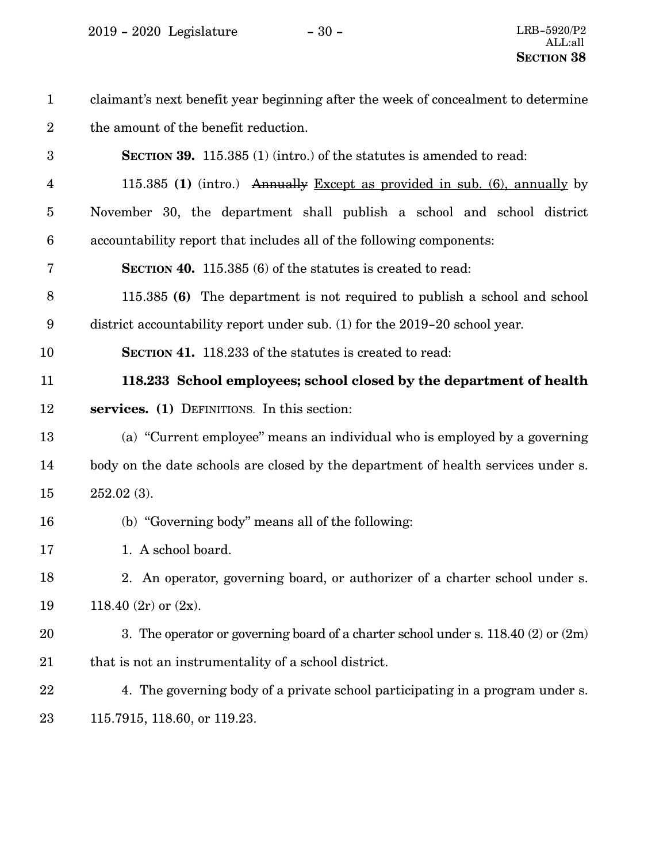| $\mathbf{1}$    | claimant's next benefit year beginning after the week of concealment to determine     |
|-----------------|---------------------------------------------------------------------------------------|
| $\overline{2}$  | the amount of the benefit reduction.                                                  |
| 3               | <b>SECTION 39.</b> 115.385 (1) (intro.) of the statutes is amended to read:           |
| 4               | 115.385 (1) (intro.) Annually Except as provided in sub. $(6)$ , annually by          |
| $\overline{5}$  | November 30, the department shall publish a school and school district                |
| $6\phantom{1}6$ | accountability report that includes all of the following components:                  |
| 7               | <b>SECTION 40.</b> 115.385 (6) of the statutes is created to read:                    |
| 8               | 115.385 (6) The department is not required to publish a school and school             |
| 9               | district accountability report under sub. (1) for the 2019-20 school year.            |
| 10              | <b>SECTION 41.</b> 118.233 of the statutes is created to read:                        |
| 11              | 118.233 School employees; school closed by the department of health                   |
| 12              | services. (1) DEFINITIONS. In this section:                                           |
| 13              | (a) "Current employee" means an individual who is employed by a governing             |
| 14              | body on the date schools are closed by the department of health services under s.     |
| 15              | $252.02(3)$ .                                                                         |
| 16              | (b) "Governing body" means all of the following:                                      |
| 17              | 1. A school board.                                                                    |
| 18              | 2. An operator, governing board, or authorizer of a charter school under s.           |
| 19              | 118.40 $(2r)$ or $(2x)$ .                                                             |
| 20              | 3. The operator or governing board of a charter school under s. $118.40(2)$ or $(2m)$ |
| 21              | that is not an instrumentality of a school district.                                  |
| 22              | 4. The governing body of a private school participating in a program under s.         |
| 23              | 115.7915, 118.60, or 119.23.                                                          |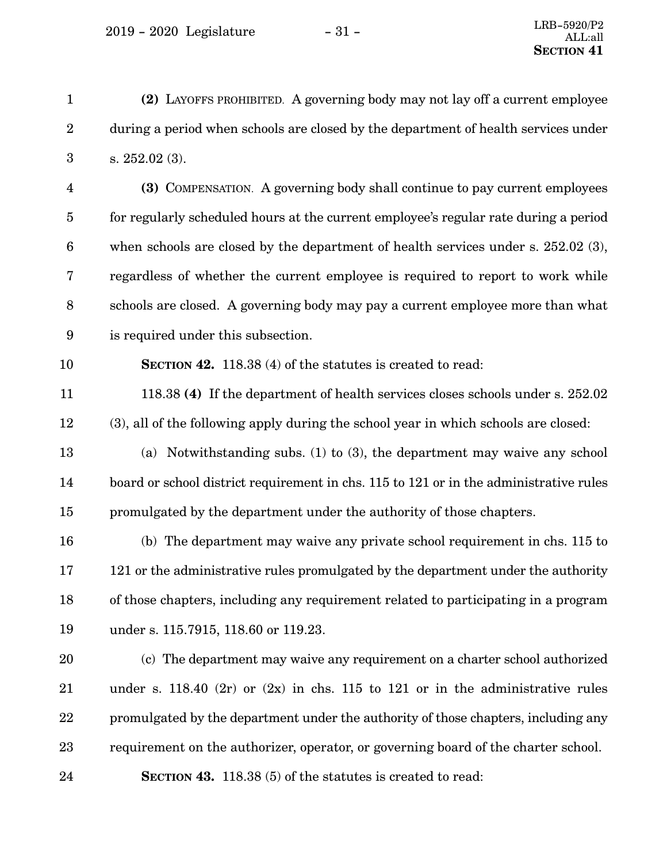**(2)** LAYOFFS PROHIBITED. A governing body may not lay off a current employee during a period when schools are closed by the department of health services under s. 252.02 (3). 1 2 3

**(3)** COMPENSATION. A governing body shall continue to pay current employees for regularly scheduled hours at the current employee's regular rate during a period when schools are closed by the department of health services under s. 252.02 (3), regardless of whether the current employee is required to report to work while schools are closed. A governing body may pay a current employee more than what is required under this subsection. 4 5 6 7 8 9

10

24

**SECTION 42.** 118.38 (4) of the statutes is created to read:

118.38 **(4)** If the department of health services closes schools under s. 252.02 (3), all of the following apply during the school year in which schools are closed: 11 12

(a) Notwithstanding subs. (1) to (3), the department may waive any school board or school district requirement in chs. 115 to 121 or in the administrative rules promulgated by the department under the authority of those chapters. 13 14 15

(b) The department may waive any private school requirement in chs. 115 to 121 or the administrative rules promulgated by the department under the authority of those chapters, including any requirement related to participating in a program under s. 115.7915, 118.60 or 119.23. 16 17 18 19

(c) The department may waive any requirement on a charter school authorized under s. 118.40 (2r) or  $(2x)$  in chs. 115 to 121 or in the administrative rules promulgated by the department under the authority of those chapters, including any requirement on the authorizer, operator, or governing board of the charter school. 20 21 22 23

**SECTION 43.** 118.38 (5) of the statutes is created to read: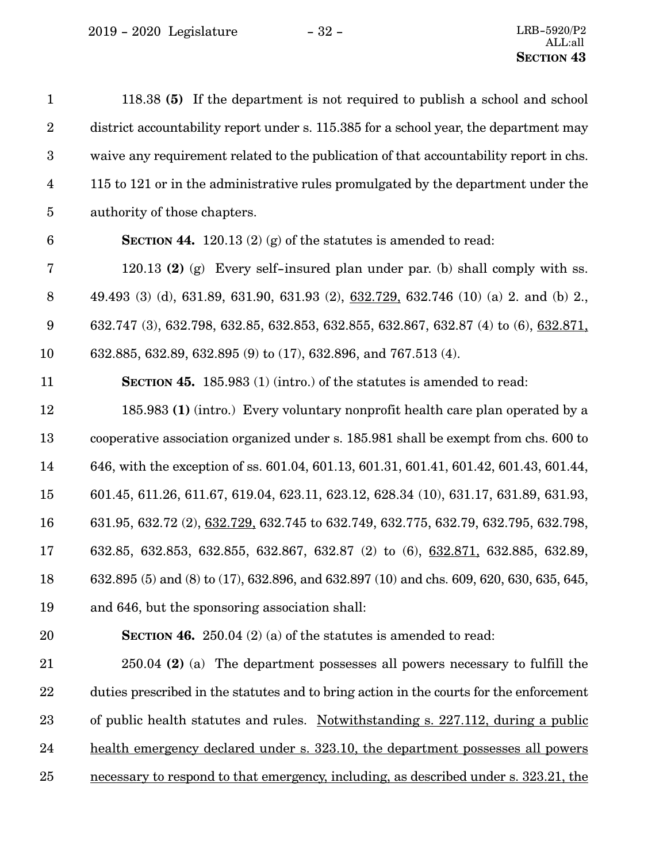$2019$  -  $2020\,$  Legislature  $\,$   $\,$   $\,$  -  $32$  -  $\,$ 

| $\mathbf{1}$            | 118.38 (5) If the department is not required to publish a school and school              |
|-------------------------|------------------------------------------------------------------------------------------|
| $\boldsymbol{2}$        | district accountability report under s. 115.385 for a school year, the department may    |
| $\boldsymbol{3}$        | waive any requirement related to the publication of that accountability report in chs.   |
| $\overline{\mathbf{4}}$ | 115 to 121 or in the administrative rules promulgated by the department under the        |
| $\overline{5}$          | authority of those chapters.                                                             |
| $\boldsymbol{6}$        | SECTION 44. 120.13 (2) (g) of the statutes is amended to read:                           |
| 7                       | 120.13 (2) (g) Every self-insured plan under par. (b) shall comply with ss.              |
| $\, 8$                  | 49.493 (3) (d), 631.89, 631.90, 631.93 (2), 632.729, 632.746 (10) (a) 2. and (b) 2.      |
| 9                       | 632.747 (3), 632.798, 632.85, 632.853, 632.855, 632.867, 632.87 (4) to (6), 632.871,     |
| 10                      | 632.885, 632.89, 632.895 (9) to (17), 632.896, and 767.513 (4).                          |
| 11                      | SECTION 45. 185.983 (1) (intro.) of the statutes is amended to read:                     |
| 12                      | 185.983 (1) (intro.) Every voluntary nonprofit health care plan operated by a            |
| 13                      | cooperative association organized under s. 185.981 shall be exempt from chs. 600 to      |
| 14                      | 646, with the exception of ss. 601.04, 601.13, 601.31, 601.41, 601.42, 601.43, 601.44,   |
| 15                      | 601.45, 611.26, 611.67, 619.04, 623.11, 623.12, 628.34 (10), 631.17, 631.89, 631.93,     |
| 16                      | 631.95, 632.72 (2), 632.729, 632.745 to 632.749, 632.775, 632.79, 632.795, 632.798,      |
| 17                      | 632.85, 632.853, 632.855, 632.867, 632.87 (2) to (6), 632.871, 632.885, 632.89,          |
| 18                      | 632.895 (5) and (8) to (17), 632.896, and 632.897 (10) and chs. 609, 620, 630, 635, 645, |
| 19                      | and 646, but the sponsoring association shall:                                           |
| 20                      | <b>SECTION 46.</b> 250.04 (2) (a) of the statutes is amended to read:                    |
| 21                      | 250.04 (2) (a) The department possesses all powers necessary to fulfill the              |
| 22                      | duties prescribed in the statutes and to bring action in the courts for the enforcement  |
| 23                      | of public health statutes and rules. Notwithstanding s. 227.112, during a public         |
| 24                      | health emergency declared under s. 323.10, the department possesses all powers           |
| 25                      | necessary to respond to that emergency, including, as described under s. 323.21, the     |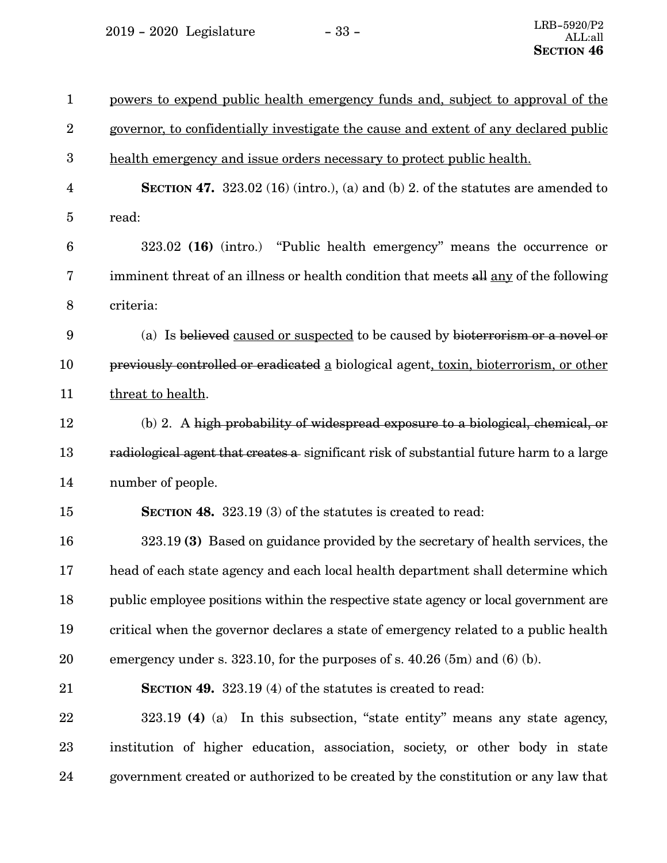2019 - 2020 Legislature - 33 -

| $\mathbf{1}$     | powers to expend public health emergency funds and, subject to approval of the           |
|------------------|------------------------------------------------------------------------------------------|
| $\boldsymbol{2}$ | governor, to confidentially investigate the cause and extent of any declared public      |
| $\boldsymbol{3}$ | health emergency and issue orders necessary to protect public health.                    |
| 4                | SECTION 47. $323.02$ (16) (intro.), (a) and (b) 2. of the statutes are amended to        |
| 5                | read:                                                                                    |
| $6\phantom{1}6$  | 323.02 (16) (intro.) "Public health emergency" means the occurrence or                   |
| 7                | imminent threat of an illness or health condition that meets all any of the following    |
| 8                | criteria:                                                                                |
| 9                | (a) Is believed caused or suspected to be caused by bioterrorism or a novel or           |
| 10               | previously controlled or eradicated a biological agent, toxin, bioterrorism, or other    |
| 11               | threat to health.                                                                        |
| 12               | (b) 2. A high probability of widespread exposure to a biological, chemical, or           |
| 13               | radiological agent that creates a significant risk of substantial future harm to a large |
| 14               | number of people.                                                                        |
| 15               | <b>SECTION 48.</b> 323.19 (3) of the statutes is created to read:                        |
| 16               | 323.19 (3) Based on guidance provided by the secretary of health services, the           |
| 17               | head of each state agency and each local health department shall determine which         |
| 18               | public employee positions within the respective state agency or local government are     |
| 19               | critical when the governor declares a state of emergency related to a public health      |
| 20               | emergency under s. $323.10$ , for the purposes of s. $40.26$ (5m) and (6) (b).           |
| 21               | SECTION 49. 323.19 (4) of the statutes is created to read:                               |
| 22               | 323.19 (4) (a) In this subsection, "state entity" means any state agency,                |
| 23               | institution of higher education, association, society, or other body in state            |
| 24               | government created or authorized to be created by the constitution or any law that       |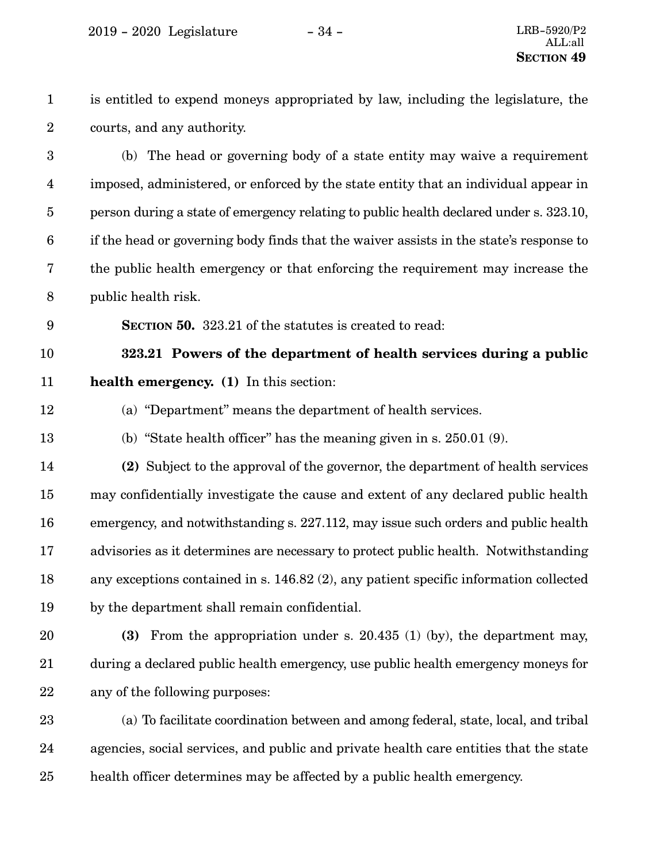is entitled to expend moneys appropriated by law, including the legislature, the courts, and any authority. 1 2

(b) The head or governing body of a state entity may waive a requirement imposed, administered, or enforced by the state entity that an individual appear in person during a state of emergency relating to public health declared under s. 323.10, if the head or governing body finds that the waiver assists in the state's response to the public health emergency or that enforcing the requirement may increase the public health risk. 3 4 5 6 7 8

**SECTION 50.** 323.21 of the statutes is created to read: 9

**323.21 Powers of the department of health services during a public health emergency. (1)** In this section: 10 11

- (a) "Department" means the department of health services. 12
- (b) "State health officer" has the meaning given in s. 250.01 (9). 13

**(2)** Subject to the approval of the governor, the department of health services may confidentially investigate the cause and extent of any declared public health emergency, and notwithstanding s. 227.112, may issue such orders and public health advisories as it determines are necessary to protect public health. Notwithstanding any exceptions contained in s. 146.82 (2), any patient specific information collected by the department shall remain confidential. 14 15 16 17 18 19

**(3)** From the appropriation under s. 20.435 (1) (by), the department may, during a declared public health emergency, use public health emergency moneys for any of the following purposes: 20 21 22

(a)To facilitate coordination between and among federal, state, local, and tribal agencies, social services, and public and private health care entities that the state health officer determines may be affected by a public health emergency. 23 24 25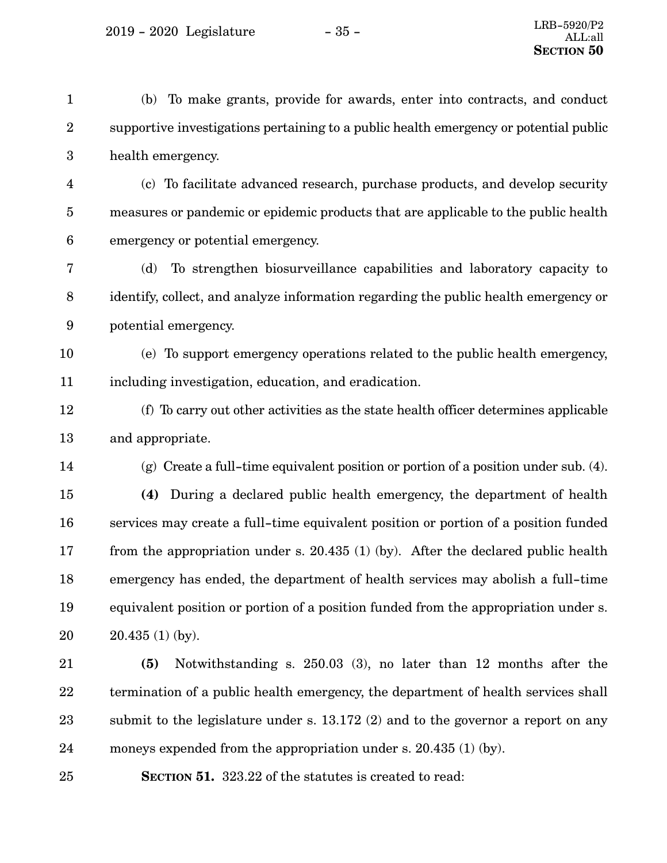$2019 - 2020$  Legislature  $-35 -$ 

(b) To make grants, provide for awards, enter into contracts, and conduct supportive investigations pertaining to a public health emergency or potential public health emergency. (c) To facilitate advanced research, purchase products, and develop security measures or pandemic or epidemic products that are applicable to the public health emergency or potential emergency. (d) To strengthen biosurveillance capabilities and laboratory capacity to identify, collect, and analyze information regarding the public health emergency or potential emergency. (e) To support emergency operations related to the public health emergency, including investigation, education, and eradication. (f) To carry out other activities as the state health officer determines applicable and appropriate. (g) Create a full-time equivalent position or portion of a position under sub. (4). **(4)** During a declared public health emergency, the department of health services may create a full-time equivalent position or portion of a position funded from the appropriation under s. 20.435 (1) (by). After the declared public health emergency has ended, the department of health services may abolish a full-time equivalent position or portion of a position funded from the appropriation under s. 20.435 (1) (by). **(5)** Notwithstanding s. 250.03 (3), no later than 12 months after the 1 2 3 4 5 6 7 8 9 10 11 12 13 14 15 16 17 18 19 20 21

termination of a public health emergency, the department of health services shall submit to the legislature under s. 13.172 (2) and to the governor a report on any moneys expended from the appropriation under s. 20.435 (1) (by). 22 23 24

25

**SECTION** 51. 323.22 of the statutes is created to read: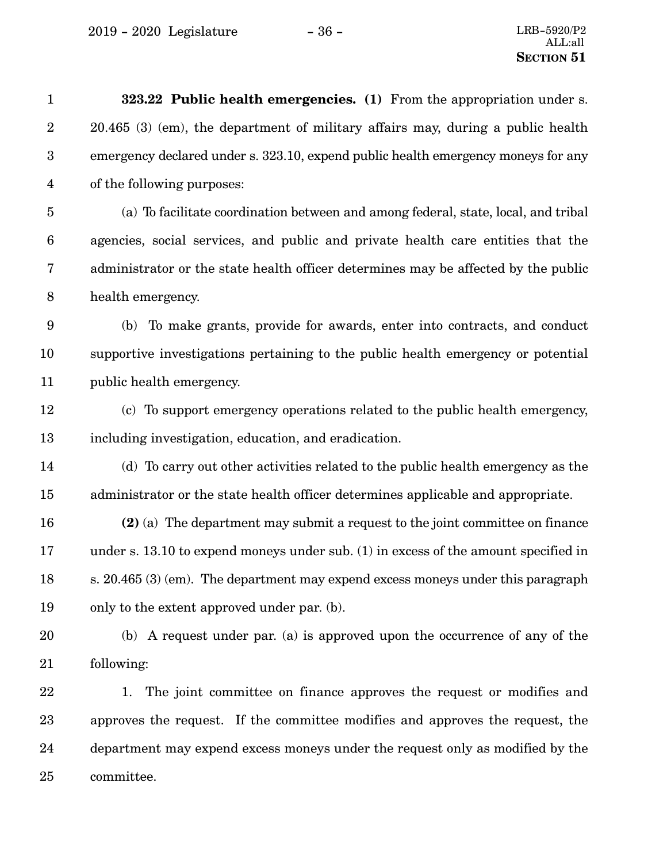| $\mathbf{1}$     | 323.22 Public health emergencies. (1) From the appropriation under s.                   |
|------------------|-----------------------------------------------------------------------------------------|
| $\boldsymbol{2}$ | 20.465 (3) (em), the department of military affairs may, during a public health         |
| $\boldsymbol{3}$ | emergency declared under s. 323.10, expend public health emergency moneys for any       |
| $\overline{4}$   | of the following purposes:                                                              |
| $\overline{5}$   | (a) To facilitate coordination between and among federal, state, local, and tribal      |
| $\boldsymbol{6}$ | agencies, social services, and public and private health care entities that the         |
| 7                | administrator or the state health officer determines may be affected by the public      |
| $8\,$            | health emergency.                                                                       |
| $9\phantom{.0}$  | (b) To make grants, provide for awards, enter into contracts, and conduct               |
| 10               | supportive investigations pertaining to the public health emergency or potential        |
| 11               | public health emergency.                                                                |
| 12               | (c) To support emergency operations related to the public health emergency,             |
| 13               | including investigation, education, and eradication.                                    |
| 14               | (d) To carry out other activities related to the public health emergency as the         |
| 15               | administrator or the state health officer determines applicable and appropriate.        |
| 16               | (2) (a) The department may submit a request to the joint committee on finance           |
| 17               | under s. $13.10$ to expend moneys under sub. $(1)$ in excess of the amount specified in |
| 18               | s. 20.465 (3) (em). The department may expend excess moneys under this paragraph        |
| 19               | only to the extent approved under par. (b).                                             |
| 20               | (b) A request under par. (a) is approved upon the occurrence of any of the              |
| 21               | following:                                                                              |
| 22               | The joint committee on finance approves the request or modifies and<br>1.               |
| 23               | approves the request. If the committee modifies and approves the request, the           |
| 24               | department may expend excess moneys under the request only as modified by the           |
| 25               | committee.                                                                              |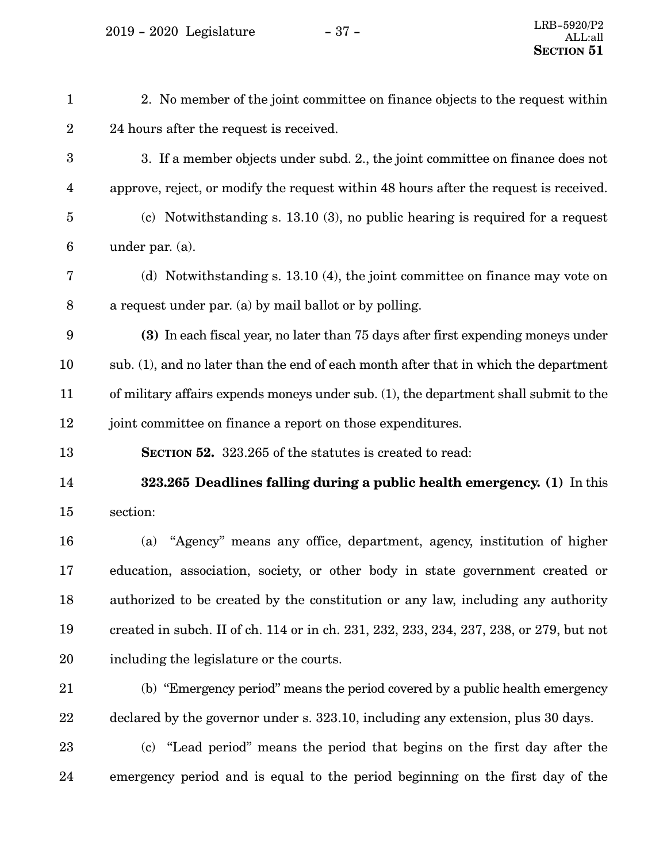$2019 - 2020$  Legislature  $-37 -$ 

| $\mathbf{1}$     | 2. No member of the joint committee on finance objects to the request within            |
|------------------|-----------------------------------------------------------------------------------------|
| $\boldsymbol{2}$ | 24 hours after the request is received.                                                 |
| $\boldsymbol{3}$ | 3. If a member objects under subd. 2., the joint committee on finance does not          |
| 4                | approve, reject, or modify the request within 48 hours after the request is received.   |
| $\overline{5}$   | (c) Notwithstanding s. $13.10(3)$ , no public hearing is required for a request         |
| $6\phantom{.}6$  | under par. $(a)$ .                                                                      |
| 7                | (d) Notwithstanding s. $13.10(4)$ , the joint committee on finance may vote on          |
| $\boldsymbol{8}$ | a request under par. (a) by mail ballot or by polling.                                  |
| $\boldsymbol{9}$ | (3) In each fiscal year, no later than 75 days after first expending moneys under       |
| 10               | sub. (1), and no later than the end of each month after that in which the department    |
| 11               | of military affairs expends moneys under sub. (1), the department shall submit to the   |
| 12               | joint committee on finance a report on those expenditures.                              |
| 13               | SECTION 52. 323.265 of the statutes is created to read:                                 |
| 14               | 323.265 Deadlines falling during a public health emergency. (1) In this                 |
| 15               | section:                                                                                |
| 16               | "Agency" means any office, department, agency, institution of higher<br>(a)             |
| 17               | education, association, society, or other body in state government created or           |
| 18               | authorized to be created by the constitution or any law, including any authority        |
| 19               | created in subch. II of ch. 114 or in ch. 231, 232, 233, 234, 237, 238, or 279, but not |
| 20               | including the legislature or the courts.                                                |
| 21               | (b) "Emergency period" means the period covered by a public health emergency            |
| 22               | declared by the governor under s. 323.10, including any extension, plus 30 days.        |
| 23               | (c) "Lead period" means the period that begins on the first day after the               |
| 24               | emergency period and is equal to the period beginning on the first day of the           |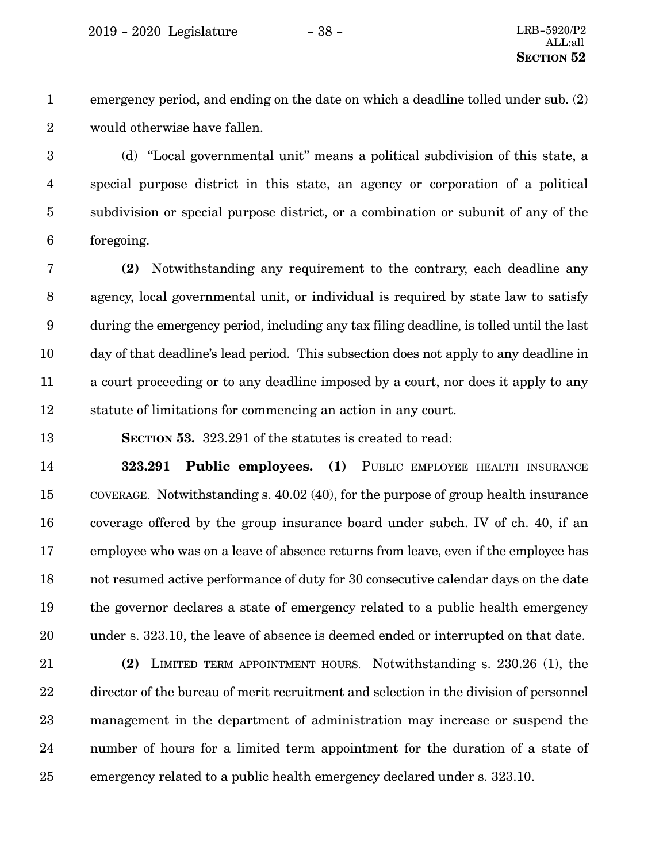emergency period, and ending on the date on which a deadline tolled under sub. (2) would otherwise have fallen. 1 2

(d) "Local governmental unit" means a political subdivision of this state, a special purpose district in this state, an agency or corporation of a political subdivision or special purpose district, or a combination or subunit of any of the foregoing. 3 4 5 6

**(2)** Notwithstanding any requirement to the contrary, each deadline any agency, local governmental unit, or individual is required by state law to satisfy during the emergency period, including any tax filing deadline, is tolled until the last day of that deadline's lead period. This subsection does not apply to any deadline in a court proceeding or to any deadline imposed by a court, nor does it apply to any statute of limitations for commencing an action in any court. 7 8 9 10 11 12

**SECTION 53.** 323.291 of the statutes is created to read: 13

**323.291 Public employees. (1)** PUBLIC EMPLOYEE HEALTH INSURANCE COVERAGE. Notwithstanding s. 40.02 (40), for the purpose of group health insurance coverage offered by the group insurance board under subch. IV of ch. 40, if an employee who was on a leave of absence returns from leave, even if the employee has not resumed active performance of duty for 30 consecutive calendar days on the date the governor declares a state of emergency related to a public health emergency under s. 323.10, the leave of absence is deemed ended or interrupted on that date. 14 15 16 17 18 19 20

**(2)** LIMITED TERM APPOINTMENT HOURS. Notwithstanding s. 230.26 (1), the director of the bureau of merit recruitment and selection in the division of personnel management in the department of administration may increase or suspend the number of hours for a limited term appointment for the duration of a state of emergency related to a public health emergency declared under s. 323.10. 21 22 23 24 25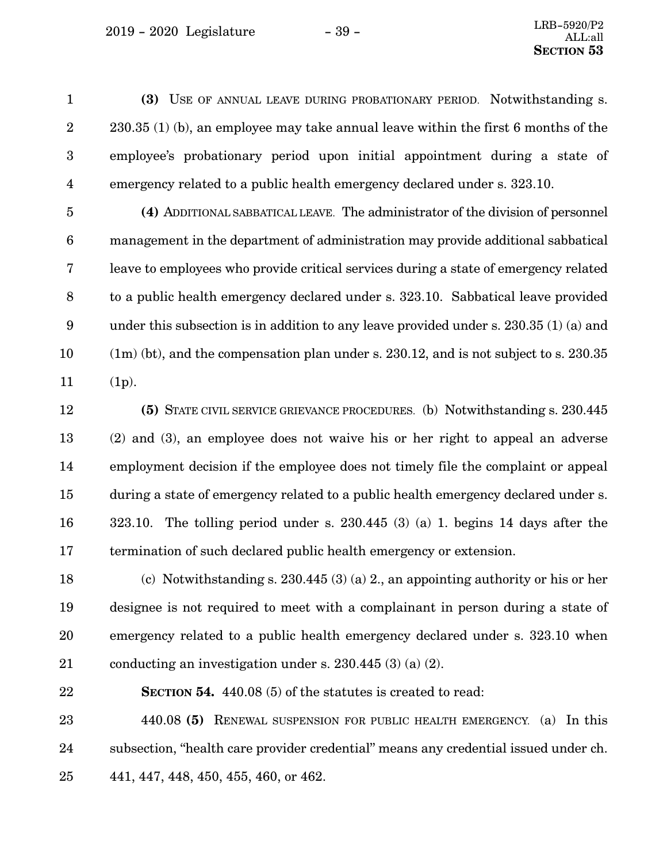**(3)** USE OF ANNUAL LEAVE DURING PROBATIONARY PERIOD. Notwithstanding s. 230.35 (1) (b), an employee may take annual leave within the first 6 months of the employee's probationary period upon initial appointment during a state of emergency related to a public health emergency declared under s. 323.10. 1 2 3 4

**(4)** ADDITIONAL SABBATICAL LEAVE. The administrator of the division of personnel management in the department of administration may provide additional sabbatical leave to employees who provide critical services during a state of emergency related to a public health emergency declared under s. 323.10. Sabbatical leave provided under this subsection is in addition to any leave provided under s. 230.35 (1) (a) and (1m) (bt), and the compensation plan under s. 230.12, and is not subject to s. 230.35 (1p). 5 6 7 8 9 10 11

**(5)** STATE CIVIL SERVICE GRIEVANCE PROCEDURES. (b) Notwithstanding s. 230.445 (2) and (3), an employee does not waive his or her right to appeal an adverse employment decision if the employee does not timely file the complaint or appeal during a state of emergency related to a public health emergency declared under s. 323.10. The tolling period under s. 230.445 (3) (a) 1. begins 14 days after the termination of such declared public health emergency or extension. 12 13 14 15 16 17

(c) Notwithstanding s. 230.445 (3) (a) 2., an appointing authority or his or her designee is not required to meet with a complainant in person during a state of emergency related to a public health emergency declared under s. 323.10 when conducting an investigation under s. 230.445 (3) (a) (2). 18 19 20 21

22

**SECTION 54.** 440.08 (5) of the statutes is created to read:

440.08 **(5)** RENEWAL SUSPENSION FOR PUBLIC HEALTH EMERGENCY. (a) In this subsection, "health care provider credential" means any credential issued under ch. 441, 447, 448, 450, 455, 460, or 462. 23 24 25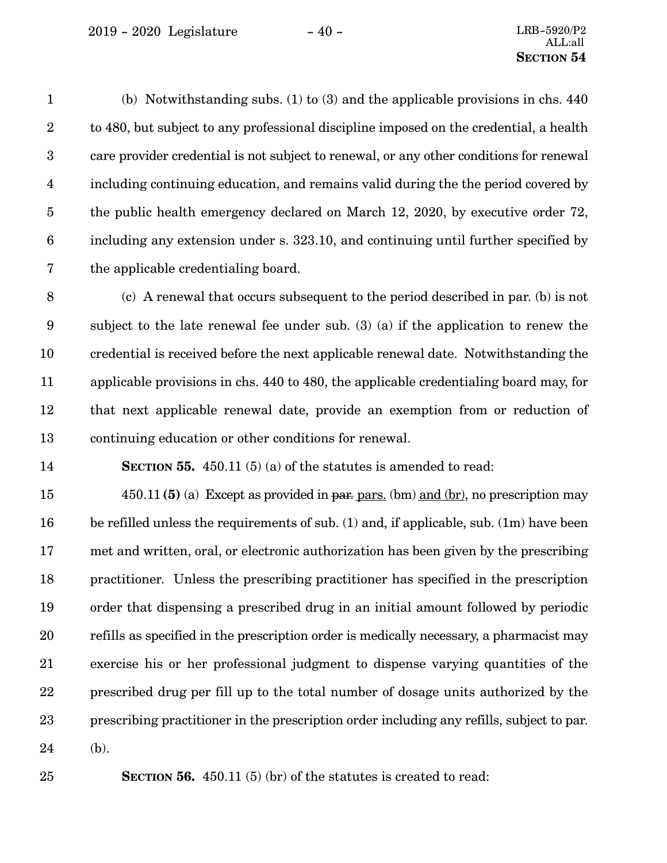(b) Notwithstanding subs. (1) to (3) and the applicable provisions in chs. 440 to 480, but subject to any professional discipline imposed on the credential, a health care provider credential is not subject to renewal, or any other conditions for renewal including continuing education, and remains valid during the the period covered by the public health emergency declared on March 12, 2020, by executive order 72, including any extension under s. 323.10, and continuing until further specified by the applicable credentialing board. 1 2 3 4 5 6 7

(c) A renewal that occurs subsequent to the period described in par. (b) is not subject to the late renewal fee under sub. (3) (a) if the application to renew the credential is received before the next applicable renewal date. Notwithstanding the applicable provisions in chs. 440 to 480, the applicable credentialing board may, for that next applicable renewal date, provide an exemption from or reduction of continuing education or other conditions for renewal. 8 9 10 11 12 13

**SECTION 55.** 450.11 (5) (a) of the statutes is amended to read: 14

450.11 **(5)** (a) Except as provided in par. pars. (bm) and (br), no prescription may be refilled unless the requirements of sub. (1) and, if applicable, sub. (1m) have been met and written, oral, or electronic authorization has been given by the prescribing practitioner. Unless the prescribing practitioner has specified in the prescription order that dispensing a prescribed drug in an initial amount followed by periodic refills as specified in the prescription order is medically necessary, a pharmacist may exercise his or her professional judgment to dispense varying quantities of the prescribed drug per fill up to the total number of dosage units authorized by the prescribing practitioner in the prescription order including any refills, subject to par. (b). 15 16 17 18 19 20 21 22 23 24

25

**SECTION 56.** 450.11 (5) (br) of the statutes is created to read: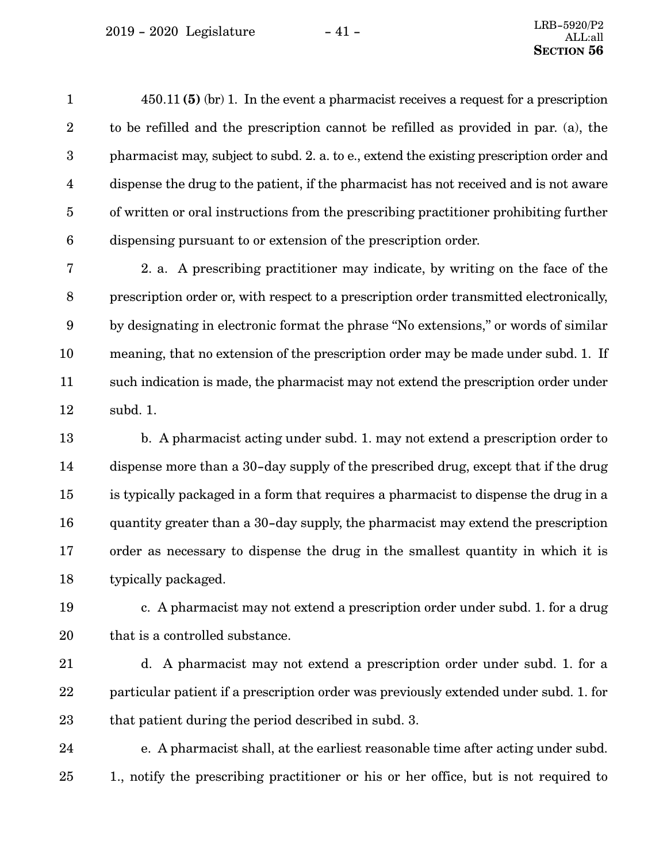$2019 - 2020$  Legislature  $-41 -$ 

450.11 **(5)** (br) 1. In the event a pharmacist receives a request for a prescription to be refilled and the prescription cannot be refilled as provided in par. (a), the pharmacist may, subject to subd. 2. a. to e., extend the existing prescription order and dispense the drug to the patient, if the pharmacist has not received and is not aware of written or oral instructions from the prescribing practitioner prohibiting further dispensing pursuant to or extension of the prescription order. 1 2 3 4 5 6

2. a. A prescribing practitioner may indicate, by writing on the face of the prescription order or, with respect to a prescription order transmitted electronically, by designating in electronic format the phrase "No extensions," or words of similar meaning, that no extension of the prescription order may be made under subd. 1. If such indication is made, the pharmacist may not extend the prescription order under subd. 1. 7 8 9 10 11 12

b. A pharmacist acting under subd. 1. may not extend a prescription order to dispense more than a 30-day supply of the prescribed drug, except that if the drug is typically packaged in a form that requires a pharmacist to dispense the drug in a quantity greater than a 30-day supply, the pharmacist may extend the prescription order as necessary to dispense the drug in the smallest quantity in which it is typically packaged. 13 14 15 16 17 18

19

c. A pharmacist may not extend a prescription order under subd. 1. for a drug that is a controlled substance. 20

d. A pharmacist may not extend a prescription order under subd. 1. for a particular patient if a prescription order was previously extended under subd. 1. for that patient during the period described in subd. 3. 21 22 23

e. A pharmacist shall, at the earliest reasonable time after acting under subd. 1., notify the prescribing practitioner or his or her office, but is not required to 24 25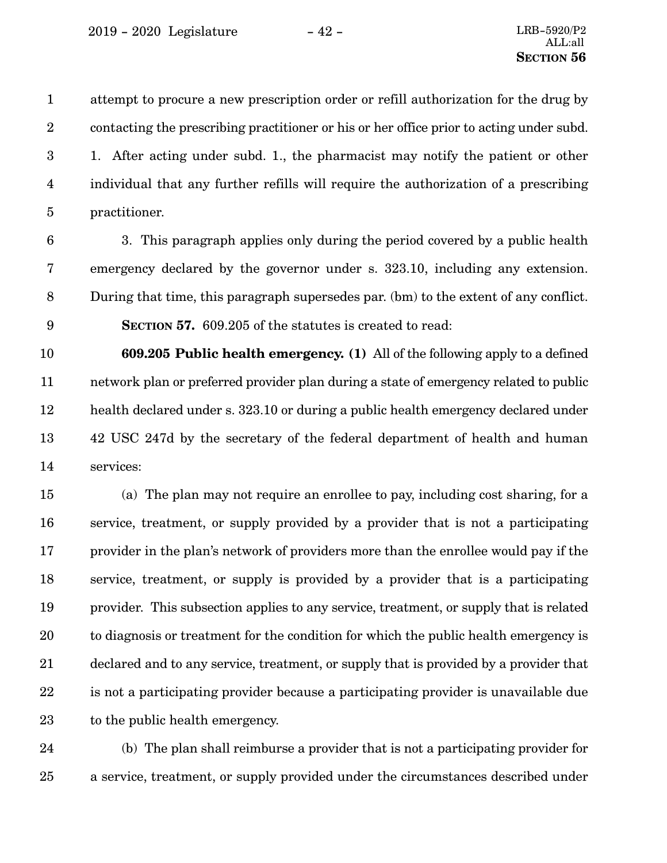attempt to procure a new prescription order or refill authorization for the drug by contacting the prescribing practitioner or his or her office prior to acting under subd. 1. After acting under subd. 1., the pharmacist may notify the patient or other individual that any further refills will require the authorization of a prescribing practitioner. 1 2 3 4 5

6

3. This paragraph applies only during the period covered by a public health emergency declared by the governor under s. 323.10, including any extension. During that time, this paragraph supersedes par. (bm) to the extent of any conflict. **SECTION 57.** 609.205 of the statutes is created to read: 7 8 9

**609.205 Public health emergency. (1)** All of the following apply to a defined network plan or preferred provider plan during a state of emergency related to public health declared under s. 323.10 or during a public health emergency declared under 42 USC 247d by the secretary of the federal department of health and human services: 10 11 12 13 14

(a) The plan may not require an enrollee to pay, including cost sharing, for a service, treatment, or supply provided by a provider that is not a participating provider in the plan's network of providers more than the enrollee would pay if the service, treatment, or supply is provided by a provider that is a participating provider. This subsection applies to any service, treatment, or supply that is related to diagnosis or treatment for the condition for which the public health emergency is declared and to any service, treatment, or supply that is provided by a provider that is not a participating provider because a participating provider is unavailable due to the public health emergency. 15 16 17 18 19 20 21 22 23

(b) The plan shall reimburse a provider that is not a participating provider for a service, treatment, or supply provided under the circumstances described under 24 25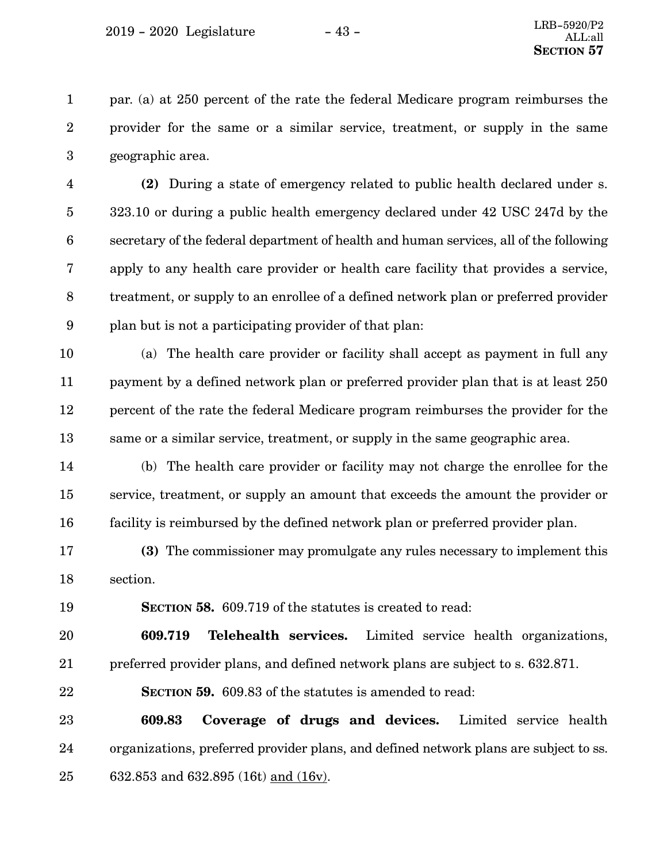par. (a) at 250 percent of the rate the federal Medicare program reimburses the provider for the same or a similar service, treatment, or supply in the same geographic area. 1 2 3

**(2)** During a state of emergency related to public health declared under s. 323.10 or during a public health emergency declared under 42 USC 247d by the secretary of the federal department of health and human services, all of the following apply to any health care provider or health care facility that provides a service, treatment, or supply to an enrollee of a defined network plan or preferred provider plan but is not a participating provider of that plan: 4 5 6 7 8 9

(a) The health care provider or facility shall accept as payment in full any payment by a defined network plan or preferred provider plan that is at least 250 percent of the rate the federal Medicare program reimburses the provider for the same or a similar service, treatment, or supply in the same geographic area. 10 11 12 13

(b) The health care provider or facility may not charge the enrollee for the service, treatment, or supply an amount that exceeds the amount the provider or facility is reimbursed by the defined network plan or preferred provider plan. 14 15 16

**(3)** The commissioner may promulgate any rules necessary to implement this section. 17 18

19

**SECTION 58.** 609.719 of the statutes is created to read:

**609.719 Telehealth services.** Limited service health organizations, preferred provider plans, and defined network plans are subject to s. 632.871. 20 21

**SECTION** 59. 609.83 of the statutes is amended to read: 22

**609.83 Coverage of drugs and devices.** Limited service health organizations, preferred provider plans, and defined network plans are subject to ss. 632.853 and 632.895 (16t) and (16v). 23 24 25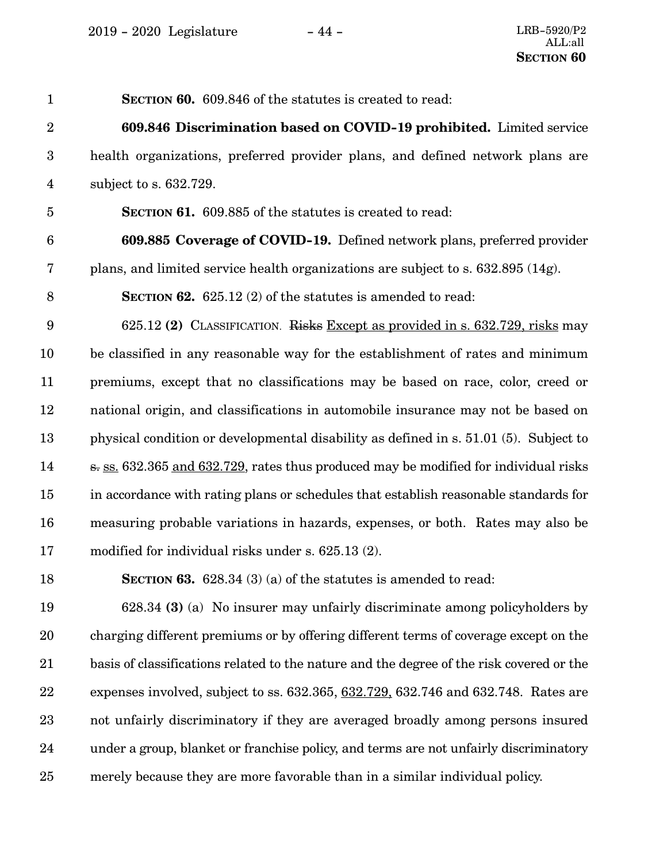| $\mathbf{1}$     | <b>SECTION 60.</b> 609.846 of the statutes is created to read:                           |
|------------------|------------------------------------------------------------------------------------------|
| $\overline{2}$   | 609.846 Discrimination based on COVID-19 prohibited. Limited service                     |
| $\boldsymbol{3}$ | health organizations, preferred provider plans, and defined network plans are            |
| $\overline{4}$   | subject to s. 632.729.                                                                   |
| $\overline{5}$   | <b>SECTION 61.</b> 609.885 of the statutes is created to read:                           |
| $6\phantom{.}6$  | 609.885 Coverage of COVID-19. Defined network plans, preferred provider                  |
| 7                | plans, and limited service health organizations are subject to s. 632.895 (14g).         |
| $\,8\,$          | <b>SECTION 62.</b> 625.12 (2) of the statutes is amended to read:                        |
| 9                | 625.12 (2) CLASSIFICATION. Risks Except as provided in s. 632.729, risks may             |
| 10               | be classified in any reasonable way for the establishment of rates and minimum           |
| 11               | premiums, except that no classifications may be based on race, color, creed or           |
| 12               | national origin, and classifications in automobile insurance may not be based on         |
| 13               | physical condition or developmental disability as defined in s. 51.01 (5). Subject to    |
| $14\,$           | s. ss. 632.365 and 632.729, rates thus produced may be modified for individual risks     |
| 15               | in accordance with rating plans or schedules that establish reasonable standards for     |
| 16               | measuring probable variations in hazards, expenses, or both. Rates may also be           |
| 17               | modified for individual risks under s. 625.13 (2).                                       |
| 18               | SECTION 63. $628.34$ (3) (a) of the statutes is amended to read:                         |
| 19               | 628.34 (3) (a) No insurer may unfairly discriminate among policyholders by               |
| 20               | charging different premiums or by offering different terms of coverage except on the     |
| 21               | basis of classifications related to the nature and the degree of the risk covered or the |
| 22               | expenses involved, subject to ss. 632.365, 632.729, 632.746 and 632.748. Rates are       |
| 23               | not unfairly discriminatory if they are averaged broadly among persons insured           |

merely because they are more favorable than in a similar individual policy. 25

24

under a group, blanket or franchise policy, and terms are not unfairly discriminatory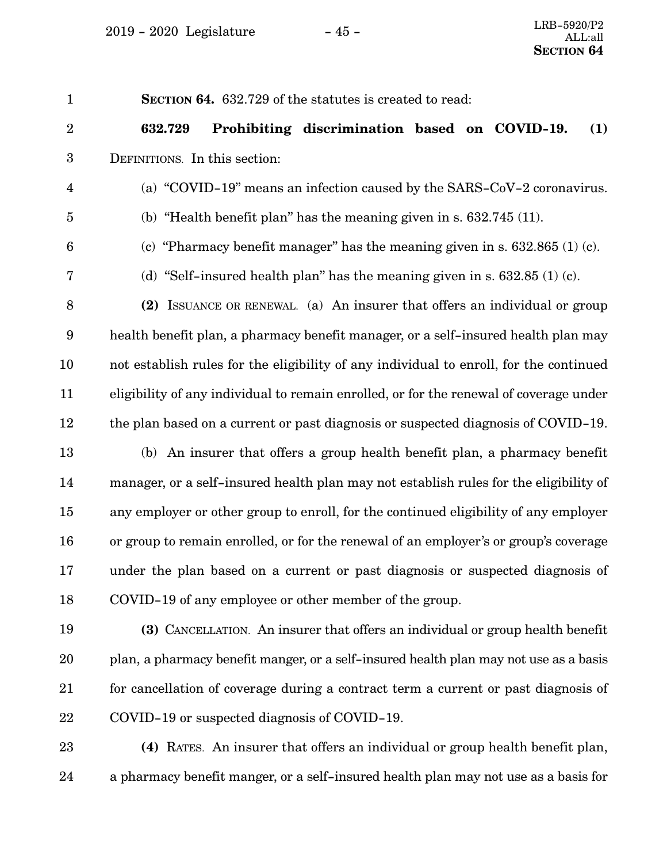**SECTION 64.** 632.729 of the statutes is created to read: **632.729 Prohibiting discrimination based on COVID-19. (1)** DEFINITIONS. In this section: (a) "COVID-19" means an infection caused by the SARS-CoV-2 coronavirus. (b) "Health benefit plan" has the meaning given in s. 632.745 (11). (c) "Pharmacy benefit manager" has the meaning given in s.  $632.865$  (1) (c). (d) "Self-insured health plan" has the meaning given in s.  $632.85$  (1) (c). **(2)** ISSUANCE OR RENEWAL. (a) An insurer that offers an individual or group health benefit plan, a pharmacy benefit manager, or a self-insured health plan may not establish rules for the eligibility of any individual to enroll, for the continued eligibility of any individual to remain enrolled, or for the renewal of coverage under the plan based on a current or past diagnosis or suspected diagnosis of COVID-19. (b) An insurer that offers a group health benefit plan, a pharmacy benefit manager, or a self-insured health plan may not establish rules for the eligibility of any employer or other group to enroll, for the continued eligibility of any employer or group to remain enrolled, or for the renewal of an employer's or group's coverage under the plan based on a current or past diagnosis or suspected diagnosis of COVID-19 of any employee or other member of the group. **(3)** CANCELLATION. An insurer that offers an individual or group health benefit 1 2 3 4 5 6 7 8 9 10 11 12 13 14 15 16 17 18 19

- plan, a pharmacy benefit manger, or a self-insured health plan may not use as a basis for cancellation of coverage during a contract term a current or past diagnosis of COVID-19 or suspected diagnosis of COVID-19. 20 21 22
- **(4)** RATES. An insurer that offers an individual or group health benefit plan, a pharmacy benefit manger, or a self-insured health plan may not use as a basis for 23 24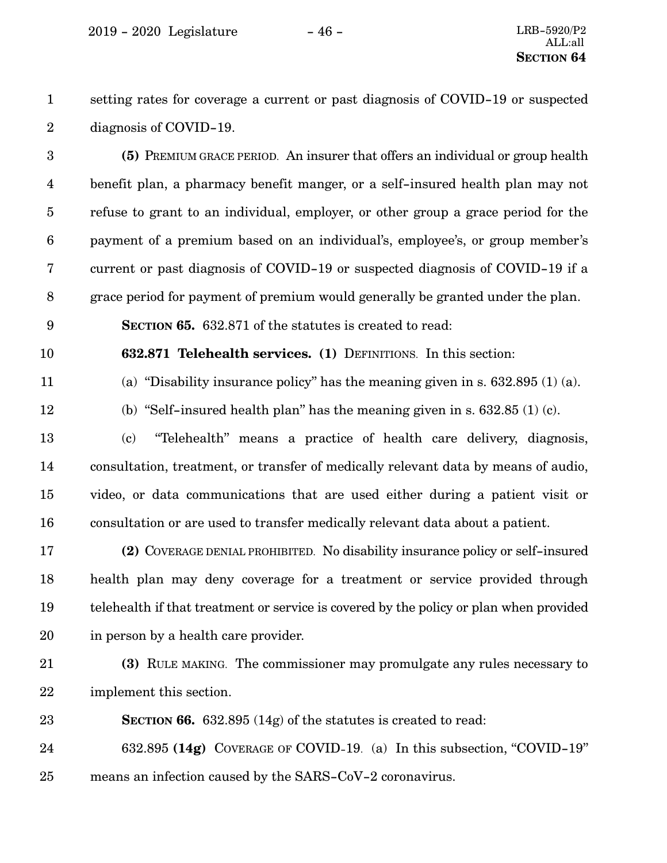setting rates for coverage a current or past diagnosis of COVID-19 or suspected diagnosis of COVID-19. 1 2

**(5)** PREMIUM GRACE PERIOD. An insurer that offers an individual or group health benefit plan, a pharmacy benefit manger, or a self-insured health plan may not refuse to grant to an individual, employer, or other group a grace period for the payment of a premium based on an individual's, employee's, or group member's current or past diagnosis of COVID-19 or suspected diagnosis of COVID-19 if a grace period for payment of premium would generally be granted under the plan. 3 4 5 6 7 8

**SECTION 65.** 632.871 of the statutes is created to read:

**632.871 Telehealth services. (1)** DEFINITIONS. In this section: 10

(a) "Disability insurance policy" has the meaning given in s. 632.895 (1) (a). 11

12

9

(b) "Self-insured health plan" has the meaning given in s.  $632.85$  (1) (c).

(c) "Telehealth" means a practice of health care delivery, diagnosis, consultation, treatment, or transfer of medically relevant data by means of audio, video, or data communications that are used either during a patient visit or consultation or are used to transfer medically relevant data about a patient. 13 14 15 16

**(2)** COVERAGE DENIAL PROHIBITED. No disability insurance policy or self-insured health plan may deny coverage for a treatment or service provided through telehealth if that treatment or service is covered by the policy or plan when provided in person by a health care provider. 17 18 19 20

21

22

**(3)** RULE MAKING. The commissioner may promulgate any rules necessary to implement this section.

**SECTION 66.** 632.895 (14g) of the statutes is created to read: 23

632.895 **(14g)** COVERAGE OF COVID-19. (a) In this subsection, "COVID-19" means an infection caused by the SARS-CoV-2 coronavirus. 24 25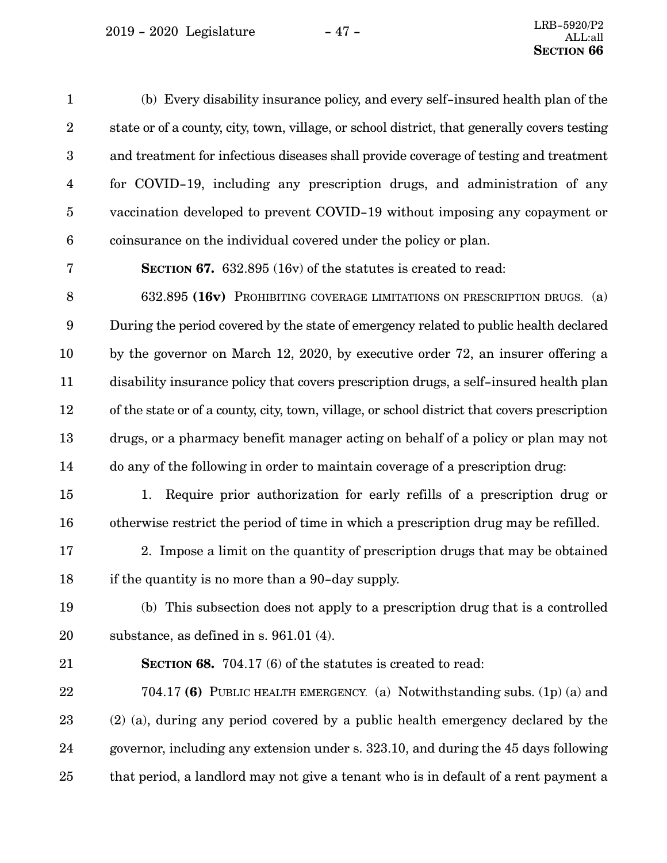| $\mathbf{1}$     | (b) Every disability insurance policy, and every self-insured health plan of the              |
|------------------|-----------------------------------------------------------------------------------------------|
| $\boldsymbol{2}$ | state or of a county, city, town, village, or school district, that generally covers testing  |
| $\boldsymbol{3}$ | and treatment for infectious diseases shall provide coverage of testing and treatment         |
| $\overline{4}$   | for COVID-19, including any prescription drugs, and administration of any                     |
| $\overline{5}$   | vaccination developed to prevent COVID-19 without imposing any copayment or                   |
| $\boldsymbol{6}$ | coinsurance on the individual covered under the policy or plan.                               |
| 7                | <b>SECTION 67.</b> 632.895 (16v) of the statutes is created to read:                          |
| $8\,$            | 632.895 (16v) PROHIBITING COVERAGE LIMITATIONS ON PRESCRIPTION DRUGS. (a)                     |
| $\boldsymbol{9}$ | During the period covered by the state of emergency related to public health declared         |
| 10               | by the governor on March 12, 2020, by executive order 72, an insurer offering a               |
| 11               | disability insurance policy that covers prescription drugs, a self-insured health plan        |
| 12               | of the state or of a county, city, town, village, or school district that covers prescription |
| 13               | drugs, or a pharmacy benefit manager acting on behalf of a policy or plan may not             |
| 14               | do any of the following in order to maintain coverage of a prescription drug:                 |
| 15               | Require prior authorization for early refills of a prescription drug or<br>1.                 |
| 16               | otherwise restrict the period of time in which a prescription drug may be refilled.           |
| 17               | 2. Impose a limit on the quantity of prescription drugs that may be obtained                  |
| 18               | if the quantity is no more than a 90-day supply.                                              |
| 19               | (b) This subsection does not apply to a prescription drug that is a controlled                |
| 20               | substance, as defined in s. $961.01$ (4).                                                     |
| 21               | <b>SECTION 68.</b> 704.17 (6) of the statutes is created to read:                             |
| 22               | 704.17 (6) PUBLIC HEALTH EMERGENCY. (a) Notwithstanding subs. (1p) (a) and                    |
| 23               | (2) (a), during any period covered by a public health emergency declared by the               |
| 24               | governor, including any extension under s. 323.10, and during the 45 days following           |
| 25               | that period, a landlord may not give a tenant who is in default of a rent payment a           |
|                  |                                                                                               |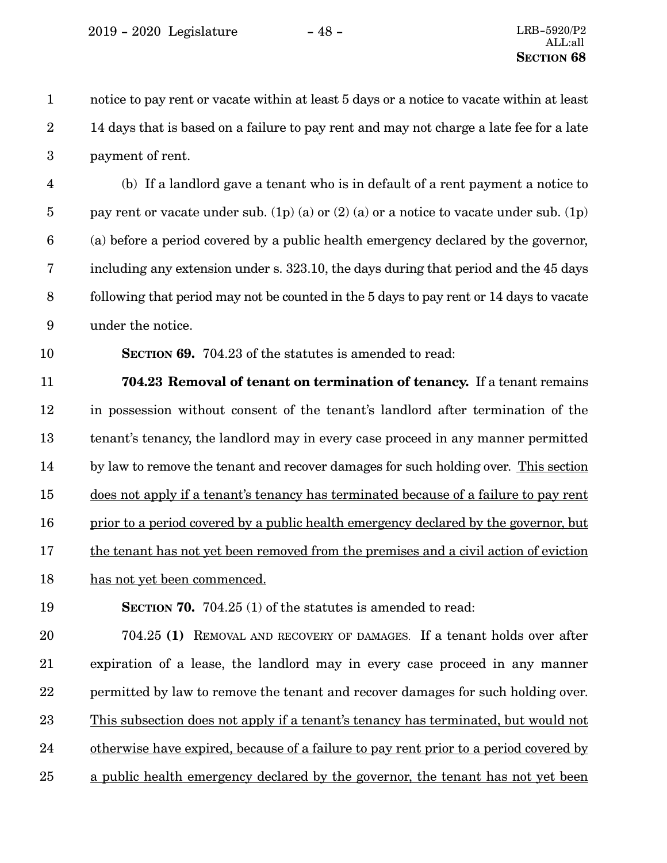notice to pay rent or vacate within at least 5 days or a notice to vacate within at least 14 days that is based on a failure to pay rent and may not charge a late fee for a late payment of rent. 1 2 3

(b) If a landlord gave a tenant who is in default of a rent payment a notice to pay rent or vacate under sub. (1p) (a) or (2) (a) or a notice to vacate under sub. (1p) (a) before a period covered by a public health emergency declared by the governor, including any extension under s. 323.10, the days during that period and the 45 days following that period may not be counted in the 5 days to pay rent or 14 days to vacate under the notice. 4 5 6 7 8 9

10

**SECTION 69.** 704.23 of the statutes is amended to read:

**704.23 Removal of tenant on termination of tenancy.** If a tenant remains in possession without consent of the tenant's landlord after termination of the tenant's tenancy, the landlord may in every case proceed in any manner permitted by law to remove the tenant and recover damages for such holding over. This section does not apply if a tenant's tenancy has terminated because of a failure to pay rent prior to a period covered by a public health emergency declared by the governor, but the tenant has not yet been removed from the premises and a civil action of eviction has not yet been commenced. 11 12 13 14 15 16 17 18

**SECTION 70.** 704.25 (1) of the statutes is amended to read: 19

704.25 **(1)** REMOVAL AND RECOVERY OF DAMAGES. If a tenant holds over after expiration of a lease, the landlord may in every case proceed in any manner permitted by law to remove the tenant and recover damages for such holding over. This subsection does not apply if a tenant's tenancy has terminated, but would not otherwise have expired, because of a failure to pay rent prior to a period covered by a public health emergency declared by the governor, the tenant has not yet been 20 21 22 23 24 25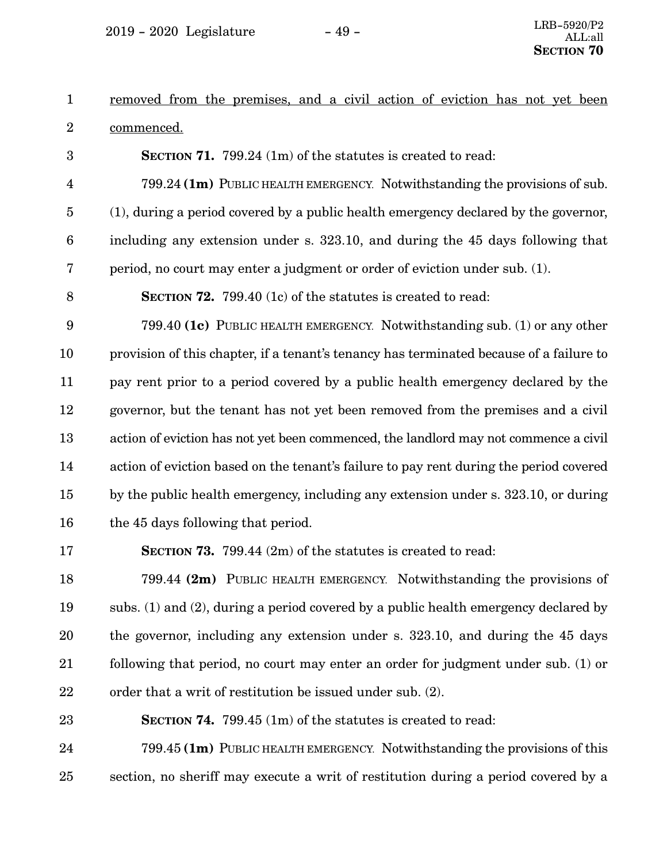removed from the premises, and a civil action of eviction has not yet been commenced. 1 2

**SECTION 71.** 799.24 (1m) of the statutes is created to read:

799.24 **(1m)** PUBLIC HEALTH EMERGENCY. Notwithstanding the provisions of sub. (1), during a period covered by a public health emergency declared by the governor, including any extension under s. 323.10, and during the 45 days following that period, no court may enter a judgment or order of eviction under sub. (1). 4 5 6 7

8

3

**SECTION 72.** 799.40 (1c) of the statutes is created to read:

799.40 **(1c)** PUBLIC HEALTH EMERGENCY. Notwithstanding sub. (1) or any other provision of this chapter, if a tenant's tenancy has terminated because of a failure to pay rent prior to a period covered by a public health emergency declared by the governor, but the tenant has not yet been removed from the premises and a civil action of eviction has not yet been commenced, the landlord may not commence a civil action of eviction based on the tenant's failure to pay rent during the period covered by the public health emergency, including any extension under s. 323.10, or during the 45 days following that period. 9 10 11 12 13 14 15 16

17

**SECTION 73.** 799.44 (2m) of the statutes is created to read:

799.44 **(2m)** PUBLIC HEALTH EMERGENCY. Notwithstanding the provisions of subs. (1) and (2), during a period covered by a public health emergency declared by the governor, including any extension under s. 323.10, and during the 45 days following that period, no court may enter an order for judgment under sub. (1) or order that a writ of restitution be issued under sub. (2). 18 19 20 21 22

**SECTION 74.** 799.45 (1m) of the statutes is created to read: 23

799.45 **(1m)** PUBLIC HEALTH EMERGENCY. Notwithstanding the provisions of this section, no sheriff may execute a writ of restitution during a period covered by a 24 25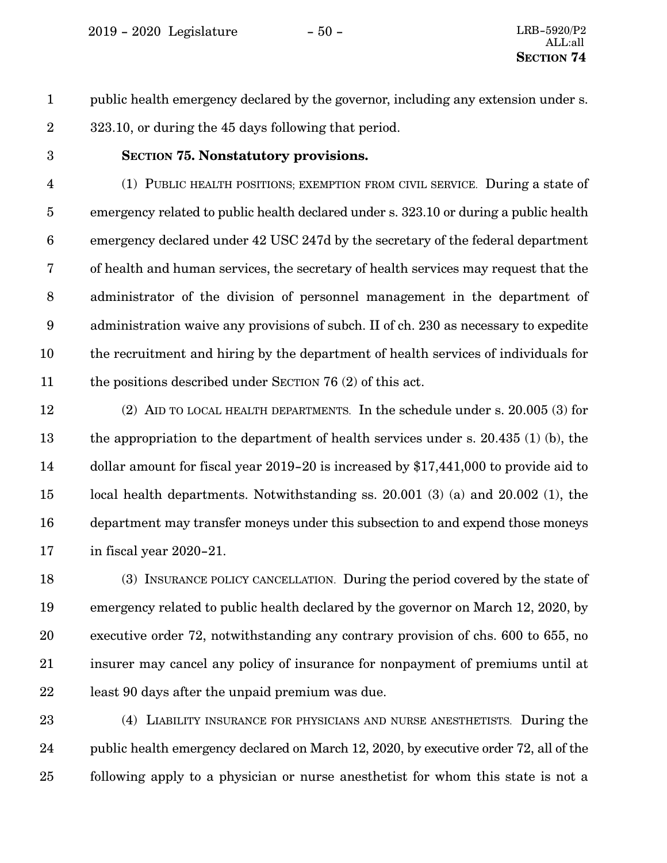<span id="page-49-0"></span>2019 - 2020 Legislature - 50 - LRB-5920/P2

public health emergency declared by the governor, including any extension under s. 323.10, or during the 45 days following that period. 1 2

3

#### **SECTION 75.**0**Nonstatutory provisions.**

(1) PUBLIC HEALTH POSITIONS; EXEMPTION FROM CIVIL SERVICE. During a state of emergency related to public health declared under s. 323.10 or during a public health emergency declared under 42 USC 247d by the secretary of the federal department of health and human services, the secretary of health services may request that the administrator of the division of personnel management in the department of administration waive any provisions of subch. II of ch. 230 as necessary to expedite the recruitment and hiring by the department of health services of individuals for the positions described under SECTION [76](#page-62-0) ([2](#page-62-0)) of this act. 4 5 6 7 8 9 10 11

(2) AID TO LOCAL HEALTH DEPARTMENTS. In the schedule under s. 20.005 (3) for the appropriation to the department of health services under s. 20.435 (1) (b), the dollar amount for fiscal year 2019-20 is increased by \$17,441,000 to provide aid to local health departments. Notwithstanding ss. 20.001 (3) (a) and 20.002 (1), the department may transfer moneys under this subsection to and expend those moneys in fiscal year 2020-21. 12 13 14 15 16 17

(3) INSURANCE POLICY CANCELLATION. During the period covered by the state of emergency related to public health declared by the governor on March 12, 2020, by executive order 72, notwithstanding any contrary provision of chs. 600 to 655, no insurer may cancel any policy of insurance for nonpayment of premiums until at least 90 days after the unpaid premium was due. 18 19 20 21 22

(4) LIABILITY INSURANCE FOR PHYSICIANS AND NURSE ANESTHETISTS. During the public health emergency declared on March 12, 2020, by executive order 72, all of the following apply to a physician or nurse anesthetist for whom this state is not a 23 24 25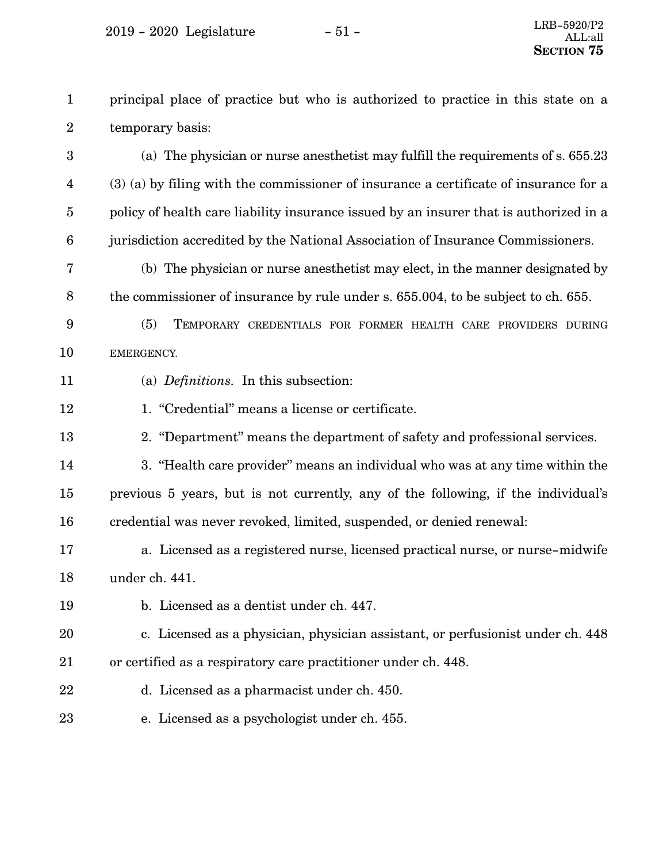principal place of practice but who is authorized to practice in this state on a temporary basis: 1 2

(a) The physician or nurse anesthetist may fulfill the requirements of s. 655.23 (3) (a) by filing with the commissioner of insurance a certificate of insurance for a policy of health care liability insurance issued by an insurer that is authorized in a jurisdiction accredited by the National Association of Insurance Commissioners. 3 4 5 6

(b) The physician or nurse anesthetist may elect, in the manner designated by the commissioner of insurance by rule under s. 655.004, to be subject to ch. 655. 7 8

- (5) TEMPORARY CREDENTIALS FOR FORMER HEALTH CARE PROVIDERS DURING EMERGENCY. 9 10
- (a) *Definitions.* In this subsection: 11
- 1. "Credential" means a license or certificate. 12
- 2. "Department" means the department of safety and professional services. 13

3. "Health care provider" means an individual who was at any time within the previous 5 years, but is not currently, any of the following, if the individual's credential was never revoked, limited, suspended, or denied renewal: 14 15 16

- a. Licensed as a registered nurse, licensed practical nurse, or nurse-midwife under ch. 441. 17 18
- b. Licensed as a dentist under ch. 447. 19

c. Licensed as a physician, physician assistant, or perfusionist under ch. 448 or certified as a respiratory care practitioner under ch. 448. 20 21

- d. Licensed as a pharmacist under ch. 450. 22
- e. Licensed as a psychologist under ch. 455. 23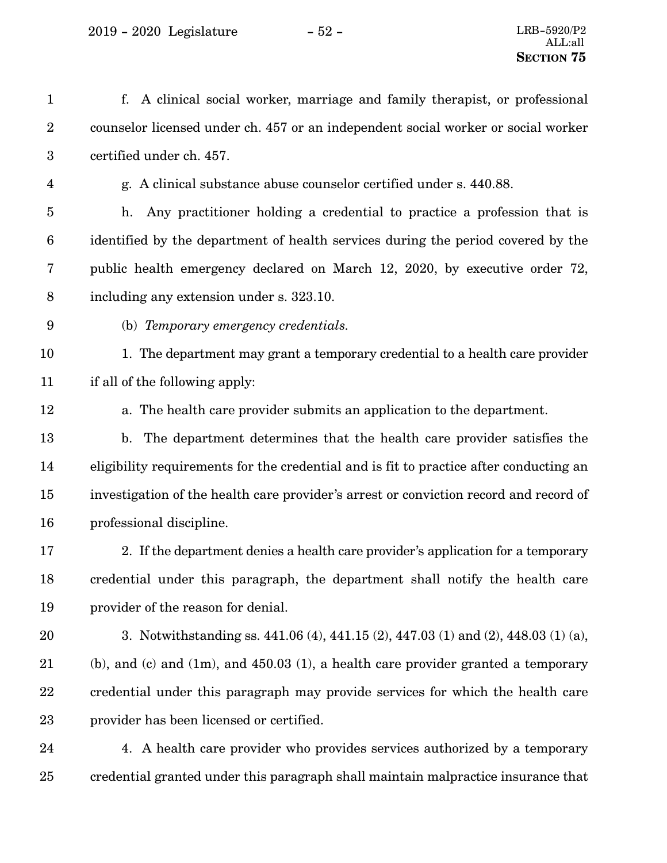2019 - 2020 Legislature - 52 - LRB-5920/P2

f. A clinical social worker, marriage and family therapist, or professional counselor licensed under ch. 457 or an independent social worker or social worker certified under ch. 457. g. A clinical substance abuse counselor certified under s. 440.88. h. Any practitioner holding a credential to practice a profession that is identified by the department of health services during the period covered by the public health emergency declared on March 12, 2020, by executive order 72, including any extension under s. 323.10. (b) *Temporary emergency credentials.* 1. The department may grant a temporary credential to a health care provider if all of the following apply: a. The health care provider submits an application to the department. b. The department determines that the health care provider satisfies the eligibility requirements for the credential and is fit to practice after conducting an investigation of the health care provider's arrest or conviction record and record of professional discipline. 2. If the department denies a health care provider's application for a temporary credential under this paragraph, the department shall notify the health care provider of the reason for denial. 3. Notwithstanding ss. 441.06 (4), 441.15 (2), 447.03 (1) and (2), 448.03 (1) (a), (b), and (c) and  $(1m)$ , and  $450.03$  (1), a health care provider granted a temporary credential under this paragraph may provide services for which the health care provider has been licensed or certified. 4. A health care provider who provides services authorized by a temporary 1 2 3 4 5 6 7 8 9 10 11 12 13 14 15 16 17 18 19 20 21 22 23 24

credential granted under this paragraph shall maintain malpractice insurance that 25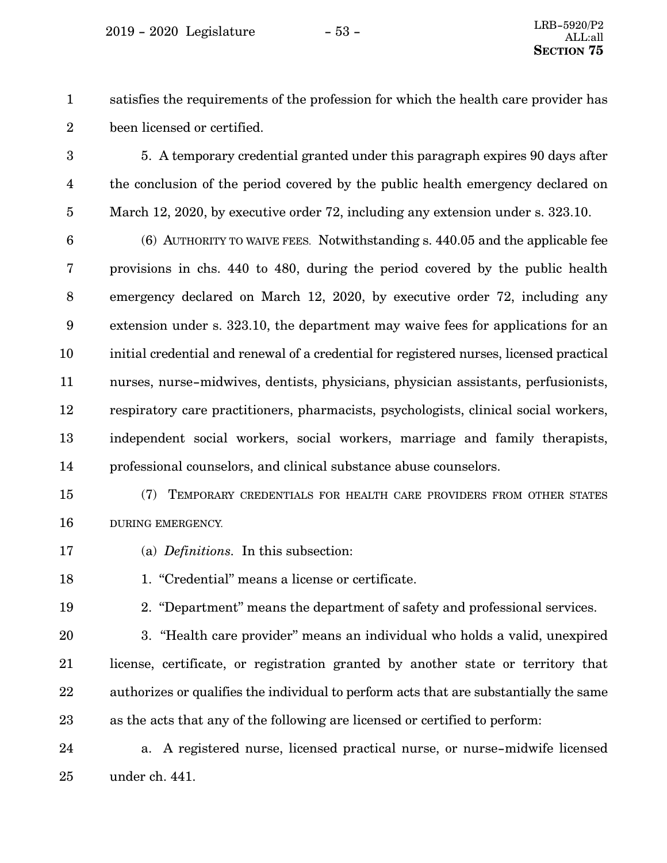$2019 - 2020$  Legislature  $-53 -$ 

satisfies the requirements of the profession for which the health care provider has been licensed or certified. 1 2

5. A temporary credential granted under this paragraph expires 90 days after the conclusion of the period covered by the public health emergency declared on March 12, 2020, by executive order 72, including any extension under s. 323.10. 3 4 5

(6) AUTHORITY TO WAIVE FEES. Notwithstanding s. 440.05 and the applicable fee provisions in chs. 440 to 480, during the period covered by the public health emergency declared on March 12, 2020, by executive order 72, including any extension under s. 323.10, the department may waive fees for applications for an initial credential and renewal of a credential for registered nurses, licensed practical nurses, nurse-midwives, dentists, physicians, physician assistants, perfusionists, respiratory care practitioners, pharmacists, psychologists, clinical social workers, independent social workers, social workers, marriage and family therapists, professional counselors, and clinical substance abuse counselors. 6 7 8 9 10 11 12 13 14

- (7) TEMPORARY CREDENTIALS FOR HEALTH CARE PROVIDERS FROM OTHER STATES DURING EMERGENCY. 15 16
- (a) *Definitions.* In this subsection: 17
- 1. "Credential" means a license or certificate. 18
- 19

2. "Department" means the department of safety and professional services.

3. "Health care provider" means an individual who holds a valid, unexpired license, certificate, or registration granted by another state or territory that authorizes or qualifies the individual to perform acts that are substantially the same as the acts that any of the following are licensed or certified to perform: 20 21 22 23

a. A registered nurse, licensed practical nurse, or nurse-midwife licensed under ch. 441. 24 25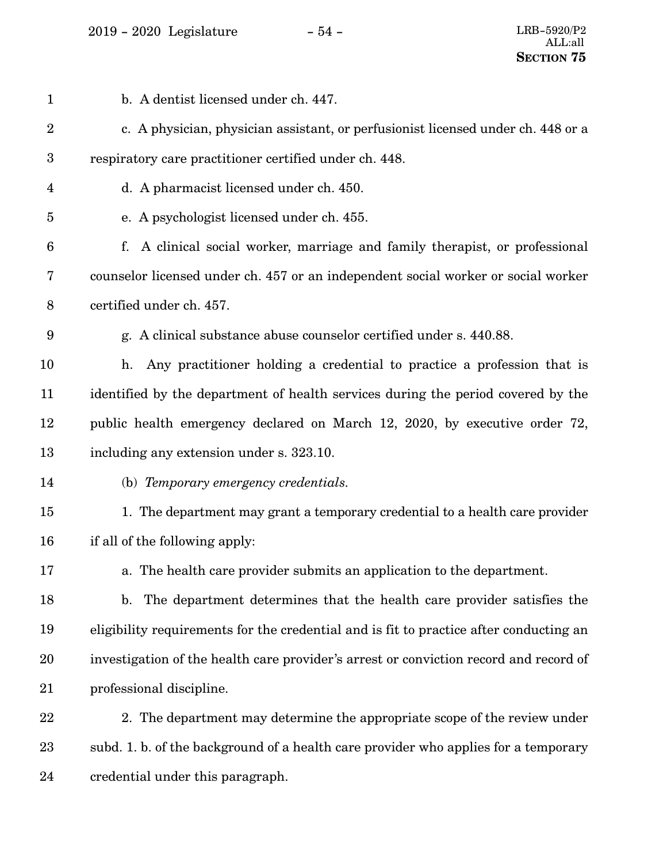2019 - 2020 Legislature - 54 - LRB-5920/P2

| $\mathbf{1}$            | b. A dentist licensed under ch. 447.                                                    |
|-------------------------|-----------------------------------------------------------------------------------------|
| $\boldsymbol{2}$        | c. A physician, physician assistant, or perfusionist licensed under ch. 448 or a        |
| $\boldsymbol{3}$        | respiratory care practitioner certified under ch. 448.                                  |
| $\overline{\mathbf{4}}$ | d. A pharmacist licensed under ch. 450.                                                 |
| 5                       | e. A psychologist licensed under ch. 455.                                               |
| 6                       | A clinical social worker, marriage and family therapist, or professional<br>f.          |
| 7                       | counselor licensed under ch. 457 or an independent social worker or social worker       |
| 8                       | certified under ch. 457.                                                                |
| 9                       | g. A clinical substance abuse counselor certified under s. 440.88.                      |
| 10                      | Any practitioner holding a credential to practice a profession that is<br>h.            |
| 11                      | identified by the department of health services during the period covered by the        |
| 12                      | public health emergency declared on March 12, 2020, by executive order 72,              |
| 13                      | including any extension under s. 323.10.                                                |
| 14                      | (b) Temporary emergency credentials.                                                    |
| 15                      | 1. The department may grant a temporary credential to a health care provider            |
| 16                      | if all of the following apply:                                                          |
| 17                      | a. The health care provider submits an application to the department.                   |
| 18                      | The department determines that the health care provider satisfies the<br>$\mathbf{b}$ . |
| 19                      | eligibility requirements for the credential and is fit to practice after conducting an  |
| 20                      | investigation of the health care provider's arrest or conviction record and record of   |
| 21                      | professional discipline.                                                                |
| 22                      | 2. The department may determine the appropriate scope of the review under               |
| 23                      | subd. 1. b. of the background of a health care provider who applies for a temporary     |
| 24                      | credential under this paragraph.                                                        |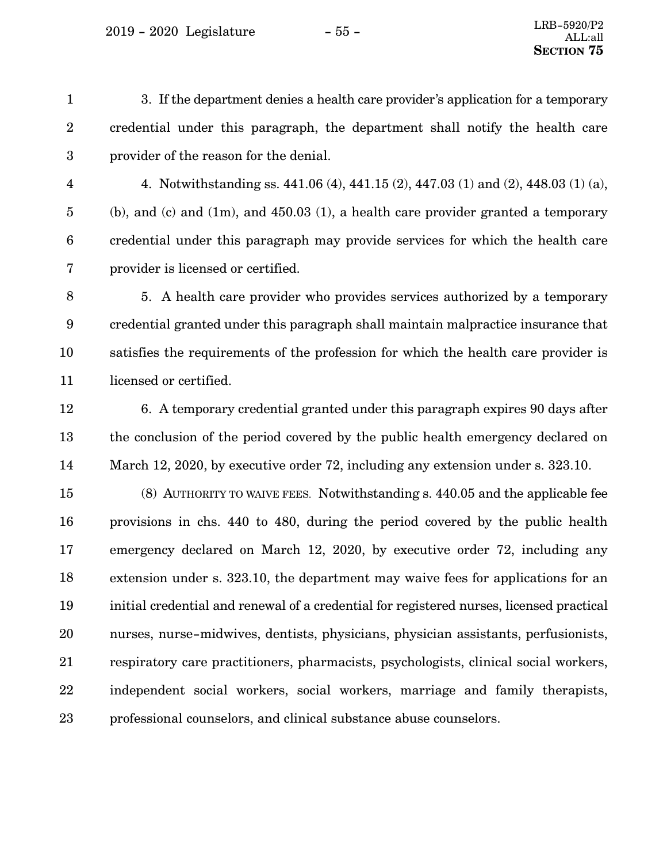$2019 - 2020$  Legislature  $-55 -$ 

3. If the department denies a health care provider's application for a temporary credential under this paragraph, the department shall notify the health care provider of the reason for the denial. 1 2 3

4

4. Notwithstanding ss. 441.06 (4), 441.15 (2), 447.03 (1) and (2), 448.03 (1) (a), (b), and (c) and  $(1m)$ , and  $450.03$  (1), a health care provider granted a temporary credential under this paragraph may provide services for which the health care provider is licensed or certified. 5 6 7

5. A health care provider who provides services authorized by a temporary credential granted under this paragraph shall maintain malpractice insurance that satisfies the requirements of the profession for which the health care provider is licensed or certified. 8 9 10 11

12

13

14

6. A temporary credential granted under this paragraph expires 90 days after the conclusion of the period covered by the public health emergency declared on March 12, 2020, by executive order 72, including any extension under s. 323.10.

(8) AUTHORITY TO WAIVE FEES. Notwithstanding s. 440.05 and the applicable fee provisions in chs. 440 to 480, during the period covered by the public health emergency declared on March 12, 2020, by executive order 72, including any extension under s. 323.10, the department may waive fees for applications for an initial credential and renewal of a credential for registered nurses, licensed practical nurses, nurse-midwives, dentists, physicians, physician assistants, perfusionists, respiratory care practitioners, pharmacists, psychologists, clinical social workers, independent social workers, social workers, marriage and family therapists, professional counselors, and clinical substance abuse counselors. 15 16 17 18 19 20 21 22 23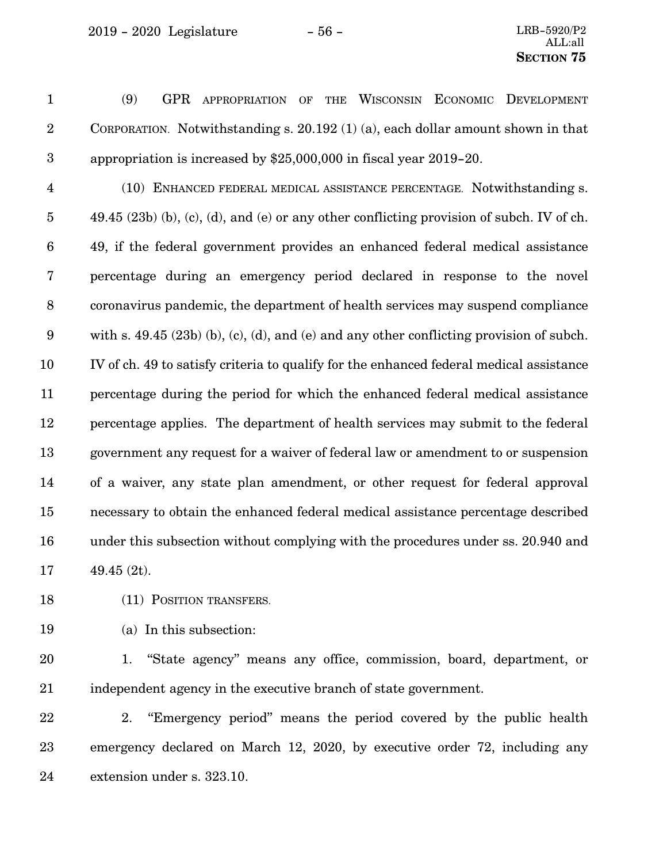(9) GPR APPROPRIATION OF THE WISCONSIN ECONOMIC DEVELOPMENT CORPORATION. Notwithstanding s. 20.192 (1) (a), each dollar amount shown in that appropriation is increased by \$25,000,000 in fiscal year 2019-20. 1 2 3

(10) ENHANCED FEDERAL MEDICAL ASSISTANCE PERCENTAGE. Notwithstanding s.  $49.45$  (23b) (b), (c), (d), and (e) or any other conflicting provision of subch. IV of ch. 49, if the federal government provides an enhanced federal medical assistance percentage during an emergency period declared in response to the novel coronavirus pandemic, the department of health services may suspend compliance with s. 49.45 (23b) (b), (c), (d), and (e) and any other conflicting provision of subch. IV of ch. 49 to satisfy criteria to qualify for the enhanced federal medical assistance percentage during the period for which the enhanced federal medical assistance percentage applies. The department of health services may submit to the federal government any request for a waiver of federal law or amendment to or suspension of a waiver, any state plan amendment, or other request for federal approval necessary to obtain the enhanced federal medical assistance percentage described under this subsection without complying with the procedures under ss. 20.940 and 49.45 (2t). 4 5 6 7 8 9 10 11 12 13 14 15 16 17

- (11) POSITION TRANSFERS. 18
- (a) In this subsection: 19
- 1. "State agency" means any office, commission, board, department, or independent agency in the executive branch of state government. 20 21
- 2. "Emergency period" means the period covered by the public health emergency declared on March 12, 2020, by executive order 72, including any extension under s. 323.10. 22 23 24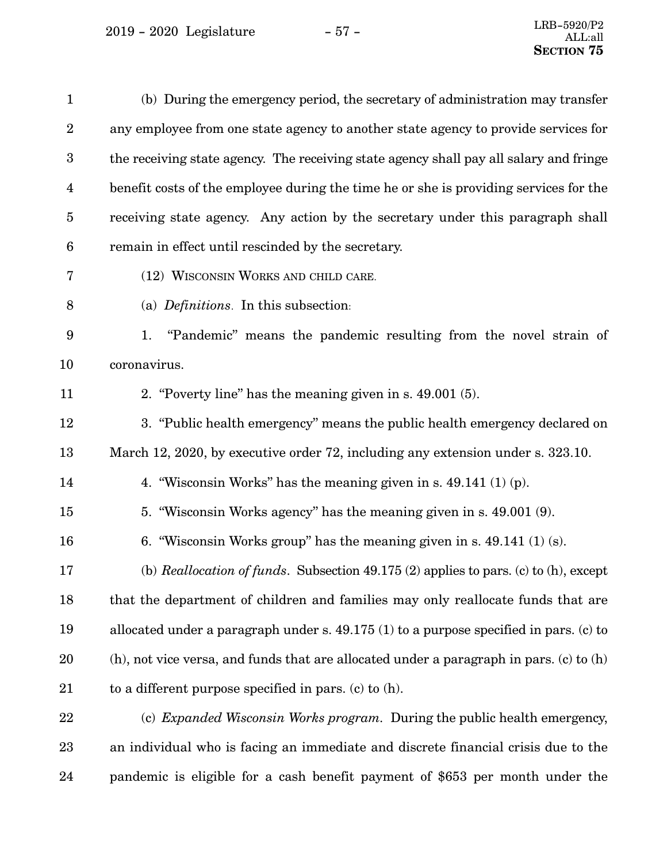<span id="page-56-0"></span>

| $\mathbf{1}$     | (b) During the emergency period, the secretary of administration may transfer                |
|------------------|----------------------------------------------------------------------------------------------|
| $\boldsymbol{2}$ | any employee from one state agency to another state agency to provide services for           |
| $\boldsymbol{3}$ | the receiving state agency. The receiving state agency shall pay all salary and fringe       |
| $\overline{4}$   | benefit costs of the employee during the time he or she is providing services for the        |
| $\bf 5$          | receiving state agency. Any action by the secretary under this paragraph shall               |
| $\boldsymbol{6}$ | remain in effect until rescinded by the secretary.                                           |
| 7                | (12) WISCONSIN WORKS AND CHILD CARE.                                                         |
| 8                | (a) Definitions. In this subsection:                                                         |
| 9                | "Pandemic" means the pandemic resulting from the novel strain of<br>1.                       |
| 10               | coronavirus.                                                                                 |
| 11               | 2. "Poverty line" has the meaning given in s. 49.001 (5).                                    |
| 12               | 3. "Public health emergency" means the public health emergency declared on                   |
| 13               | March 12, 2020, by executive order 72, including any extension under s. 323.10.              |
| 14               | 4. "Wisconsin Works" has the meaning given in s. $49.141(1)(p)$ .                            |
| 15               | 5. "Wisconsin Works agency" has the meaning given in s. 49.001 (9).                          |
| 16               | 6. "Wisconsin Works group" has the meaning given in s. $49.141(1)(s)$ .                      |
| 17               | (b) Reallocation of funds. Subsection $49.175(2)$ applies to pars. (c) to (h), except        |
| 18               | that the department of children and families may only reallocate funds that are              |
| 19               | allocated under a paragraph under s. $49.175(1)$ to a purpose specified in pars. (c) to      |
| 20               | $(h)$ , not vice versa, and funds that are allocated under a paragraph in pars. (c) to $(h)$ |
| 21               | to a different purpose specified in pars. (c) to $(h)$ .                                     |
| 22               | (c) <i>Expanded Wisconsin Works program.</i> During the public health emergency,             |
| 23               | an individual who is facing an immediate and discrete financial crisis due to the            |

pandemic is eligible for a cash benefit payment of \$653 per month under the 24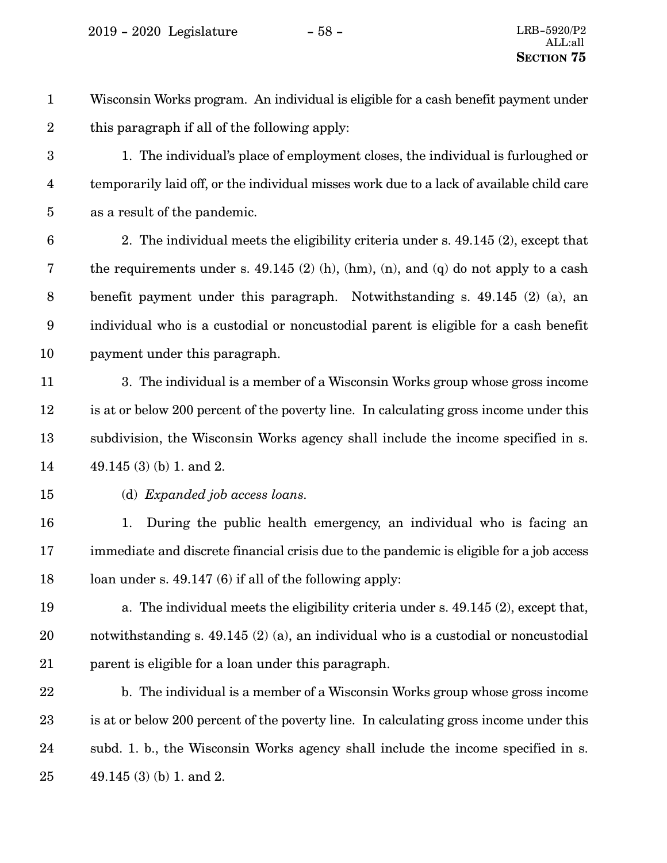<span id="page-57-0"></span>Wisconsin Works program. An individual is eligible for a cash benefit payment under this paragraph if all of the following apply: 1 2

1. The individual's place of employment closes, the individual is furloughed or temporarily laid off, or the individual misses work due to a lack of available child care as a result of the pandemic. 3 4 5

2. The individual meets the eligibility criteria under s. 49.145 (2), except that the requirements under s. 49.145 (2) (h), (hm), (n), and (q) do not apply to a cash benefit payment under this paragraph. Notwithstanding s. 49.145 (2) (a), an individual who is a custodial or noncustodial parent is eligible for a cash benefit payment under this paragraph. 6 7 8 9 10

- 3. The individual is a member of a Wisconsin Works group whose gross income is at or below 200 percent of the poverty line. In calculating gross income under this subdivision, the Wisconsin Works agency shall include the income specified in s. 49.145 (3) (b) 1. and 2. 11 12 13 14
- 15

(d) *Expanded job access loans.*

1. During the public health emergency, an individual who is facing an immediate and discrete financial crisis due to the pandemic is eligible for a job access loan under s. 49.147 (6) if all of the following apply: 16 17 18

a. The individual meets the eligibility criteria under s. 49.145 (2), except that, notwithstanding s. 49.145 (2) (a), an individual who is a custodial or noncustodial parent is eligible for a loan under this paragraph. 19 20 21

b. The individual is a member of a Wisconsin Works group whose gross income is at or below 200 percent of the poverty line. In calculating gross income under this subd. 1. b., the Wisconsin Works agency shall include the income specified in s. 49.145 (3) (b) 1. and 2. 22 23 24 25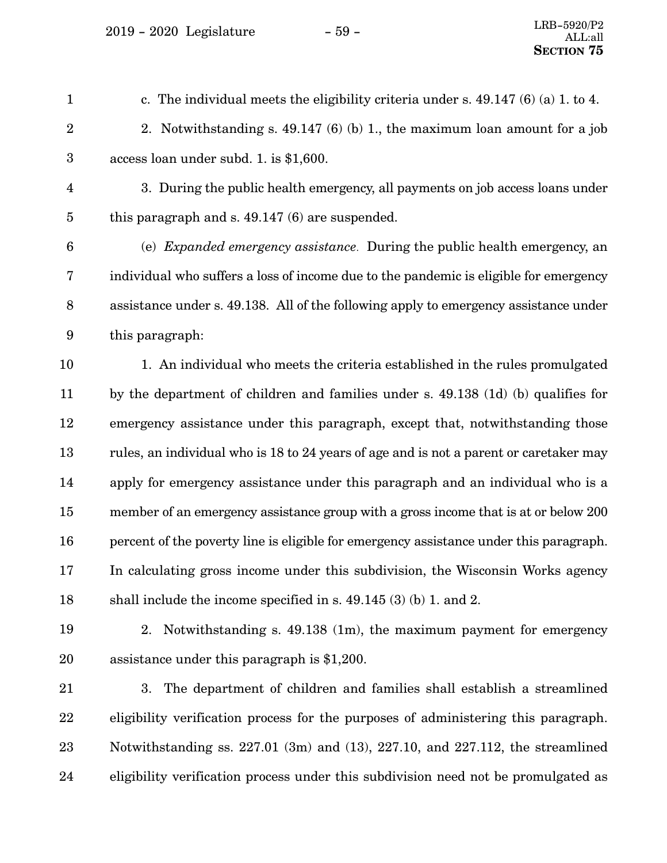$2019 - 2020$  Legislature  $-59 -$ 

c. The individual meets the eligibility criteria under s. 49.147 (6) (a) 1. to 4. 2. Notwithstanding s. 49.147 (6) (b) 1., the maximum loan amount for a job access loan under subd. [1](#page-57-0). is \$1,600. 3. During the public health emergency, all payments on job access loans under this paragraph and s. 49.147 (6) are suspended. (e) *Expanded emergency assistance*. During the public health emergency, an individual who suffers a loss of income due to the pandemic is eligible for emergency assistance under s. 49.138. All of the following apply to emergency assistance under this paragraph: 1. An individual who meets the criteria established in the rules promulgated by the department of children and families under s. 49.138 (1d) (b) qualifies for emergency assistance under this paragraph, except that, notwithstanding those rules, an individual who is 18 to 24 years of age and is not a parent or caretaker may apply for emergency assistance under this paragraph and an individual who is a member of an emergency assistance group with a gross income that is at or below 200 percent of the poverty line is eligible for emergency assistance under this paragraph. In calculating gross income under this subdivision, the Wisconsin Works agency shall include the income specified in s. 49.145 (3) (b) 1. and 2. 2. Notwithstanding s. 49.138 (1m), the maximum payment for emergency assistance under this paragraph is \$1,200. 3. The department of children and families shall establish a streamlined eligibility verification process for the purposes of administering this paragraph. 1 2 3 4 5 6 7 8 9 10 11 12 13 14 15 16 17 18 19 20 21 22

eligibility verification process under this subdivision need not be promulgated as 24

23

Notwithstanding ss. 227.01 (3m) and (13), 227.10, and 227.112, the streamlined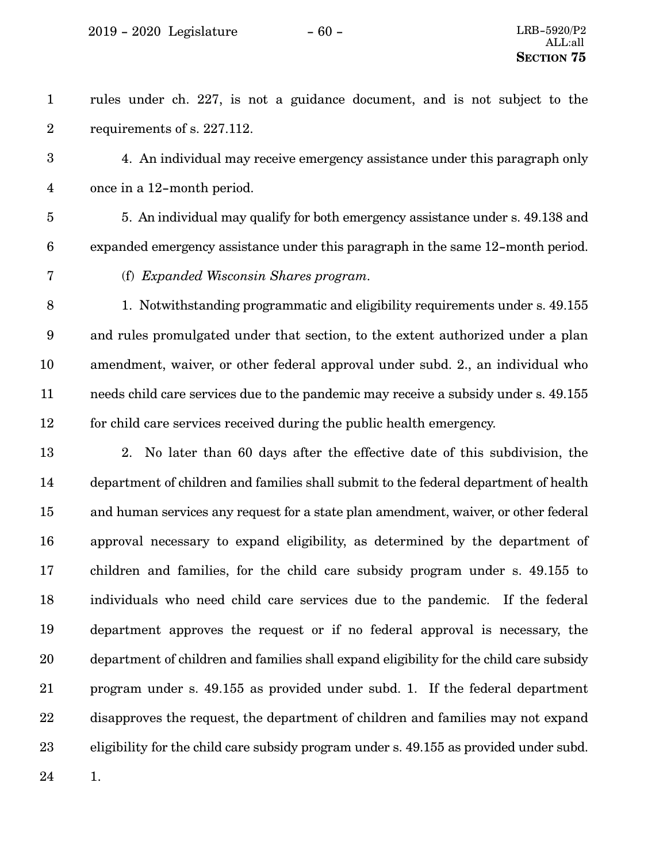2019 - 2020 Legislature - 60 - LRB-5920/P2

rules under ch. 227, is not a guidance document, and is not subject to the requirements of s. 227.112. 1 2

4. An individual may receive emergency assistance under this paragraph only once in a 12-month period. 3 4

- 5. An individual may qualify for both emergency assistance under s. 49.138 and expanded emergency assistance under this paragraph in the same 12-month period. 5 6
- 7

(f) *Expanded Wisconsin Shares program.*

1. Notwithstanding programmatic and eligibility requirements under s. 49.155 and rules promulgated under that section, to the extent authorized under a plan amendment, waiver, or other federal approval under subd. 2., an individual who needs child care services due to the pandemic may receive a subsidy under s. 49.155 for child care services received during the public health emergency. 8 9 10 11 12

2. No later than 60 days after the effective date of this subdivision, the department of children and families shall submit to the federal department of health and human services any request for a state plan amendment, waiver, or other federal approval necessary to expand eligibility, as determined by the department of children and families, for the child care subsidy program under s. 49.155 to individuals who need child care services due to the pandemic. If the federal department approves the request or if no federal approval is necessary, the department of children and families shall expand eligibility for the child care subsidy program under s. 49.155 as provided under subd. 1. If the federal department disapproves the request, the department of children and families may not expand eligibility for the child care subsidy program under s. 49.155 as provided under subd. 13 14 15 16 17 18 19 20 21 22 23

24

1.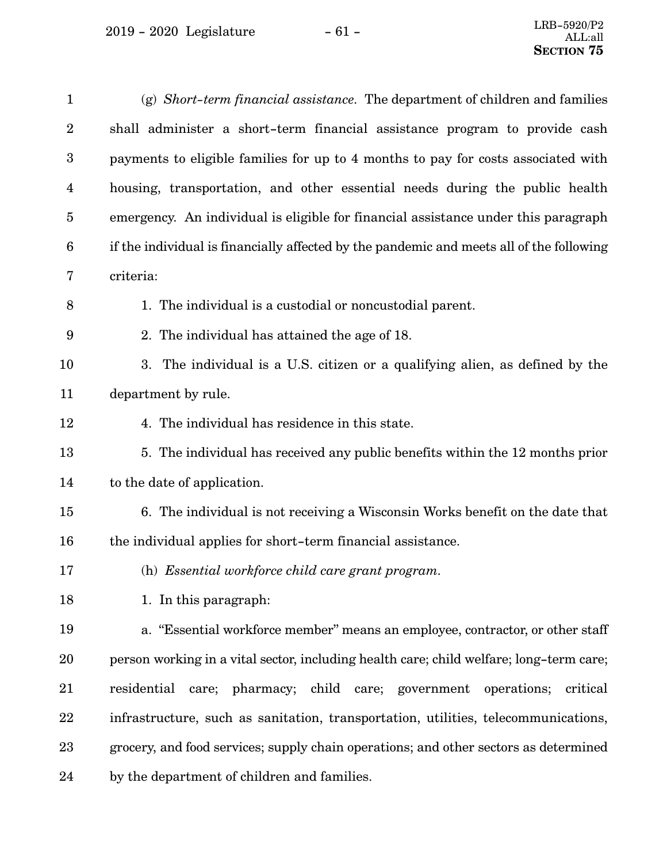<span id="page-60-0"></span>

| $\mathbf{1}$            | $(g)$ Short-term financial assistance. The department of children and families           |
|-------------------------|------------------------------------------------------------------------------------------|
| $\overline{2}$          | shall administer a short-term financial assistance program to provide cash               |
| $\boldsymbol{3}$        | payments to eligible families for up to 4 months to pay for costs associated with        |
| $\overline{\mathbf{4}}$ | housing, transportation, and other essential needs during the public health              |
| $\overline{5}$          | emergency. An individual is eligible for financial assistance under this paragraph       |
| 6                       | if the individual is financially affected by the pandemic and meets all of the following |
| 7                       | criteria:                                                                                |
| 8                       | 1. The individual is a custodial or noncustodial parent.                                 |
| 9                       | 2. The individual has attained the age of 18.                                            |
| 10                      | 3. The individual is a U.S. citizen or a qualifying alien, as defined by the             |
| 11                      | department by rule.                                                                      |
| 12                      | 4. The individual has residence in this state.                                           |
| 13                      | 5. The individual has received any public benefits within the 12 months prior            |
| 14                      | to the date of application.                                                              |
| 15                      | 6. The individual is not receiving a Wisconsin Works benefit on the date that            |
| 16                      | the individual applies for short-term financial assistance.                              |
| 17                      | (h) Essential workforce child care grant program.                                        |
| 18                      | 1. In this paragraph:                                                                    |
| 19                      | a. "Essential workforce member" means an employee, contractor, or other staff            |
| 20                      | person working in a vital sector, including health care; child welfare; long-term care;  |
| 21                      | residential care; pharmacy; child care; government operations; critical                  |
| 22                      | infrastructure, such as sanitation, transportation, utilities, telecommunications,       |
| 23                      | grocery, and food services; supply chain operations; and other sectors as determined     |
| 24                      | by the department of children and families.                                              |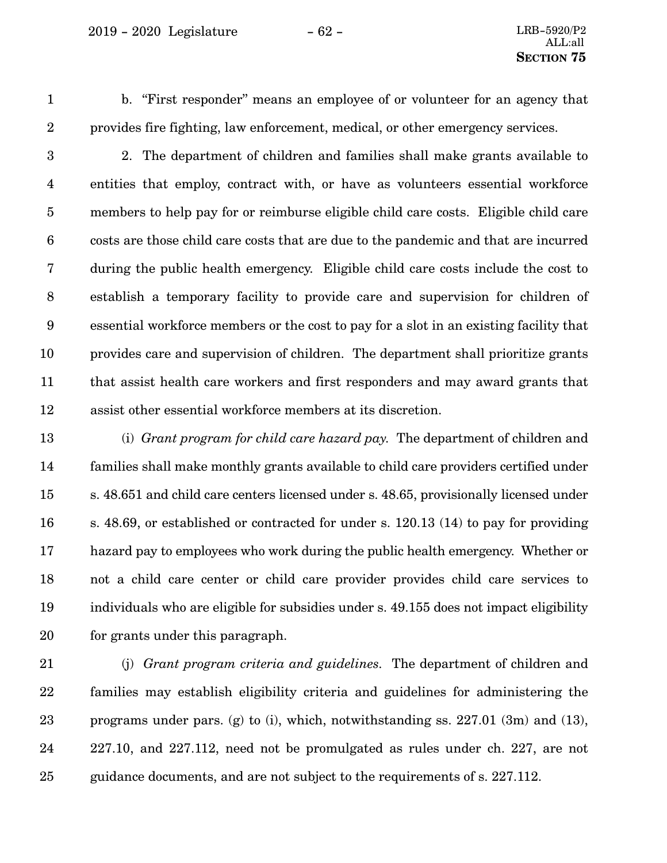<span id="page-61-0"></span>1

b. "First responder" means an employee of or volunteer for an agency that provides fire fighting, law enforcement, medical, or other emergency services.

2

2. The department of children and families shall make grants available to entities that employ, contract with, or have as volunteers essential workforce members to help pay for or reimburse eligible child care costs. Eligible child care costs are those child care costs that are due to the pandemic and that are incurred during the public health emergency. Eligible child care costs include the cost to establish a temporary facility to provide care and supervision for children of essential workforce members or the cost to pay for a slot in an existing facility that provides care and supervision of children. The department shall prioritize grants that assist health care workers and first responders and may award grants that assist other essential workforce members at its discretion. 3 4 5 6 7 8 9 10 11 12

(i) *Grant program for child care hazard pay.* The department of children and families shall make monthly grants available to child care providers certified under s. 48.651 and child care centers licensed under s. 48.65, provisionally licensed under s. 48.69, or established or contracted for under s. 120.13 (14) to pay for providing hazard pay to employees who work during the public health emergency. Whether or not a child care center or child care provider provides child care services to individuals who are eligible for subsidies under s. 49.155 does not impact eligibility for grants under this paragraph. 13 14 15 16 17 18 19 20

(j) *Grant program criteria and guidelines.* The department of children and families may establish eligibility criteria and guidelines for administering the pro[g](#page-60-0)rams under pars. (g) to (i), which, notwithstanding ss.  $227.01$  (3m) and (13), 227.10, and 227.112, need not be promulgated as rules under ch. 227, are not guidance documents, and are not subject to the requirements of s. 227.112. 21 22 23 24 25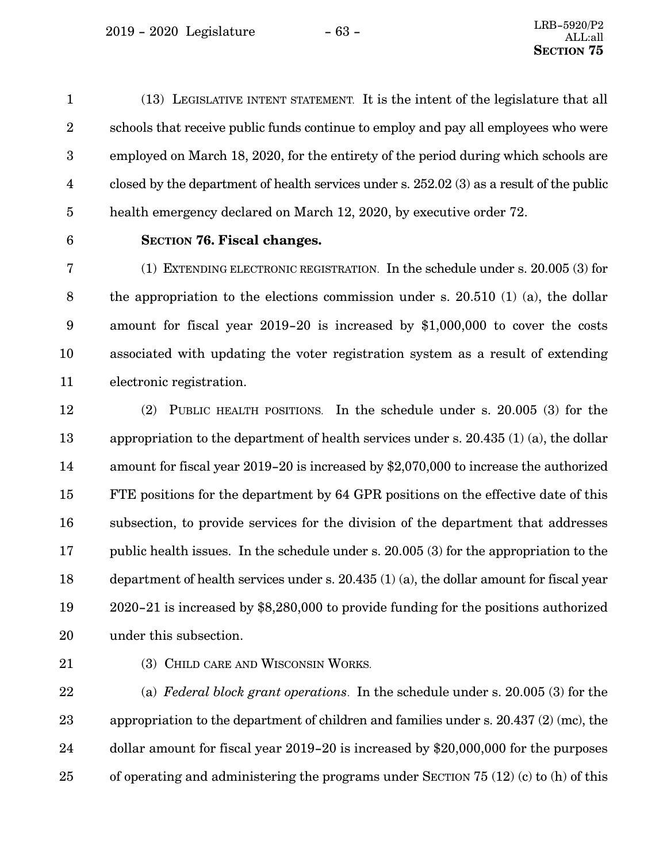<span id="page-62-0"></span>(13) LEGISLATIVE INTENT STATEMENT. It is the intent of the legislature that all schools that receive public funds continue to employ and pay all employees who were employed on March 18, 2020, for the entirety of the period during which schools are closed by the department of health services under s. 252.02 (3) as a result of the public health emergency declared on March 12, 2020, by executive order 72. 1 2 3 4 5

6

**SECTION 76.**0**Fiscal changes.**

(1) EXTENDING ELECTRONIC REGISTRATION. In the schedule under s. 20.005 (3) for the appropriation to the elections commission under s. 20.510 (1) (a), the dollar amount for fiscal year 2019-20 is increased by \$1,000,000 to cover the costs associated with updating the voter registration system as a result of extending electronic registration. 7 8 9 10 11

(2) PUBLIC HEALTH POSITIONS. In the schedule under s. 20.005 (3) for the appropriation to the department of health services under s. 20.435 (1) (a), the dollar amount for fiscal year 2019-20 is increased by \$2,070,000 to increase the authorized FTE positions for the department by 64 GPR positions on the effective date of this subsection, to provide services for the division of the department that addresses public health issues. In the schedule under s. 20.005 (3) for the appropriation to the department of health services under s. 20.435 (1) (a), the dollar amount for fiscal year 2020-21 is increased by \$8,280,000 to provide funding for the positions authorized under this subsection. 12 13 14 15 16 17 18 19 20

21

(3) CHILD CARE AND WISCONSIN WORKS.

(a) *Federal block grant operations*. In the schedule under s. 20.005 (3) for the appropriation to the department of children and families under s. 20.437 (2) (mc), the dollar amount for fiscal year 2019-20 is increased by \$20,000,000 for the purposes of operating and administering the programs under SECTION [75](#page-49-0) [\(12\)](#page-56-0) ([c\)](#page-56-0) to [\(h\)](#page-60-0) of this 22 23 24 25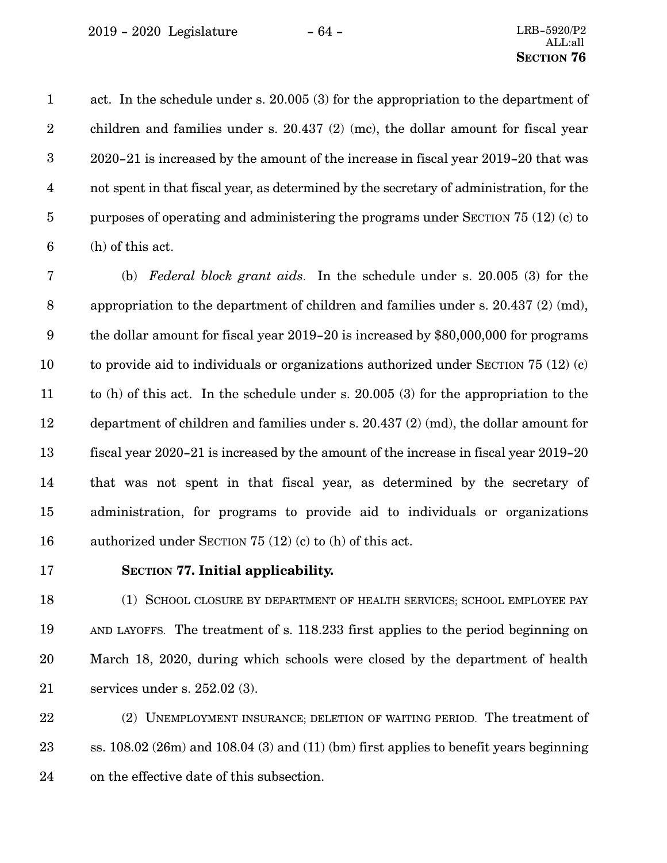<span id="page-63-0"></span>act. In the schedule under s. 20.005 (3) for the appropriation to the department of children and families under s. 20.437 (2) (mc), the dollar amount for fiscal year 2020-21 is increased by the amount of the increase in fiscal year 2019-20 that was not spent in that fiscal year, as determined by the secretary of administration, for the purposes of operating and administering the programs under SECTION [75](#page-49-0) [\(12\)](#page-56-0) ([c](#page-56-0)) to ([h](#page-60-0)) of this act. 1 2 3 4 5 6

(b) *Federal block grant aids*. In the schedule under s. 20.005 (3) for the appropriation to the department of children and families under s. 20.437 (2) (md), the dollar amount for fiscal year 2019-20 is increased by \$80,000,000 for programs to provide aid to individuals or organizations authorized under SECTION [75](#page-49-0) ([12](#page-56-0)) ([c](#page-56-0)) to ([h\)](#page-60-0) of this act. In the schedule under s. 20.005 (3) for the appropriation to the department of children and families under s. 20.437 (2) (md), the dollar amount for fiscal year 2020-21 is increased by the amount of the increase in fiscal year 2019-20 that was not spent in that fiscal year, as determined by the secretary of administration, for programs to provide aid to individuals or organizations authorized under SECTION [75](#page-49-0) ([12](#page-56-0)) [\(c\)](#page-56-0) to [\(h\)](#page-60-0) of this act. 7 8 9 10 11 12 13 14 15 16

17

### **SECTION** 77. Initial applicability.

(1) SCHOOL CLOSURE BY DEPARTMENT OF HEALTH SERVICES; SCHOOL EMPLOYEE PAY AND LAYOFFS. The treatment of s. 118.233 first applies to the period beginning on March 18, 2020, during which schools were closed by the department of health services under s. 252.02 (3). 18 19 20 21

(2) UNEMPLOYMENT INSURANCE; DELETION OF WAITING PERIOD. The treatment of ss. 108.02 (26m) and 108.04 (3) and (11) (bm) first applies to benefit years beginning on the effective date of this subsection. 22 23 24